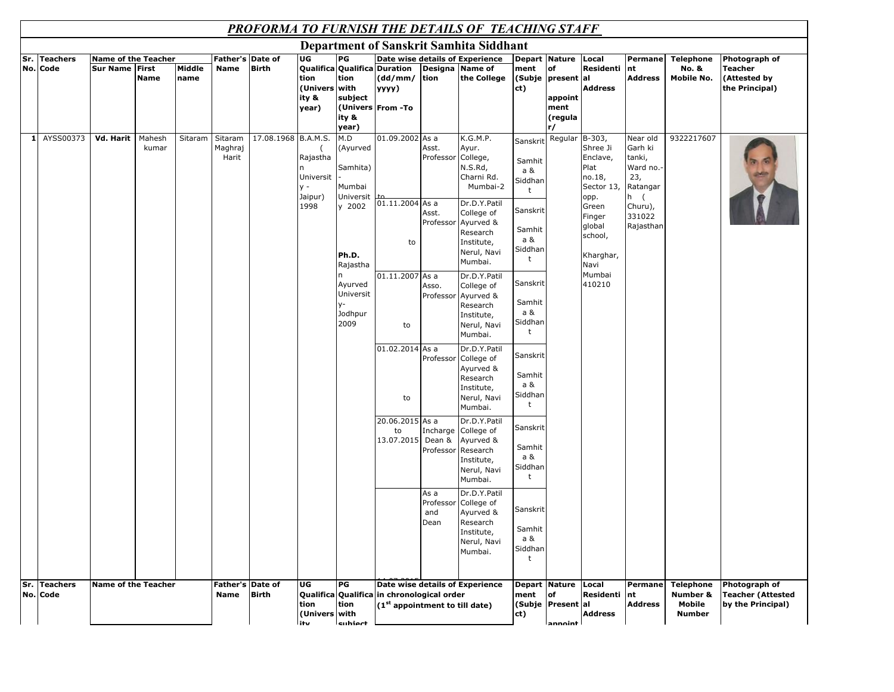## *PROFORMA TO FURNISH THE DETAILS OF TEACHING STAFF*

|     |                             |                                                     |                 |                |                                 |                     |                                                   |                                                                                                                                                  |                                                                                                               |                                                                             | <b>Department of Sanskrit Samhita Siddhant</b>                                                                                                                                                                                                                                                                                                                                  |                                                                                                                                                                                              |                                    |                                                                                                                                               |                                                                                                       |                                                           |                                                                |
|-----|-----------------------------|-----------------------------------------------------|-----------------|----------------|---------------------------------|---------------------|---------------------------------------------------|--------------------------------------------------------------------------------------------------------------------------------------------------|---------------------------------------------------------------------------------------------------------------|-----------------------------------------------------------------------------|---------------------------------------------------------------------------------------------------------------------------------------------------------------------------------------------------------------------------------------------------------------------------------------------------------------------------------------------------------------------------------|----------------------------------------------------------------------------------------------------------------------------------------------------------------------------------------------|------------------------------------|-----------------------------------------------------------------------------------------------------------------------------------------------|-------------------------------------------------------------------------------------------------------|-----------------------------------------------------------|----------------------------------------------------------------|
| Sr. | <b>Teachers</b><br>No. Code | <b>Name of the Teacher</b><br><b>Sur Name First</b> | <b>Name</b>     | Middle<br>name | Father's Date of<br>Name        | <b>Birth</b>        | UG<br>tion<br>(Univers with<br>ity &<br>year)     | PG<br>tion<br>subject<br>ity &                                                                                                                   | Qualifica Qualifica Duration<br>(dd/mm/<br>уууу)<br>(Univers From -To                                         | Designa Name of<br>tion                                                     | Date wise details of Experience<br>the College                                                                                                                                                                                                                                                                                                                                  | Depart Nature<br>ment<br>(Subje present al<br>ct)                                                                                                                                            | of<br>appoint<br>ment<br>(regula   | Local<br>Residenti<br><b>Address</b>                                                                                                          | Permane<br>nt<br><b>Address</b>                                                                       | <b>Telephone</b><br><b>No. &amp;</b><br><b>Mobile No.</b> | Photograph of<br>Teacher<br>(Attested by<br>the Principal)     |
| 1   | AYSS00373                   | Vd. Harit                                           | Mahesh<br>kumar | Sitaram        | Sitaram<br>Maghraj<br>Harit     | 17.08.1968 B.A.M.S. | Rajastha<br>Universit<br>$V -$<br>Jaipur)<br>1998 | year)<br>M.D<br>(Ayurved<br>Samhita)<br>Mumbai<br>Universit<br>y 2002<br>Ph.D.<br>Rajastha<br>n<br>Ayurved<br>Universit<br>y-<br>Jodhpur<br>2009 | 01.09.2002 As a<br>01.11.2004 As a<br>to<br>01.11.2007 As a<br>to<br>01.02.2014 As a<br>to<br>20.06.2015 As a | Asst.<br>Professor<br>Asst.<br>Professor<br>Asso.<br>Professor<br>Professor | K.G.M.P.<br>Ayur.<br>College,<br>N.S.Rd,<br>Charni Rd.<br>Mumbai-2<br>Dr.D.Y.Patil<br>College of<br>Ayurved &<br>Research<br>Institute,<br>Nerul, Navi<br>Mumbai.<br>Dr.D.Y.Patil<br>College of<br>Ayurved &<br>Research<br>Institute,<br>Nerul, Navi<br>Mumbai.<br>Dr.D.Y.Patil<br>College of<br>Ayurved &<br>Research<br>Institute,<br>Nerul, Navi<br>Mumbai.<br>Dr.D.Y.Patil | Sanskrit<br>Samhit<br>a &<br>Siddhan<br>t<br>Sanskrit<br>Samhit<br>a &<br>Siddhan<br>t<br>Sanskrit<br>Samhit<br>a &<br>Siddhan<br>t<br>Sanskrit<br>Samhit<br>a &<br>Siddhan<br>t<br>Sanskrit | r/<br>Regular B-303,               | Shree Ji<br>Enclave,<br>Plat<br>no.18,<br>Sector 13,<br>opp.<br>Green<br>Finger<br>global<br>school,<br>Kharghar,<br>Navi<br>Mumbai<br>410210 | Near old<br>Garh ki<br>tanki,<br>Ward no.<br>23,<br>Ratangar<br>h (<br>Churu),<br>331022<br>Rajasthan | 9322217607                                                |                                                                |
|     |                             |                                                     |                 |                |                                 |                     |                                                   |                                                                                                                                                  | to<br>13.07.2015 Dean &                                                                                       | Incharge<br>Professor<br>As a<br>Professor<br>and<br>Dean                   | College of<br>Ayurved &<br>Research<br>Institute,<br>Nerul, Navi<br>Mumbai.<br>Dr.D.Y.Patil<br>College of<br>Ayurved &<br>Research<br>Institute,<br>Nerul, Navi<br>Mumbai.                                                                                                                                                                                                      | Samhit<br>a &<br>Siddhan<br>t<br>Sanskrit<br>Samhit<br>a &<br>Siddhan<br>t                                                                                                                   |                                    |                                                                                                                                               |                                                                                                       |                                                           |                                                                |
| Sr. | <b>Teachers</b><br>No. Code | <b>Name of the Teacher</b>                          |                 |                | Father's Date of<br><b>Name</b> | <b>Birth</b>        | UG<br>tion<br>(Univers with<br>itv                | PG<br>tion<br>cubiect                                                                                                                            | Qualifica Qualifica in chronological order<br>(1 <sup>st</sup> appointment to till date)                      |                                                                             | Date wise details of Experience                                                                                                                                                                                                                                                                                                                                                 | Depart Nature<br>ment<br>ct)                                                                                                                                                                 | of<br>(Subje Present al<br>annoint | Local<br><b>Residenti</b><br><b>Address</b>                                                                                                   | Permane<br><b>nt</b><br>Address                                                                       | <b>Telephone</b><br>Number &<br>Mobile<br><b>Number</b>   | Photograph of<br><b>Teacher (Attested</b><br>by the Principal) |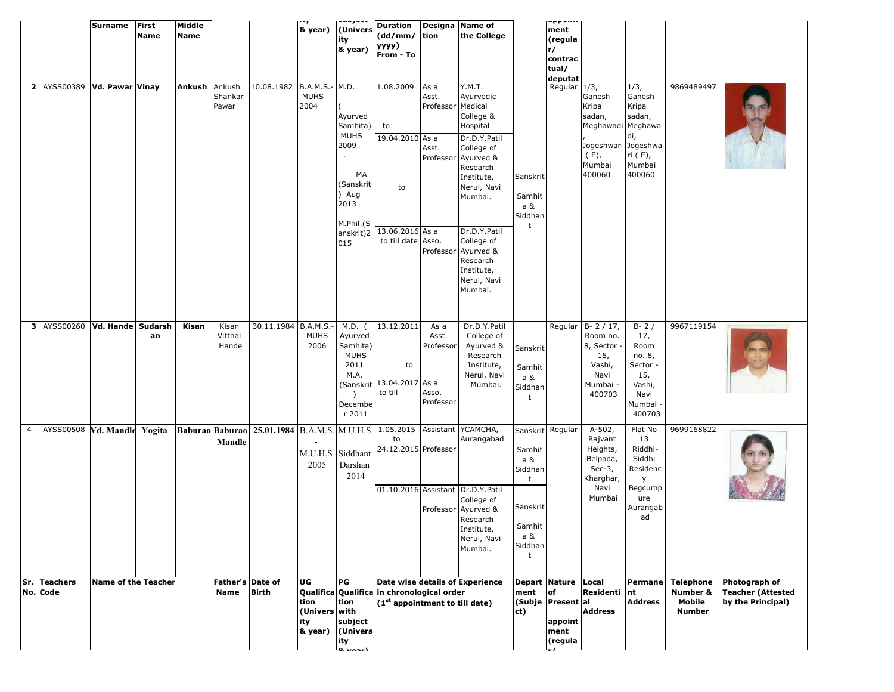|                |                                 | Surname                    | <b>First</b><br>Name | Middle<br><b>Name</b> |                                 |                                                                           | . . y<br>& year)                              | ity<br>& year)                                                                                     | (Univers Duration<br>(dd/mm/ tion<br>уууу)<br>From - To                                     |                                                  | Designa Name of<br>the College                                                                                                                                                                                                                                 |                                                                                                | upponis<br>ment<br>(regula<br>r/<br>contrac<br>tual/<br>deputat |                                                                                                   |                                                                                            |                                                         |                                                                |
|----------------|---------------------------------|----------------------------|----------------------|-----------------------|---------------------------------|---------------------------------------------------------------------------|-----------------------------------------------|----------------------------------------------------------------------------------------------------|---------------------------------------------------------------------------------------------|--------------------------------------------------|----------------------------------------------------------------------------------------------------------------------------------------------------------------------------------------------------------------------------------------------------------------|------------------------------------------------------------------------------------------------|-----------------------------------------------------------------|---------------------------------------------------------------------------------------------------|--------------------------------------------------------------------------------------------|---------------------------------------------------------|----------------------------------------------------------------|
|                | 2 AYSS00389   Vd. Pawar   Vinay |                            |                      | Ankush                | Ankush<br>Shankar<br>Pawar      | 10.08.1982                                                                | B.A.M.S.- M.D.<br><b>MUHS</b><br>2004         | Ayurved<br>Samhita)<br><b>MUHS</b><br>2009<br>MA<br>(Sanskrit<br>) Aug<br>2013<br>M.Phil.(S<br>015 | 1.08.2009<br>to<br>19.04.2010 As a<br>to<br>anskrit)2 13.06.2016 As a<br>to till date Asso. | As a<br>Asst.<br>Professor Medical<br>Asst.      | Y.M.T.<br>Ayurvedic<br>College &<br>Hospital<br>Dr.D.Y.Patil<br>College of<br>Professor Ayurved &<br>Research<br>Institute,<br>Nerul, Navi<br>Mumbai.<br>Dr.D.Y.Patil<br>College of<br>Professor Ayurved &<br>Research<br>Institute,<br>Nerul, Navi<br>Mumbai. | Sanskrit<br>Samhit<br>a &<br>Siddhan<br>t                                                      | Regular 1/3,                                                    | Ganesh<br>Kripa<br>sadan,<br>Meghawadi Meghawa<br>Jogeshwari Jogeshwa<br>(E),<br>Mumbai<br>400060 | 1/3,<br>Ganesh<br>Kripa<br>sadan,<br>di,<br>ri (E),<br>Mumbai<br>400060                    | 9869489497                                              |                                                                |
|                | 3 AYSS00260 Vd. Hande Sudarsh   |                            | an                   | Kisan                 | Kisan<br>Vitthal<br>Hande       | 30.11.1984 B.A.M.S.-                                                      | <b>MUHS</b><br>2006                           | M.D. (<br>Ayurved<br>Samhita)<br><b>MUHS</b><br>2011<br>M.A.<br>Decembe<br>r 2011                  | 13.12.2011<br>to<br>(Sanskrit 13.04.2017 As a<br>to till                                    | As a<br>Asst.<br>Professor<br>Asso.<br>Professor | Dr.D.Y.Patil<br>College of<br>Ayurved &<br>Research<br>Institute,<br>Nerul, Navi<br>Mumbai.                                                                                                                                                                    | Sanskrit<br>Samhit<br>a &<br>Siddhan<br>t                                                      | Regular                                                         | $B - 2 / 17$ ,<br>Room no.<br>8, Sector<br>15,<br>Vashi,<br>Navi<br>Mumbai -<br>400703            | $B - 2/$<br>17,<br>Room<br>no. 8,<br>Sector -<br>15,<br>Vashi,<br>Navi<br>Mumbai<br>400703 | 9967119154                                              |                                                                |
| $\overline{4}$ | AYSS00508 Vd. Mandle Yogita     |                            |                      |                       | Mandle                          | Baburao Baburao 25.01.1984 B.A.M.S. M.U.H.S. 1.05.2015 Assistant YCAMCHA, | 2005                                          | M.U.H.S Siddhant<br>Darshan<br>2014                                                                | to<br>24.12.2015 Professor<br>01.10.2016 Assistant Dr.D.Y.Patil                             |                                                  | Aurangabad<br>College of<br>Professor Ayurved &<br>Research<br>Institute,<br>Nerul, Navi<br>Mumbai.                                                                                                                                                            | Sanskrit Regular<br>Samhit<br>a &<br>Siddhan<br>t<br>Sanskrit<br>Samhit<br>a &<br>Siddhan<br>t |                                                                 | $A-502,$<br>Rajvant<br>Heights,<br>Belpada,<br>Sec- $3$ ,<br>Kharghar,<br>Navi<br>Mumbai          | Flat No<br>13<br>Riddhi-<br>Siddhi<br>Residenc<br>y<br>Begcump<br>ure<br>Aurangab<br>ad    | 9699168822                                              |                                                                |
|                | Sr. Teachers<br>No. Code        | <b>Name of the Teacher</b> |                      |                       | Father's Date of<br><b>Name</b> | <b>Birth</b>                                                              | UG<br>tion<br>(Univers with<br>ity<br>& year) | PG<br>tion<br>subject<br>(Univers<br>ity<br>$0.$ $1.0 - 1$                                         | Qualifica Qualifica in chronological order<br>(1 <sup>st</sup> appointment to till date)    |                                                  | Date wise details of Experience                                                                                                                                                                                                                                | Depart Nature<br>ment<br>ct)                                                                   | <b>of</b><br>(Subje Present al<br>appoint<br>ment<br>(regula    | Local<br><b>Residenti</b><br><b>Address</b>                                                       | Permane<br>nt<br><b>Address</b>                                                            | <b>Telephone</b><br>Number &<br>Mobile<br><b>Number</b> | Photograph of<br><b>Teacher (Attested</b><br>by the Principal) |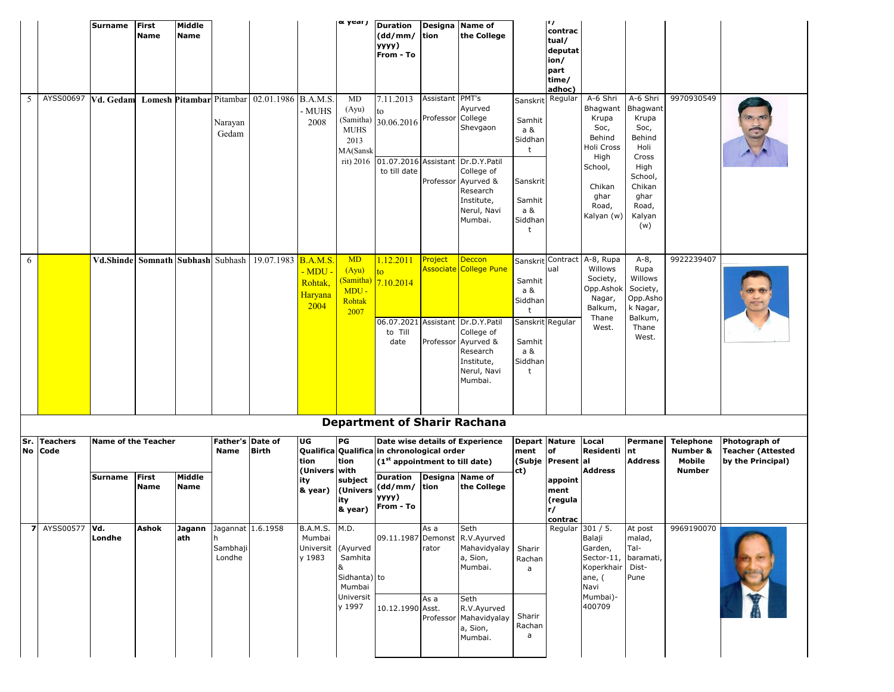|     |                            | Surname                               | First<br>Name        | Middle<br>Name        |                                                     |                                              |                                                         | <sub> </sub> & year)                                                     | Duration<br>(dd/mm/<br>уууу)<br>From - To                                                                                                    | tion                                 | Designa Name of<br>the College                                                                                                                         |                                                                                        | п,<br>contrac<br>tual/<br>deputat<br>ion/<br>part<br>time/<br>adhoc)         |                                                                                                                           |                                                                                                                                 |                                                         |                                                                |
|-----|----------------------------|---------------------------------------|----------------------|-----------------------|-----------------------------------------------------|----------------------------------------------|---------------------------------------------------------|--------------------------------------------------------------------------|----------------------------------------------------------------------------------------------------------------------------------------------|--------------------------------------|--------------------------------------------------------------------------------------------------------------------------------------------------------|----------------------------------------------------------------------------------------|------------------------------------------------------------------------------|---------------------------------------------------------------------------------------------------------------------------|---------------------------------------------------------------------------------------------------------------------------------|---------------------------------------------------------|----------------------------------------------------------------|
| 5   | AYSS00697                  | Vd. Gedam                             |                      |                       | Narayan<br>Gedam                                    | Lomesh Pitambar Pitambar 02.01.1986 B.A.M.S. | MUHS<br>2008                                            | MD<br>(Ayu)<br>(Samitha)<br><b>MUHS</b><br>2013<br>MA(Sansk<br>rit) 2016 | 7.11.2013<br>to<br>30.06.2016<br>to till date                                                                                                | Assistant PMT's<br>Professor College | Ayurved<br>Shevgaon<br>01.07.2016 Assistant Dr.D.Y.Patil<br>College of<br>Professor Ayurved &<br>Research<br>Institute,<br>Nerul, Navi<br>Mumbai.      | Sanskrit<br>Samhit<br>a &<br>Siddhan<br>t<br>Sanskrit<br>Samhit<br>a &<br>Siddhan<br>t | Regular                                                                      | A-6 Shri<br>Bhagwant<br>Krupa<br>Soc,<br>Behind<br>Holi Cross<br>High<br>School,<br>Chikan<br>ghar<br>Road,<br>Kalyan (w) | A-6 Shri<br>Bhagwant<br>Krupa<br>Soc,<br>Behind<br>Holi<br>Cross<br>High<br>School,<br>Chikan<br>ghar<br>Road,<br>Kalyan<br>(w) | 9970930549                                              |                                                                |
| 6   |                            | Vd.Shinde                             |                      |                       |                                                     | Somnath Subhash Subhash 19.07.1983 B.A.M.S.  | <u>- MDU -</u><br>Rohtak,<br>Haryana<br>2004            | <b>MD</b><br>(Ayu)<br>(Samitha)<br>MDU -<br>Rohtak<br>2007               | 1.12.2011<br>to.<br>7.10.2014<br>06.07.2021 Assistant<br>to Till<br>date                                                                     | Project                              | Deccon<br><mark>Associate College Pune</mark><br>Dr.D.Y.Patil<br>College of<br>Professor Ayurved &<br>Research<br>Institute,<br>Nerul, Navi<br>Mumbai. | Samhit<br>a &<br>Siddhan<br>t<br>Sanskrit Regular<br>Samhit<br>a &<br>Siddhan<br>t     | ual                                                                          | Sanskrit Contract A-8, Rupa<br>Willows<br>Society,<br>Opp.Ashok<br>Nagar,<br>Balkum,<br>Thane<br>West.                    | $A-8$ ,<br>Rupa<br>Willows<br>Society,<br>Opp.Asho<br>k Nagar,<br>Balkum,<br>Thane<br>West.                                     | 9922239407                                              |                                                                |
|     |                            |                                       |                      |                       |                                                     |                                              |                                                         |                                                                          |                                                                                                                                              |                                      | <b>Department of Sharir Rachana</b>                                                                                                                    |                                                                                        |                                                                              |                                                                                                                           |                                                                                                                                 |                                                         |                                                                |
| Sr. | <b>Teachers</b><br>No Code | <b>Name of the Teacher</b><br>Surname | First<br><b>Name</b> | Middle<br><b>Name</b> | Father's Date of<br><b>Name</b>                     | <b>Birth</b>                                 | UG<br>tion<br>(Univers with<br>ity                      | PG<br>tion<br>subject<br>ity<br>& year)                                  | Qualifica Qualifica in chronological order<br>$(1st$ appointment to till date)<br>Duration<br>& year) (Univers (dd/mm/<br>yyyy)<br>From - To | tion                                 | Date wise details of Experience<br>Designa Name of<br>the College                                                                                      | ment<br>ct)                                                                            | Depart Nature<br>of<br>(Subje Present al<br>appoint<br>ment<br>(regula<br>r/ | Local<br>Residenti nt<br><b>Address</b>                                                                                   | Permane<br><b>Address</b>                                                                                                       | <b>Telephone</b><br>Number &<br>Mobile<br><b>Number</b> | Photograph of<br><b>Teacher (Attested</b><br>by the Principal) |
|     | <b>7</b> AYSS00577         | Vd.<br>Londhe                         | Ashok                | ath                   | Jagann Jagannat 1.6.1958<br>h<br>Sambhaji<br>Londhe |                                              | B.A.M.S. M.D.<br>Mumbai<br>Universit (Ayurved<br>y 1983 | Samhita<br>&<br>Sidhanta) to<br>Mumbai<br>Universit<br>y 1997            | 10.12.1990 Asst.                                                                                                                             | As a<br>rator<br>As a                | Seth<br>09.11.1987 Demonst R.V.Ayurved<br>Mahavidyalay<br>a, Sion,<br>Mumbai.<br>Seth<br>R.V.Ayurved<br>Professor Mahavidyalay<br>a, Sion,<br>Mumbai.  | Sharir<br>Rachan<br>a<br>Sharir<br>Rachan<br>a                                         | contrac<br>Regular                                                           | 301 / 5.<br>Balaji<br>Garden,<br>Sector-11,<br>Koperkhair Dist-<br>ane, (<br>Navi<br>Mumbai)-<br>400709                   | At post<br>malad,<br>Tal-<br>baramati,<br>Pune                                                                                  | 9969190070                                              |                                                                |
|     |                            |                                       |                      |                       |                                                     |                                              |                                                         |                                                                          |                                                                                                                                              |                                      |                                                                                                                                                        |                                                                                        |                                                                              |                                                                                                                           |                                                                                                                                 |                                                         |                                                                |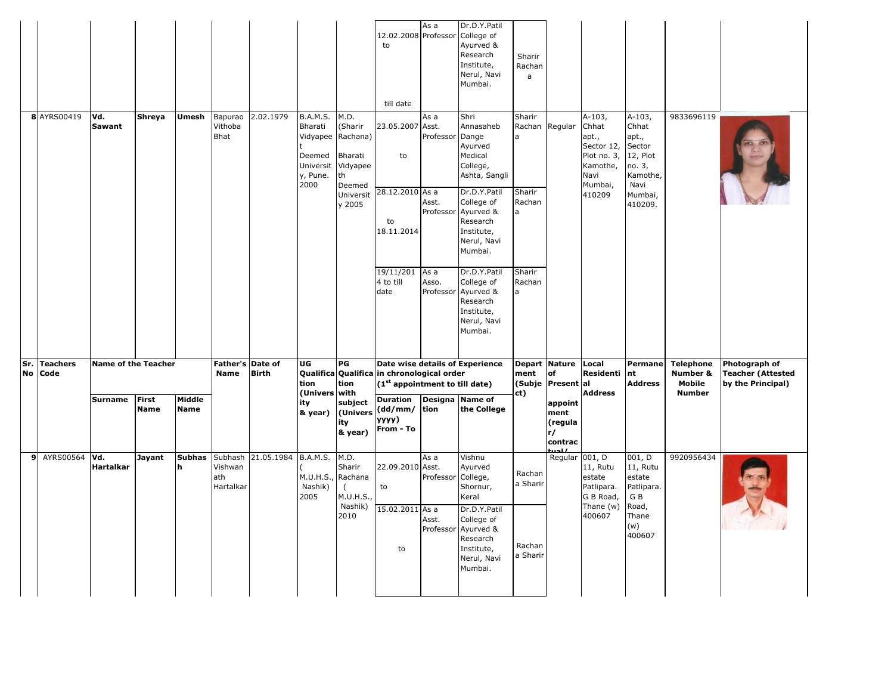|              |                         |                                              |                      |                       |                                        |              |                                                                                                     |                                                                    | 12.02.2008 Professor<br>to                                                                                                                 | As a                                    | Dr.D.Y.Patil<br>College of<br>Ayurved &<br>Research<br>Institute,<br>Nerul, Navi<br>Mumbai.                                                                                  | Sharir<br>Rachan<br>a                                  |                                                             |                                                                                                  |                                                                                                      |                                                         |                                                                |
|--------------|-------------------------|----------------------------------------------|----------------------|-----------------------|----------------------------------------|--------------|-----------------------------------------------------------------------------------------------------|--------------------------------------------------------------------|--------------------------------------------------------------------------------------------------------------------------------------------|-----------------------------------------|------------------------------------------------------------------------------------------------------------------------------------------------------------------------------|--------------------------------------------------------|-------------------------------------------------------------|--------------------------------------------------------------------------------------------------|------------------------------------------------------------------------------------------------------|---------------------------------------------------------|----------------------------------------------------------------|
|              | 8 AYRS00419             | Vd.<br>Sawant                                | Shreya               | Umesh                 | Bapurao<br>Vithoba<br><b>Bhat</b>      | 2.02.1979    | <b>B.A.M.S.</b><br>Bharati<br>Vidyapee Rachana)<br>Deemed<br>Universit Vidyapee<br>y, Pune.<br>2000 | M.D.<br>(Sharir<br>Bharati<br>th<br>Deemed<br>Universit<br>y 2005  | till date<br>23.05.2007 Asst.<br>to<br>28.12.2010 As a<br>to<br>18.11.2014                                                                 | As a<br>Professor<br>Asst.<br>Professor | Shri<br>Annasaheb<br>Dange<br>Ayurved<br>Medical<br>College,<br>Ashta, Sangli<br>Dr.D.Y.Patil<br>College of<br>Ayurved &<br>Research<br>Institute,<br>Nerul, Navi<br>Mumbai. | Sharir<br>Rachan Regular<br>a<br>Sharir<br>Rachan<br>a |                                                             | $A-103,$<br>Chhat<br>apt.,<br>Sector 12,<br>Plot no. 3,<br>Kamothe,<br>Navi<br>Mumbai,<br>410209 | $A-103,$<br>Chhat<br>apt.,<br>Sector<br>12, Plot<br>no. 3,<br>Kamothe,<br>Navi<br>Mumbai,<br>410209. | 9833696119                                              |                                                                |
|              |                         |                                              |                      |                       |                                        |              |                                                                                                     |                                                                    | 19/11/201<br>4 to till<br>date                                                                                                             | As a<br>Asso.<br>Professor              | Dr.D.Y.Patil<br>College of<br>Ayurved &<br>Research<br>Institute,<br>Nerul, Navi<br>Mumbai.                                                                                  | Sharir<br>Rachan<br>$\overline{a}$                     |                                                             |                                                                                                  |                                                                                                      |                                                         |                                                                |
|              | Sr. Teachers<br>No Code | <b>Name of the Teacher</b><br><b>Surname</b> | <b>First</b><br>Name | Middle<br><b>Name</b> | Father's Date of<br><b>Name</b>        | <b>Birth</b> | UG<br>tion<br>(Univers with<br>ity<br>& year)                                                       | PG<br>tion<br>subject<br>(Univers<br>ity<br>& year)                | Qualifica Qualifica in chronological order<br>(1 <sup>st</sup> appointment to till date)<br>Duration<br>(dd/mm/ tion<br>уууу)<br>From - To |                                         | Date wise details of Experience<br>Designa Name of<br>the College                                                                                                            | Depart Nature<br>ment<br>(Subje<br>ct)                 | of<br><b>Present</b> al<br>appoint<br>ment<br>(regula<br>r/ | Local<br>Residenti<br>Address                                                                    | Permane<br>nt<br><b>Address</b>                                                                      | <b>Telephone</b><br>Number &<br>Mobile<br><b>Number</b> | Photograph of<br><b>Teacher (Attested</b><br>by the Principal) |
| $\mathbf{9}$ | AYRS00564               | Vd.<br><b>Hartalkar</b>                      | Jayant               | Subhas<br>h           | Subhash<br>Vishwan<br>ath<br>Hartalkar | 21.05.1984   | <b>B.A.M.S.</b><br>M.U.H.S., Rachana<br>Nashik)<br>2005                                             | M.D.<br>Sharir<br>$\overline{(\ }$<br>M.U.H.S.,<br>Nashik)<br>2010 | 22.09.2010 Asst.<br>to<br>15.02.2011 As a<br>to                                                                                            | As a<br>Professor<br>Asst.<br>Professor | Vishnu<br>Ayurved<br>College,<br>Shornur,<br>Keral<br>Dr.D.Y.Patil<br>College of<br>Ayurved &<br>Research<br>Institute,<br>Nerul, Navi<br>Mumbai.                            | Rachan<br>a Sharir<br>Rachan<br>a Sharir               | contrac<br>Regular 001, D                                   | 11, Rutu<br>estate<br>Patlipara.<br>G B Road,<br>Thane (w)<br>400607                             | 001, D<br>11, Rutu<br>estate<br>Patlipara.<br>G B<br>Road,<br>Thane<br>(w)<br>400607                 | 9920956434                                              |                                                                |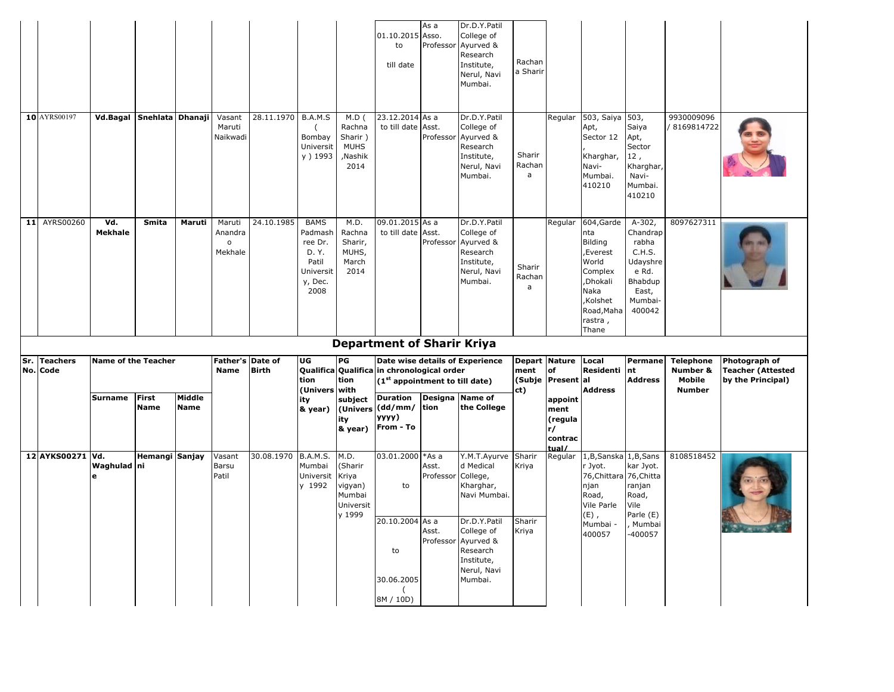|                  |                            |                             |                       |                                              |                     |                                                                                     |                                                                | 01.10.2015 Asso.<br>to<br>till date                       | As a                        | Dr.D.Y.Patil<br>College of<br>Professor Ayurved &<br>Research<br>Institute,<br>Nerul, Navi<br>Mumbai. | Rachan<br>a Sharir    |                                             |                                                                                                                                |                                                                                                       |                          |                                               |
|------------------|----------------------------|-----------------------------|-----------------------|----------------------------------------------|---------------------|-------------------------------------------------------------------------------------|----------------------------------------------------------------|-----------------------------------------------------------|-----------------------------|-------------------------------------------------------------------------------------------------------|-----------------------|---------------------------------------------|--------------------------------------------------------------------------------------------------------------------------------|-------------------------------------------------------------------------------------------------------|--------------------------|-----------------------------------------------|
| 10 AYRS00197     |                            | Vd.Bagal Snehlata Dhanaji   |                       | Vasant<br>Maruti<br>Naikwadi                 | 28.11.1970          | B.A.M.S<br>Bombay<br>Universit<br>y ) 1993                                          | $M.D$ (<br>Rachna<br>Sharir)<br><b>MUHS</b><br>,Nashik<br>2014 | 23.12.2014 As a<br>to till date Asst.                     |                             | Dr.D.Y.Patil<br>College of<br>Professor Ayurved &<br>Research<br>Institute,<br>Nerul, Navi<br>Mumbai. | Sharir<br>Rachan<br>a | Regular                                     | 503, Saiya<br>Apt,<br>Sector 12<br>Kharghar,<br>Navi-<br>Mumbai.<br>410210                                                     | 503,<br>Saiya<br>Apt,<br>Sector<br>12,<br>Kharghar,<br>Navi-<br>Mumbai.<br>410210                     | 9930009096<br>8169814722 |                                               |
| 11 AYRS00260     | Vd.<br><b>Mekhale</b>      | Smita                       | Maruti                | Maruti<br>Anandra<br>$\mathsf{o}$<br>Mekhale | 24.10.1985          | <b>BAMS</b><br>Padmash<br>ree Dr.<br>D. Y.<br>Patil<br>Universit<br>y, Dec.<br>2008 | M.D.<br>Rachna<br>Sharir,<br>MUHS,<br>March<br>2014            | 09.01.2015 As a<br>to till date Asst.                     |                             | Dr.D.Y.Patil<br>College of<br>Professor Ayurved &<br>Research<br>Institute,<br>Nerul, Navi<br>Mumbai. | Sharir<br>Rachan<br>a | Regular                                     | 604, Garde<br>nta<br>Bilding<br>Everest,<br>World<br>Complex<br>,Dhokali<br>Naka<br>Kolshet,<br>Road, Maha<br>rastra,<br>Thane | $A-302,$<br>Chandrap<br>rabha<br>C.H.S.<br>Udayshre<br>e Rd.<br>Bhabdup<br>East,<br>Mumbai-<br>400042 | 8097627311               |                                               |
| Sr. Teachers     | <b>Name of the Teacher</b> |                             |                       | Father's Date of                             |                     | UG                                                                                  | PG                                                             | <b>Department of Sharir Kriya</b>                         |                             | Date wise details of Experience                                                                       | Depart                | <b>Nature</b>                               | Local                                                                                                                          | Permane                                                                                               | <b>Telephone</b>         | Photograph of                                 |
| No. Code         |                            |                             |                       | Name                                         | <b>Birth</b>        | tion                                                                                | tion                                                           | Qualifica Qualifica in chronological order                |                             |                                                                                                       | ment                  | of                                          | Residenti                                                                                                                      | nt                                                                                                    | Number &                 | <b>Teacher (Attested</b><br>by the Principal) |
|                  |                            |                             |                       |                                              |                     |                                                                                     |                                                                | $(1st$ appointment to till date)                          |                             |                                                                                                       | (Subje                | Present al                                  |                                                                                                                                | <b>Address</b>                                                                                        | Mobile                   |                                               |
|                  | Surname                    | <b>First</b><br><b>Name</b> | Middle<br><b>Name</b> |                                              |                     | (Univers with<br>ity<br>& year)                                                     | subject<br>ity<br>& year)                                      | <b>Duration</b><br>(Univers (dd/mm/<br>уууу)<br>From - To | Designa Name of<br>tion     | the College                                                                                           | ct)                   | appoint<br>ment<br>(regula<br>r/<br>contrac | <b>Address</b>                                                                                                                 |                                                                                                       | <b>Number</b>            |                                               |
| 12 AYKS00271 Vd. | Waghulad ni<br>e           | Hemangi Sanjay              |                       | Vasant<br>Barsu<br>Patil                     | 30.08.1970 B.A.M.S. | Mumbai<br>Universit<br>y 1992                                                       | M.D.<br>(Sharir<br>Kriya<br>vigyan)<br>Mumbai<br>Universit     | 03.01.2000 *As a<br>to                                    | Asst.<br>Professor College, | Y.M.T.Ayurve Sharir<br>d Medical<br>Kharghar,<br>Navi Mumbai.                                         | Kriya                 | tual/<br>Regular                            | 1,B,Sanska 1,B,Sans<br>r Jyot.<br>76, Chittara 76, Chitta<br>njan<br>Road,<br>Vile Parle                                       | kar Jyot.<br>ranjan<br>Road,<br>Vile                                                                  | 8108518452               |                                               |
|                  |                            |                             |                       |                                              |                     |                                                                                     | y 1999                                                         | $20.10.2004$ As a<br>to                                   | Asst.                       | Dr.D.Y.Patil<br>College of<br>Professor Ayurved &<br>Research<br>Institute,<br>Nerul, Navi            | Sharir<br>Kriya       |                                             | $(E)$ ,<br>Mumbai -<br>400057                                                                                                  | Parle (E)<br>Mumbai<br>-400057                                                                        |                          |                                               |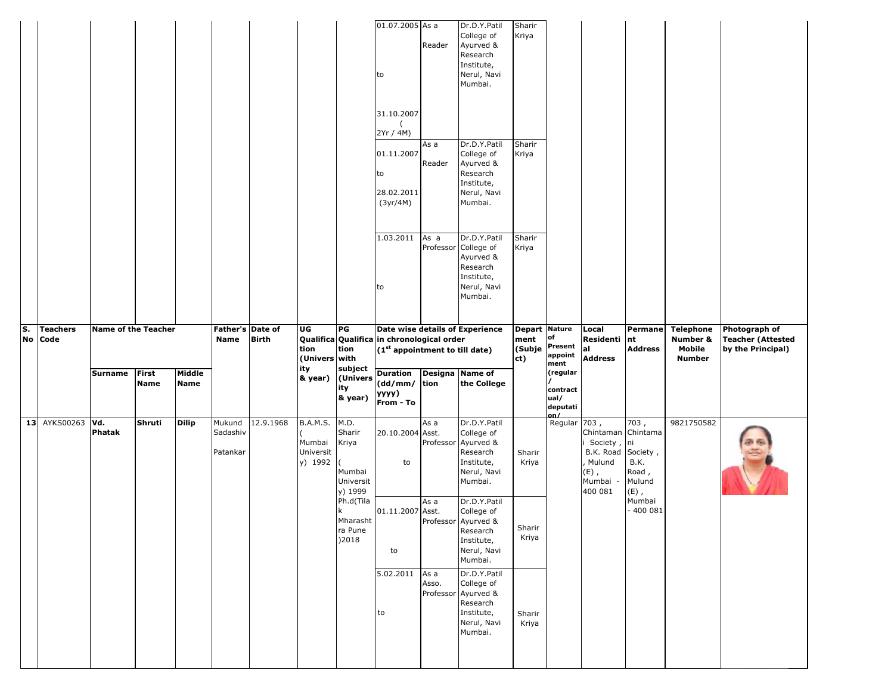|    |                            |                            |                      |                |                                |              |                                                   |                                                           | 01.07.2005 As a<br>to<br>31.10.2007<br>2Yr / 4M)<br>01.11.2007<br>to<br>28.02.2011<br>(3yr/4M)<br>1.03.2011<br>to | Reader<br>As a<br>Reader<br>As a | Dr.D.Y.Patil<br>College of<br>Ayurved &<br>Research<br>Institute,<br>Nerul, Navi<br>Mumbai.<br>Dr.D.Y.Patil<br>College of<br>Ayurved &<br>Research<br>Institute,<br>Nerul, Navi<br>Mumbai.<br>Dr.D.Y.Patil<br>Professor College of<br>Ayurved &<br>Research<br>Institute,<br>Nerul, Navi<br>Mumbai. | Sharir<br>Kriya<br>Sharir<br>Kriya<br>Sharir<br>Kriya |                                                  |                                                                               |                                                               |                                                         |                                                                |
|----|----------------------------|----------------------------|----------------------|----------------|--------------------------------|--------------|---------------------------------------------------|-----------------------------------------------------------|-------------------------------------------------------------------------------------------------------------------|----------------------------------|-----------------------------------------------------------------------------------------------------------------------------------------------------------------------------------------------------------------------------------------------------------------------------------------------------|-------------------------------------------------------|--------------------------------------------------|-------------------------------------------------------------------------------|---------------------------------------------------------------|---------------------------------------------------------|----------------------------------------------------------------|
| S. | <b>Teachers</b><br>No Code | <b>Name of the Teacher</b> |                      |                | Father's Date of<br>Name       | <b>Birth</b> | UG<br>tion<br>(Univers with                       | P G<br>tion                                               | Date wise details of Experience<br>Qualifica Qualifica in chronological order<br>$(1st$ appointment to till date) |                                  |                                                                                                                                                                                                                                                                                                     | <b>Depart Nature</b><br>ment<br>(Subje<br>ct)         | of<br>Present<br>appoint                         | Local<br>Residenti<br>al<br><b>Address</b>                                    | Permane<br>nt<br><b>Address</b>                               | <b>Telephone</b><br>Number &<br>Mobile<br><b>Number</b> | Photograph of<br><b>Teacher (Attested</b><br>by the Principal) |
|    |                            |                            |                      |                |                                |              |                                                   |                                                           |                                                                                                                   |                                  |                                                                                                                                                                                                                                                                                                     |                                                       |                                                  |                                                                               |                                                               |                                                         |                                                                |
|    |                            | <b>Surname</b>             | First<br><b>Name</b> | Middle<br>Name |                                |              | ity<br>& year)                                    | subject<br>(Univers<br>ity<br>& year)                     | <b>Duration</b><br>(dd/mm/ tion<br>yyyy)<br>From - To                                                             | Designa Name of                  | the College                                                                                                                                                                                                                                                                                         |                                                       | ment<br>(regular<br>contract<br>ual/<br>deputati |                                                                               |                                                               |                                                         |                                                                |
|    | 13 AYKS00263               | Vd.<br>Phatak              | Shruti               | <b>Dilip</b>   | Mukund<br>Sadashiv<br>Patankar | 12.9.1968    | <b>B.A.M.S.</b><br>Mumbai<br>Universit<br>y) 1992 | M.D.<br>Sharir<br>Kriya<br>Mumbai<br>Universit<br>y) 1999 | 20.10.2004 Asst.<br>to                                                                                            | As a<br>Professor                | Dr.D.Y.Patil<br>College of<br>Ayurved &<br>Research<br>Institute,<br>Nerul, Navi<br>Mumbai.                                                                                                                                                                                                         | Sharir<br>Kriya                                       | on/<br>Regular 703,                              | Chintaman<br>Society<br>B.K. Road<br>, Mulund<br>$(E)$ ,<br>Mumbai<br>400 081 | 703,<br>Chintama<br>ni<br>Society,<br>B.K.<br>Road,<br>Mulund | 9821750582                                              |                                                                |
|    |                            |                            |                      |                |                                |              |                                                   | Ph.d(Tila<br>Mharasht<br>ra Pune<br>)2018                 | 01.11.2007 Asst.<br>to<br>5.02.2011                                                                               | As a<br>As a                     | Dr.D.Y.Patil<br>College of<br>Professor Ayurved &<br>Research<br>Institute,<br>Nerul, Navi<br>Mumbai.<br>Dr.D.Y.Patil                                                                                                                                                                               | Sharir<br>Kriya                                       |                                                  |                                                                               | $(E)$ ,<br>Mumbai<br>$-4000031$                               |                                                         |                                                                |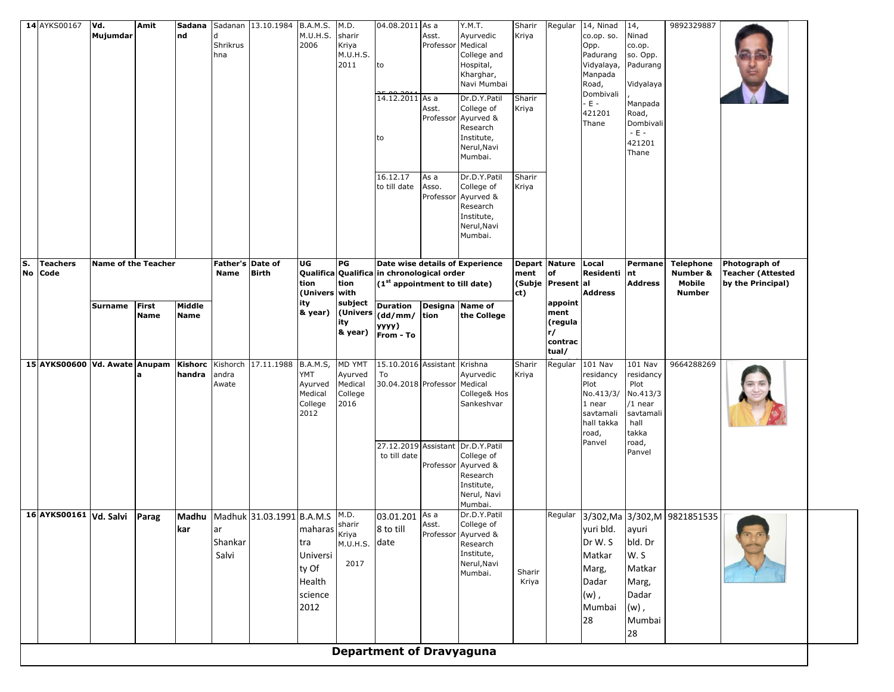|    | 14 AYKS00167                                                               | Vd.                        | Amit  | Sadana      |                  | Sadanan 13.10.1984 B.A.M.S. |                      | M.D.              | 04.08.2011 As a                            |                    | Y.M.T.                            | Sharir          | Regular           | 14, Ninad              | 14,                   | 9892329887                    |                          |  |
|----|----------------------------------------------------------------------------|----------------------------|-------|-------------|------------------|-----------------------------|----------------------|-------------------|--------------------------------------------|--------------------|-----------------------------------|-----------------|-------------------|------------------------|-----------------------|-------------------------------|--------------------------|--|
|    |                                                                            | Mujumdar                   |       | nd          | Shrikrus         |                             | M.U.H.S.<br>2006     | sharir<br>Kriya   |                                            | Asst.<br>Professor | Ayurvedic<br>Medical              | Kriya           |                   | co.op. so.<br>Opp.     | Ninad<br>co.op.       |                               |                          |  |
|    |                                                                            |                            |       |             | hna              |                             |                      | M.U.H.S.          |                                            |                    | College and                       |                 |                   | Padurang               | so. Opp.              |                               |                          |  |
|    |                                                                            |                            |       |             |                  |                             |                      | 2011              | to                                         |                    | Hospital,<br>Kharghar,            |                 |                   | Vidyalaya,<br>Manpada  | Padurang              |                               |                          |  |
|    |                                                                            |                            |       |             |                  |                             |                      |                   |                                            |                    | Navi Mumbai                       |                 |                   | Road,                  | Vidyalaya             |                               |                          |  |
|    |                                                                            |                            |       |             |                  |                             |                      |                   | یمجے مم<br>14.12.2011 As a                 |                    | Dr.D.Y.Patil                      | Sharir          |                   | Dombivali              |                       |                               |                          |  |
|    |                                                                            |                            |       |             |                  |                             |                      |                   |                                            | Asst.              | College of                        | Kriya           |                   | $-E -$<br>421201       | Manpada<br>Road,      |                               |                          |  |
|    |                                                                            |                            |       |             |                  |                             |                      |                   |                                            | Professor          | Ayurved &                         |                 |                   | Thane                  | Dombivali             |                               |                          |  |
|    |                                                                            |                            |       |             |                  |                             |                      |                   | to                                         |                    | Research<br>Institute,            |                 |                   |                        | $-E -$                |                               |                          |  |
|    |                                                                            |                            |       |             |                  |                             |                      |                   |                                            |                    | Nerul, Navi                       |                 |                   |                        | 421201<br>Thane       |                               |                          |  |
|    |                                                                            |                            |       |             |                  |                             |                      |                   |                                            |                    | Mumbai.                           |                 |                   |                        |                       |                               |                          |  |
|    |                                                                            |                            |       |             |                  |                             |                      |                   | 16.12.17                                   | As a               | Dr.D.Y.Patil                      | Sharir          |                   |                        |                       |                               |                          |  |
|    |                                                                            |                            |       |             |                  |                             |                      |                   | to till date                               | Asso.              | College of                        | Kriya           |                   |                        |                       |                               |                          |  |
|    |                                                                            |                            |       |             |                  |                             |                      |                   |                                            | Professor          | Ayurved &<br>Research             |                 |                   |                        |                       |                               |                          |  |
|    |                                                                            |                            |       |             |                  |                             |                      |                   |                                            |                    | Institute,                        |                 |                   |                        |                       |                               |                          |  |
|    |                                                                            |                            |       |             |                  |                             |                      |                   |                                            |                    | Nerul, Navi                       |                 |                   |                        |                       |                               |                          |  |
|    |                                                                            |                            |       |             |                  |                             |                      |                   |                                            |                    | Mumbai.                           |                 |                   |                        |                       |                               |                          |  |
| S. | <b>Teachers</b>                                                            | <b>Name of the Teacher</b> |       |             | Father's Date of |                             | UG                   | PG                |                                            |                    | Date wise details of Experience   |                 | Depart Nature     | Local                  | <b>Permane</b>        | <b>Telephone</b>              | Photograph of            |  |
|    | No Code                                                                    |                            |       |             | <b>Name</b>      | <b>Birth</b>                |                      |                   | Qualifica Qualifica in chronological order |                    |                                   | ment            | of                | Residenti              | nt                    | Number &                      | <b>Teacher (Attested</b> |  |
|    |                                                                            |                            |       |             |                  |                             | tion                 | tion              | (1 <sup>st</sup> appointment to till date) |                    |                                   |                 | (Subje Present al |                        | <b>Address</b>        | Mobile                        | by the Principal)        |  |
|    |                                                                            | Surname                    | First | Middle      |                  |                             | (Univers with<br>ity | subject           | <b>Duration</b>                            |                    | Designa Name of                   | ct)             | appoint           | <b>Address</b>         |                       | <b>Number</b>                 |                          |  |
|    |                                                                            |                            | Name  | <b>Name</b> |                  |                             | & year)              | (Univers          | $(dd/mm/$ tion                             |                    | the College                       |                 | ment              |                        |                       |                               |                          |  |
|    |                                                                            |                            |       |             |                  |                             |                      | ity<br>& year)    | уууу)                                      |                    |                                   |                 | (regula<br>r/     |                        |                       |                               |                          |  |
|    |                                                                            |                            |       |             |                  |                             |                      |                   | From - To                                  |                    |                                   |                 | contrac           |                        |                       |                               |                          |  |
|    |                                                                            |                            |       |             |                  |                             |                      |                   |                                            |                    |                                   |                 | tual/             |                        |                       |                               |                          |  |
|    | 15 AYKS00600 Vd. Awate Anupam   Kishorc   Kishorch   17.11.1988   B.A.M.S. |                            |       | handra      | andra            |                             | YMT                  | MD YMT<br>Ayurved | 15.10.2016 Assistant Krishna<br>To         |                    | Ayurvedic                         | Sharir<br>Kriya | Regular           | $101$ Nav<br>residancy | 101 Nav<br>residancy  | 9664288269                    |                          |  |
|    |                                                                            |                            |       |             | Awate            |                             | Ayurved              | Medical           | 30.04.2018 Professor                       |                    | Medical                           |                 |                   | Plot                   | Plot                  |                               |                          |  |
|    |                                                                            |                            |       |             |                  |                             | Medical<br>College   | College<br>2016   |                                            |                    | College& Hos<br>Sankeshvar        |                 |                   | No.413/3/<br>1 near    | No.413/3<br>$/1$ near |                               |                          |  |
|    |                                                                            |                            |       |             |                  |                             | 2012                 |                   |                                            |                    |                                   |                 |                   | savtamali              | savtamali             |                               |                          |  |
|    |                                                                            |                            |       |             |                  |                             |                      |                   |                                            |                    |                                   |                 |                   | hall takka             | hall                  |                               |                          |  |
|    |                                                                            |                            |       |             |                  |                             |                      |                   |                                            |                    | 27.12.2019 Assistant Dr.D.Y.Patil |                 |                   | road,<br>Panvel        | takka<br>road,        |                               |                          |  |
|    |                                                                            |                            |       |             |                  |                             |                      |                   | to till date                               |                    | College of                        |                 |                   |                        | Panvel                |                               |                          |  |
|    |                                                                            |                            |       |             |                  |                             |                      |                   |                                            | Professor          | Ayurved &                         |                 |                   |                        |                       |                               |                          |  |
|    |                                                                            |                            |       |             |                  |                             |                      |                   |                                            |                    | Research<br>Institute,            |                 |                   |                        |                       |                               |                          |  |
|    |                                                                            |                            |       |             |                  |                             |                      |                   |                                            |                    | Nerul, Navi                       |                 |                   |                        |                       |                               |                          |  |
|    | 16 AYKS00161 Vd. Salvi                                                     |                            | Parag | Madhu       |                  | Madhuk 31.03.1991 B.A.M.S   |                      | M.D.              | 03.01.201 As a                             |                    | Mumbai.<br>Dr.D.Y.Patil           |                 | Regular           |                        |                       | 3/302, Ma 3/302, M 9821851535 |                          |  |
|    |                                                                            |                            |       | kar         | ar               |                             |                      | sharir            | 8 to till                                  | Asst.              | College of                        |                 |                   | yuri bld.              | ayuri                 |                               |                          |  |
|    |                                                                            |                            |       |             | Shankar          |                             | maharas Kriya<br>tra | M.U.H.S. date     |                                            |                    | Professor Ayurved &<br>Research   |                 |                   | Dr W. S                | bld. Dr               |                               |                          |  |
|    |                                                                            |                            |       |             | Salvi            |                             | Universi             |                   |                                            |                    | Institute,                        |                 |                   | Matkar                 | W.S                   |                               |                          |  |
|    |                                                                            |                            |       |             |                  |                             | ty Of                | 2017              |                                            |                    | Nerul, Navi                       |                 |                   | Marg,                  | Matkar                |                               |                          |  |
|    |                                                                            |                            |       |             |                  |                             | Health               |                   |                                            |                    | Mumbai.                           | Sharir<br>Kriya |                   | Dadar                  | Marg,                 |                               |                          |  |
|    |                                                                            |                            |       |             |                  |                             | science              |                   |                                            |                    |                                   |                 |                   | $(w)$ ,                | Dadar                 |                               |                          |  |
|    |                                                                            |                            |       |             |                  |                             | 2012                 |                   |                                            |                    |                                   |                 |                   | Mumbai                 | $(w)$ ,               |                               |                          |  |
|    |                                                                            |                            |       |             |                  |                             |                      |                   |                                            |                    |                                   |                 |                   | 28                     | Mumbai                |                               |                          |  |
|    |                                                                            |                            |       |             |                  |                             |                      |                   |                                            |                    |                                   |                 |                   |                        | 28                    |                               |                          |  |
|    |                                                                            |                            |       |             |                  |                             |                      |                   | <b>Department of Dravyaguna</b>            |                    |                                   |                 |                   |                        |                       |                               |                          |  |
|    |                                                                            |                            |       |             |                  |                             |                      |                   |                                            |                    |                                   |                 |                   |                        |                       |                               |                          |  |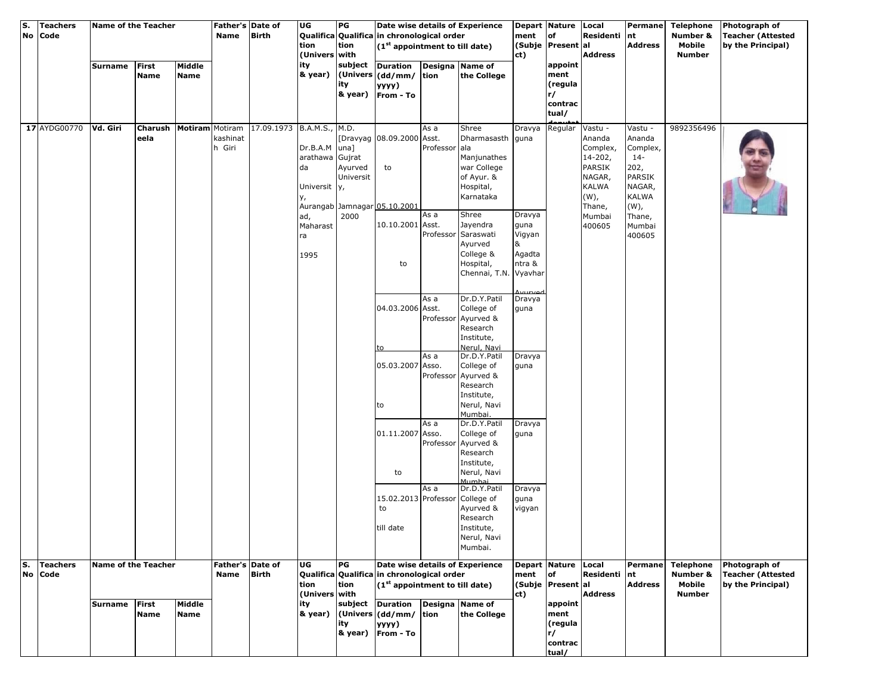| S.<br>No | Teachers<br>Code        | Name of the Teacher |                                            |                       | Father's Date of<br><b>Name</b> | <b>Birth</b>              | UG                                                                                           | PG                                      | Qualifica Qualifica in chronological order                                               |                               | Date wise details of Experience                                                                                                                                     | ment                                    | Depart Nature Local<br><b>of</b>                     | Residenti                                                                                                             | Permane<br>nt                                                                                                               | <b>Telephone</b><br>Number &                            | Photograph of<br><b>Teacher (Attested</b>                      |
|----------|-------------------------|---------------------|--------------------------------------------|-----------------------|---------------------------------|---------------------------|----------------------------------------------------------------------------------------------|-----------------------------------------|------------------------------------------------------------------------------------------|-------------------------------|---------------------------------------------------------------------------------------------------------------------------------------------------------------------|-----------------------------------------|------------------------------------------------------|-----------------------------------------------------------------------------------------------------------------------|-----------------------------------------------------------------------------------------------------------------------------|---------------------------------------------------------|----------------------------------------------------------------|
|          |                         |                     |                                            |                       |                                 |                           | tion<br>(Univers with                                                                        | tion                                    | (1 <sup>st</sup> appointment to till date)                                               |                               |                                                                                                                                                                     | ct)                                     | (Subje Present al                                    | <b>Address</b>                                                                                                        | <b>Address</b>                                                                                                              | Mobile<br><b>Number</b>                                 | by the Principal)                                              |
|          |                         | Surname             | <b>First</b><br>Name                       | Middle<br><b>Name</b> |                                 |                           | ity<br>& year)                                                                               | subject<br>ity<br>& year)               | <b>Duration</b><br>(Univers (dd/mm/ tion<br>уууу)<br>From - To                           |                               | Designa Name of<br>the College                                                                                                                                      |                                         | appoint<br>ment<br>(regula<br>r/<br>contrac<br>tual/ |                                                                                                                       |                                                                                                                             |                                                         |                                                                |
|          | 17 AYDG00770            | Vd. Giri            | <b>Charush   Motiram   Motiram</b><br>eela |                       | kashinat<br>h Giri              | 17.09.1973 B.A.M.S., M.D. | Dr.B.A.M<br>arathawa Gujrat<br>da<br>Universit <sub>y</sub> ,<br>у,<br>ad,<br>Maharast<br>ra | $una$ ]<br>Ayurved<br>Universit<br>2000 | [Dravyag 08.09.2000 Asst.<br>to<br>Aurangab Jamnagar 05.10.2001<br>10.10.2001 Asst.      | As a<br>Professor ala<br>As a | Shree<br>Dharmasasth guna<br>Manjunathes<br>war College<br>of Ayur. &<br>Hospital,<br>Karnataka<br>Shree<br>Jayendra<br>Professor Saraswati<br>Ayurved<br>College & | Dravya<br>guna<br>Vigyan<br>&<br>Agadta | Dravya Regular                                       | Vastu -<br>Ananda<br>Complex,<br>14-202,<br>PARSIK<br>NAGAR,<br><b>KALWA</b><br>$(W)$ ,<br>Thane,<br>Mumbai<br>400605 | Vastu -<br>Ananda<br>Complex,<br>$14-$<br>202,<br>PARSIK<br>NAGAR,<br><b>KALWA</b><br>$(W)$ ,<br>Thane,<br>Mumbai<br>400605 | 9892356496                                              |                                                                |
|          |                         |                     |                                            |                       |                                 |                           | 1995                                                                                         |                                         | to                                                                                       |                               | Hospital,<br>Chennai, T.N. Vyavhar                                                                                                                                  | ntra &                                  |                                                      |                                                                                                                       |                                                                                                                             |                                                         |                                                                |
|          |                         |                     |                                            |                       |                                 |                           |                                                                                              |                                         | 04.03.2006 Asst.<br>to                                                                   | As a                          | Dr.D.Y.Patil<br>College of<br>Professor Ayurved &<br>Research<br>Institute,<br>Nerul, Navi                                                                          | Dravya<br>guna                          |                                                      |                                                                                                                       |                                                                                                                             |                                                         |                                                                |
|          |                         |                     |                                            |                       |                                 |                           |                                                                                              |                                         | 05.03.2007 Asso.<br>to                                                                   | As a                          | Dr.D.Y.Patil<br>College of<br>Professor Ayurved &<br>Research<br>Institute,<br>Nerul, Navi<br>Mumbai.                                                               | Dravya<br>guna                          |                                                      |                                                                                                                       |                                                                                                                             |                                                         |                                                                |
|          |                         |                     |                                            |                       |                                 |                           |                                                                                              |                                         | 01.11.2007 Asso.<br>to                                                                   | As a                          | Dr.D.Y.Patil<br>College of<br>Professor Ayurved &<br>Research<br>Institute,<br>Nerul, Navi                                                                          | Dravya<br>guna                          |                                                      |                                                                                                                       |                                                                                                                             |                                                         |                                                                |
|          |                         |                     |                                            |                       |                                 |                           |                                                                                              |                                         | 15.02.2013 Professor College of<br>to<br>till date                                       | As a                          | Mumhai<br>Dr.D.Y.Patil<br>Ayurved &<br>Research<br>Institute,<br>Nerul, Navi<br>Mumbai.                                                                             | Dravya<br>guna<br>vigyan                |                                                      |                                                                                                                       |                                                                                                                             |                                                         |                                                                |
| s.<br>No | <b>Teachers</b><br>Code | Name of the Teacher |                                            |                       | Father's Date of<br><b>Name</b> | <b>Birth</b>              | UG<br>tion<br>(Univers with                                                                  | PG<br>tion                              | Qualifica Qualifica in chronological order<br>(1 <sup>st</sup> appointment to till date) |                               | Date wise details of Experience                                                                                                                                     | ment<br>ct)                             | Depart Nature<br><b>of</b><br>(Subje Present al      | Local<br><b>Residenti</b><br>Address                                                                                  | Permane<br>nt<br><b>Address</b>                                                                                             | <b>Telephone</b><br>Number &<br>Mobile<br><b>Number</b> | Photograph of<br><b>Teacher (Attested</b><br>by the Principal) |
|          |                         | Surname             | <b>First</b><br>Name                       | Middle<br><b>Name</b> |                                 |                           | ity<br>& year)                                                                               | subject<br>ity                          | <b>Duration</b><br>(Univers (dd/mm/ tion<br>уууу)<br>& year) From - To                   |                               | Designa Name of<br>the College                                                                                                                                      |                                         | appoint<br>ment<br>(regula<br>r/<br>contrac<br>tual/ |                                                                                                                       |                                                                                                                             |                                                         |                                                                |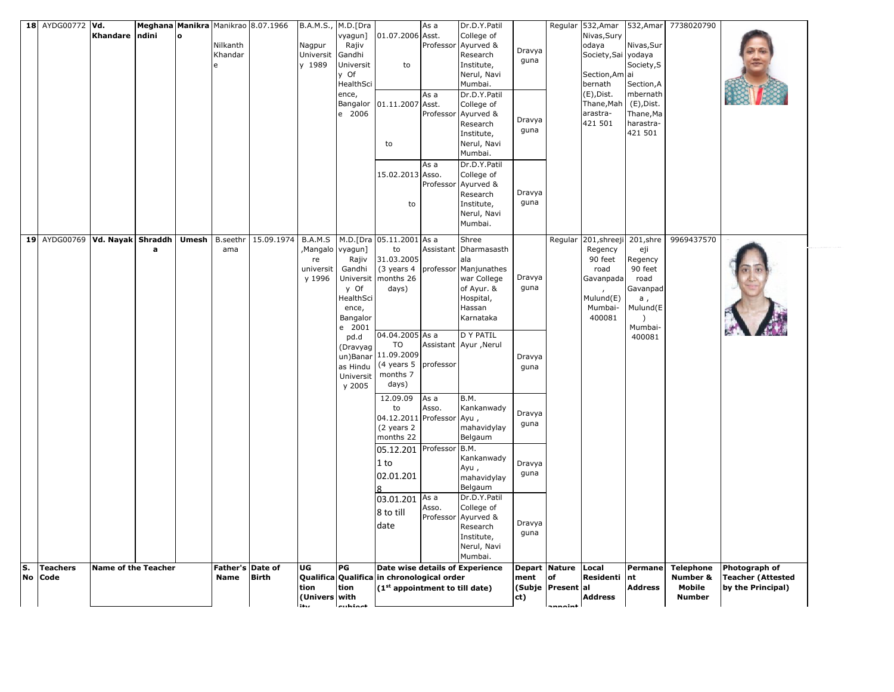|    | 18 AYDG00772 Vd.               |                            |       |       |                                 | Meghana Manikra Manikrao 8.07.1966 |                                       | B.A.M.S., M.D.[Dra                                                                          |                                                                                | As a                                    | Dr.D.Y.Patil                                                                                                                                                    |                                  |                                                                    | Regular 532, Amar 532, Amar                                                                                                 |                                                                                                       | 7738020790                                              |                                                                |
|----|--------------------------------|----------------------------|-------|-------|---------------------------------|------------------------------------|---------------------------------------|---------------------------------------------------------------------------------------------|--------------------------------------------------------------------------------|-----------------------------------------|-----------------------------------------------------------------------------------------------------------------------------------------------------------------|----------------------------------|--------------------------------------------------------------------|-----------------------------------------------------------------------------------------------------------------------------|-------------------------------------------------------------------------------------------------------|---------------------------------------------------------|----------------------------------------------------------------|
|    |                                | Khandare                   | ndini | ١o    | Nilkanth<br>Khandar<br>ė        |                                    | Nagpur<br>Universit<br>y 1989         | vyagun]<br>Rajiv<br>Gandhi<br>Universit<br>y Of<br>HealthSci<br>ence,<br>Bangalor<br>e 2006 | 01.07.2006 Asst.<br>to<br>01.11.2007<br>to                                     | Professor<br>As a<br>Asst.<br>Professor | College of<br>Ayurved &<br>Research<br>Institute,<br>Nerul, Navi<br>Mumbai.<br>Dr.D.Y.Patil<br>College of<br>Ayurved &<br>Research<br>Institute,<br>Nerul, Navi | Dravya<br>guna<br>Dravya<br>guna |                                                                    | Nivas, Sury<br>odaya<br>Society, Sai yodaya<br>Section, Am ai<br>bernath<br>(E), Dist.<br>Thane, Mah<br>arastra-<br>421 501 | Nivas, Sur<br>Society, S<br>Section, A<br>mbernath<br>(E), Dist.<br>Thane, Ma<br>harastra-<br>421 501 |                                                         |                                                                |
|    | 19 AYDG00769 Vd. Nayak Shraddh |                            |       | Umesh | <b>B.seethr</b>                 | 15.09.1974                         | B.A.M.S                               |                                                                                             | 15.02.2013 Asso.<br>to<br>M.D.[Dra 05.11.2001 As a                             | As a<br>Professor                       | Mumbai.<br>Dr.D.Y.Patil<br>College of<br>Ayurved &<br>Research<br>Institute,<br>Nerul, Navi<br>Mumbai.<br>Shree                                                 | Dravya<br>guna                   | Regular                                                            | 201,shreeji                                                                                                                 | 201,shre                                                                                              | 9969437570                                              |                                                                |
|    |                                |                            | a     |       | ama                             |                                    | ,Mangalo<br>re<br>universit<br>y 1996 | vyagun]<br>Rajiv<br>Gandhi<br>Universit<br>y Of<br>HealthSci<br>ence,<br>Bangalor<br>e 2001 | to<br>31.03.2005<br>(3 years 4<br>months 26<br>days)                           |                                         | Assistant Dharmasasth<br>ala<br>professor Manjunathes<br>war College<br>of Ayur. &<br>Hospital,<br>Hassan<br>Karnataka                                          | Dravya<br>guna                   |                                                                    | Regency<br>90 feet<br>road<br>Gavanpada<br>Mulund(E)<br>Mumbai-<br>400081                                                   | eji<br>Regency<br>90 feet<br>road<br>Gavanpad<br>а,<br>Mulund(E<br>$\rightarrow$<br>Mumbai-           |                                                         |                                                                |
|    |                                |                            |       |       |                                 |                                    |                                       | pd.d<br>(Dravyag<br>un)Banar<br>as Hindu<br>Universit<br>y 2005                             | 04.04.2005 As a<br>TO<br>11.09.2009<br>(4 years 5<br>months 7<br>days)         | professor                               | D Y PATIL<br>Assistant Ayur , Nerul                                                                                                                             | Dravya<br>guna                   |                                                                    |                                                                                                                             | 400081                                                                                                |                                                         |                                                                |
|    |                                |                            |       |       |                                 |                                    |                                       |                                                                                             | 12.09.09<br>to<br>04.12.2011<br>(2 years 2<br>months 22                        | As a<br>Asso.<br>Professor Ayu,         | B.M.<br>Kankanwady<br>mahavidylay<br>Belgaum                                                                                                                    | Dravya<br>guna                   |                                                                    |                                                                                                                             |                                                                                                       |                                                         |                                                                |
|    |                                |                            |       |       |                                 |                                    |                                       |                                                                                             | 05.12.201 Professor B.M.<br>1 to<br>02.01.201                                  |                                         | Kankanwady<br>Ayu,<br>mahavidylay<br>Belgaum                                                                                                                    | Dravya<br>guna                   |                                                                    |                                                                                                                             |                                                                                                       |                                                         |                                                                |
|    |                                |                            |       |       |                                 |                                    |                                       |                                                                                             | 03.01.201<br>8 to till<br>date                                                 | As a<br>Asso.<br>Professor              | Dr.D.Y.Patil<br>College of<br>Ayurved &<br>Research<br>Institute,<br>Nerul, Navi<br>Mumbai.                                                                     | Dravya<br>guna                   |                                                                    |                                                                                                                             |                                                                                                       |                                                         |                                                                |
| S. | <b>Teachers</b><br>No Code     | <b>Name of the Teacher</b> |       |       | Father's Date of<br><b>Name</b> | <b>Birth</b>                       | UG<br>tion<br>(Univers with<br>ten.   | PG<br>tion<br>substack                                                                      | Qualifica Qualifica in chronological order<br>$(1st$ appointment to till date) |                                         | Date wise details of Experience                                                                                                                                 | ment<br>ct)                      | Depart Nature Local<br>of<br>(Subje   Present   al<br>$-1 - 1 - 1$ | Residenti<br><b>Address</b>                                                                                                 | <b>Permane</b><br>nt<br>Address                                                                       | <b>Telephone</b><br>Number &<br>Mobile<br><b>Number</b> | Photograph of<br><b>Teacher (Attested</b><br>by the Principal) |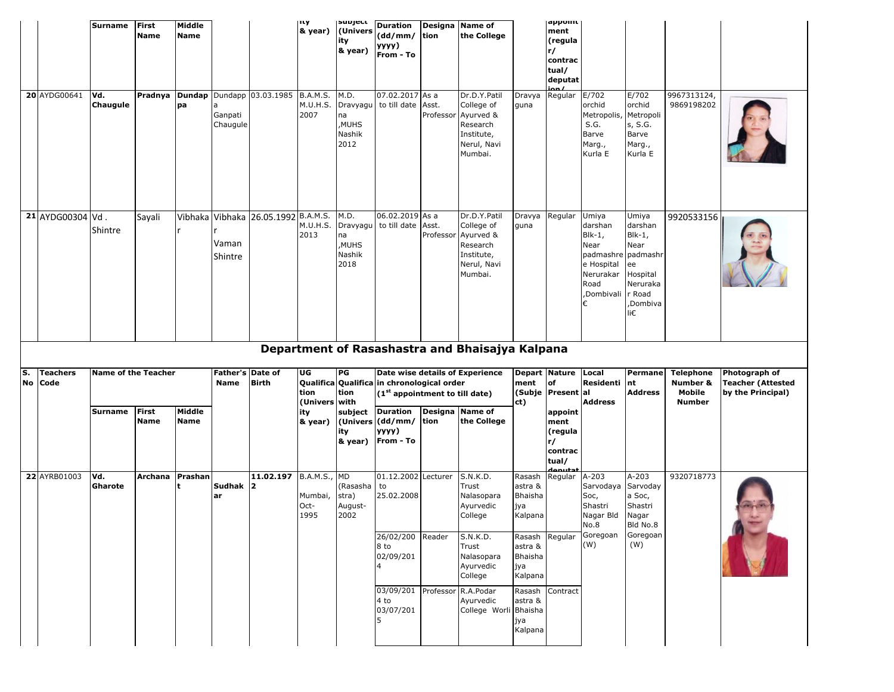|    |                            | <b>Surname</b>             | <b>First</b><br><b>Name</b> | Middle<br><b>Name</b> |                          |                                     | ιτγ<br>& year)                      | supject<br>(Univers<br>ity<br>& year)             | <b>Duration</b><br>(dd/mm/<br>уууу)<br>From - To                               | tion               | Designa Name of<br>the College                                                              |                                                | appoint<br>ment<br>(regula<br>r/<br>contrac<br>tual/<br>deputat |                                                                                                          |                                                                                                              |                                        |                                                                |
|----|----------------------------|----------------------------|-----------------------------|-----------------------|--------------------------|-------------------------------------|-------------------------------------|---------------------------------------------------|--------------------------------------------------------------------------------|--------------------|---------------------------------------------------------------------------------------------|------------------------------------------------|-----------------------------------------------------------------|----------------------------------------------------------------------------------------------------------|--------------------------------------------------------------------------------------------------------------|----------------------------------------|----------------------------------------------------------------|
|    | 20 AYDG00641               | Vd.<br>Chaugule            | Pradnya                     | <b>Dundap</b><br>pa   | Ganpati<br>Chaugule      | Dundapp 03.03.1985                  | <b>B.A.M.S.</b><br>M.U.H.S.<br>2007 | M.D.<br>Dravyagu<br>na<br>,MUHS<br>Nashik<br>2012 | 07.02.2017 As a<br>to till date                                                | Asst.<br>Professor | Dr.D.Y.Patil<br>College of<br>Ayurved &<br>Research<br>Institute,<br>Nerul, Navi<br>Mumbai. | Dravya<br>guna                                 | Regular                                                         | E/702<br>orchid<br>Metropolis,<br>S.G.<br>Barve<br>Marg.,<br>Kurla E                                     | E/702<br>orchid<br>Metropoli<br>s, S.G.<br>Barve<br>Marg.,<br>Kurla E                                        | 9967313124,<br>9869198202              |                                                                |
|    | 21 AYDG00304 Vd.           | Shintre                    | Sayali                      |                       | Vaman<br>Shintre         | Vibhaka Vibhaka 26.05.1992 B.A.M.S. | M.U.H.S.<br>2013                    | M.D.<br>na<br>,MUHS<br>Nashik<br>2018             | 06.02.2019 As a<br>Dravyagu to till date                                       | Asst.<br>Professor | Dr.D.Y.Patil<br>College of<br>Ayurved &<br>Research<br>Institute,<br>Nerul, Navi<br>Mumbai. | Dravya<br>guna                                 | Regular                                                         | Umiya<br>darshan<br>$B$ lk-1,<br>Near<br>padmashre<br>e Hospital<br>Nerurakar<br>Road<br>.Dombivali<br>€ | Umiya<br>darshan<br>$B$ lk-1,<br>Near<br>padmashr<br>ee<br>Hospital<br>Neruraka<br>r Road<br>,Dombiva<br>li€ | 9920533156                             |                                                                |
|    |                            |                            |                             |                       |                          |                                     |                                     |                                                   |                                                                                |                    | Department of Rasashastra and Bhaisajya Kalpana                                             |                                                |                                                                 |                                                                                                          |                                                                                                              |                                        |                                                                |
| S. | <b>Teachers</b><br>No Code | <b>Name of the Teacher</b> |                             |                       | Father's Date of<br>Name | <b>Birth</b>                        | UG<br>tion                          | PG<br>tion                                        | Qualifica Qualifica in chronological order<br>$(1st$ appointment to till date) |                    | Date wise details of Experience                                                             | Depart Nature<br>ment                          | of<br>(Subje Present al                                         | Local<br>Residenti                                                                                       | Permane<br>nt<br><b>Address</b>                                                                              | <b>Telephone</b><br>Number &<br>Mobile | Photograph of<br><b>Teacher (Attested</b><br>by the Principal) |
|    |                            | Surname                    | First<br><b>Name</b>        | Middle<br><b>Name</b> |                          |                                     | (Univers with<br>ity<br>& year)     | subject<br>ity<br>& year)                         | <b>Duration</b><br>(Univers (dd/mm/<br>yyyy)<br>From - To                      | tion               | Designa Name of<br>the College                                                              | ct)                                            | appoint<br>ment<br>(regula<br>r/<br>contrac<br>tual/            | <b>Address</b>                                                                                           |                                                                                                              | <b>Number</b>                          |                                                                |
|    | 22 AYRB01003               | Vd.<br>Gharote             | Archana                     | Prashan               | Sudhak 2<br>ar           | 11.02.197 B.A.M.S.,                 | Mumbai,<br>Oct-<br>1995             | MD<br>(Rasasha<br>stra)<br>August-<br>2002        | 01.12.2002 Lecturer<br>  to<br>25.02.2008                                      |                    | S.N.K.D.<br>Trust<br>Nalasopara<br>Ayurvedic<br>College                                     | Rasash<br>astra &<br>Bhaisha<br>јуа<br>Kalpana | حثيبمما<br>Regular                                              | $A-203$<br>Sarvodaya Sarvoday<br>Soc,<br>Shastri<br>Nagar Bld<br>No.8                                    | A-203<br>a Soc,<br>Shastri<br>Nagar<br>Bld No.8                                                              | 9320718773                             |                                                                |
|    |                            |                            |                             |                       |                          |                                     |                                     |                                                   | 26/02/200<br>8 to<br>02/09/201<br>4                                            | Reader             | S.N.K.D.<br>Trust<br>Nalasopara<br>Ayurvedic                                                | Rasash<br>astra &<br>Bhaisha<br>јуа            | Regular                                                         | Goregoan<br>(W)                                                                                          | Goregoan<br>(W)                                                                                              |                                        |                                                                |
|    |                            |                            |                             |                       |                          |                                     |                                     |                                                   | 03/09/201                                                                      | Professor          | College<br>R.A.Podar                                                                        | Kalpana<br>Rasash                              | Contract                                                        |                                                                                                          |                                                                                                              |                                        |                                                                |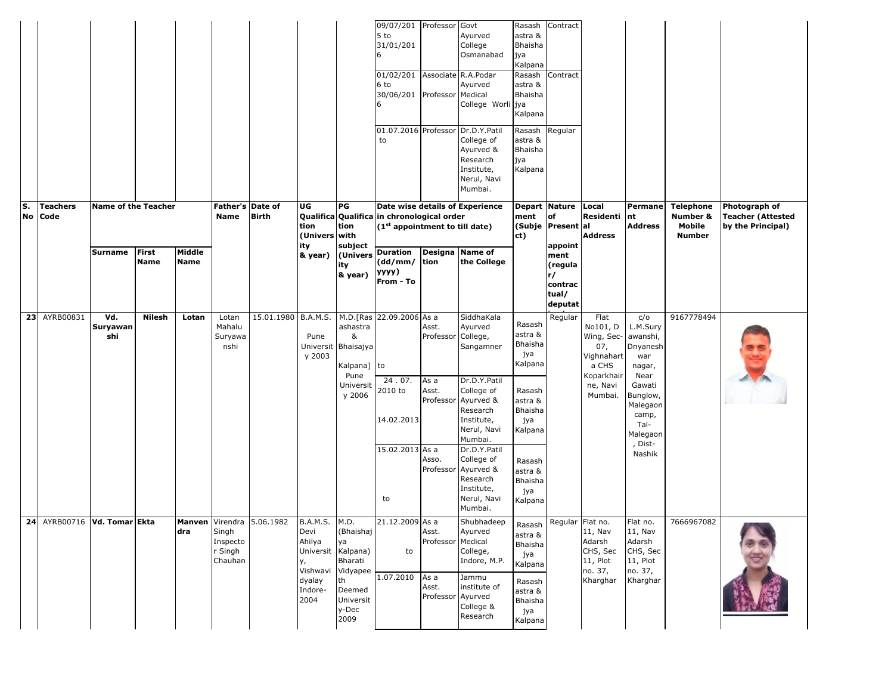|    |         |                 |                                              |               |             |                                         |                                               |                                                                                            |                                                             | 09/07/201 Professor<br>5 to<br>31/01/201<br>01/02/201 Associate R.A.Podar<br>6 to<br>30/06/201 Professor Medical<br>01.07.2016 Professor Dr.D.Y.Patil<br>to |                                    | Govt<br>Ayurved<br>College<br>Osmanabad<br>Ayurved<br>College Worli jya<br>College of<br>Ayurved &<br>Research<br>Institute,<br>Nerul, Navi<br>Mumbai. | Rasash<br>astra &<br><b>Bhaisha</b><br>јуа<br>Kalpana<br>Rasash<br>astra &<br>Bhaisha<br>Kalpana<br>Rasash Regular<br>astra &<br>Bhaisha<br>jya<br>Kalpana | Contract<br>Contract                         |                                                                                     |                                                                                |                                                         |                                                                |
|----|---------|-----------------|----------------------------------------------|---------------|-------------|-----------------------------------------|-----------------------------------------------|--------------------------------------------------------------------------------------------|-------------------------------------------------------------|-------------------------------------------------------------------------------------------------------------------------------------------------------------|------------------------------------|--------------------------------------------------------------------------------------------------------------------------------------------------------|------------------------------------------------------------------------------------------------------------------------------------------------------------|----------------------------------------------|-------------------------------------------------------------------------------------|--------------------------------------------------------------------------------|---------------------------------------------------------|----------------------------------------------------------------|
| S. | No Code | <b>Teachers</b> | <b>Name of the Teacher</b><br><b>Surname</b> | <b>First</b>  | Middle      | Father's Date of<br><b>Name</b>         | <b>Birth</b>                                  | UG<br>tion<br>(Univers with<br>ity<br>& year)                                              | PG<br>tion<br>subject<br>(Univers                           | Qualifica Qualifica in chronological order<br>(1 <sup>st</sup> appointment to till date)<br><b>Duration</b>                                                 | Designa Name of                    | Date wise details of Experience                                                                                                                        | Depart Nature<br>ment<br>ct)                                                                                                                               | of<br>(Subje Present al<br>appoint<br>ment   | Local<br>Residenti<br><b>Address</b>                                                | Permane<br>nt<br><b>Address</b>                                                | <b>Telephone</b><br>Number &<br>Mobile<br><b>Number</b> | Photograph of<br><b>Teacher (Attested</b><br>by the Principal) |
|    |         |                 |                                              | <b>Name</b>   | <b>Name</b> |                                         |                                               |                                                                                            | ity<br>& year)                                              | (dd/mm/ tion<br>yyyy)<br>From - To                                                                                                                          |                                    | the College                                                                                                                                            |                                                                                                                                                            | (regula<br>r/<br>contrac<br>tual/<br>deputat |                                                                                     |                                                                                |                                                         |                                                                |
|    |         | 23 AYRB00831    | Vd.<br>Suryawan<br>shi                       | <b>Nilesh</b> | Lotan       | Lotan<br>Mahalu<br>Suryawa<br>nshi      | 15.01.1980 B.A.M.S. M.D. [Ras 22.09.2006 As a | Pune<br>y 2003                                                                             | ashastra<br>&<br>Universit Bhaisajya<br>Kalpana] to<br>Pune |                                                                                                                                                             | Asst.<br>Professor College,        | SiddhaKala<br>Ayurved<br>Sangamner                                                                                                                     | Rasash<br>astra &<br><b>Bhaisha</b><br>јуа<br>Kalpana                                                                                                      | Regular                                      | Flat<br>No101, D<br>Wing, Sec- awanshi,<br>07,<br>Vighnahart<br>a CHS<br>Koparkhair | c/o<br>L.M.Sury<br>Dnyanesh<br>war<br>nagar,<br>Near                           | 9167778494                                              |                                                                |
|    |         |                 |                                              |               |             |                                         |                                               |                                                                                            | Universit<br>y 2006                                         | 24.07.<br>2010 to<br>14.02.2013                                                                                                                             | As a<br>Asst.                      | Dr.D.Y.Patil<br>College of<br>Professor Ayurved &<br>Research<br>Institute,<br>Nerul, Navi<br>Mumbai.                                                  | Rasash<br>astra &<br>Bhaisha<br>јуа<br>Kalpana                                                                                                             |                                              | ne, Navi<br>Mumbai.                                                                 | Gawati<br>Bunglow,<br>Malegaon<br>camp,<br>Tal-<br>Malegaon                    |                                                         |                                                                |
|    |         |                 |                                              |               |             |                                         |                                               |                                                                                            |                                                             | 15.02.2013 As a<br>to                                                                                                                                       | Asso.                              | Dr.D.Y.Patil<br>College of<br>Professor Ayurved &<br>Research<br>Institute,<br>Nerul, Navi<br>Mumbai.                                                  | Rasash<br>astra &<br>Bhaisha<br>јуа<br>Kalpana                                                                                                             |                                              |                                                                                     | Dist-<br>Nashik                                                                |                                                         |                                                                |
|    |         |                 | 24 AYRB00716   Vd. Tomar Ekta                |               | dra         | Singh<br>Inspecto<br>r Singh<br>Chauhan | Manven Virendra 5.06.1982                     | B.A.M.S. M.D.<br>Devi<br>Ahilya<br>Universit Kalpana)<br>у,<br>Vishwavi Vidyapee<br>dyalay | (Bhaishaj<br>ya<br>Bharati<br>th                            | 21.12.2009 As a<br>to<br>1.07.2010                                                                                                                          | Asst.<br>Professor Medical<br>As a | Shubhadeep<br>Ayurved<br>College,<br>Indore, M.P.<br>Jammu                                                                                             | astra &<br><b>Bhaisha</b><br>јуа<br>Kalpana<br>Rasash                                                                                                      | Rasash Regular Flat no.                      | $11,$ Nav<br>Adarsh<br>CHS, Sec<br>11, Plot<br>no. 37,<br>Kharghar                  | Flat no.<br>$11,$ Nav<br>Adarsh<br>CHS, Sec<br>11, Plot<br>no. 37,<br>Kharghar | 7666967082                                              |                                                                |
|    |         |                 |                                              |               |             |                                         |                                               | Indore-<br>2004                                                                            | Deemed<br>Universit<br>y-Dec<br>2009                        |                                                                                                                                                             | Asst.<br>Professor Ayurved         | institute of<br>College &<br>Research                                                                                                                  | astra &<br><b>Bhaisha</b><br>јуа<br>Kalpana                                                                                                                |                                              |                                                                                     |                                                                                |                                                         |                                                                |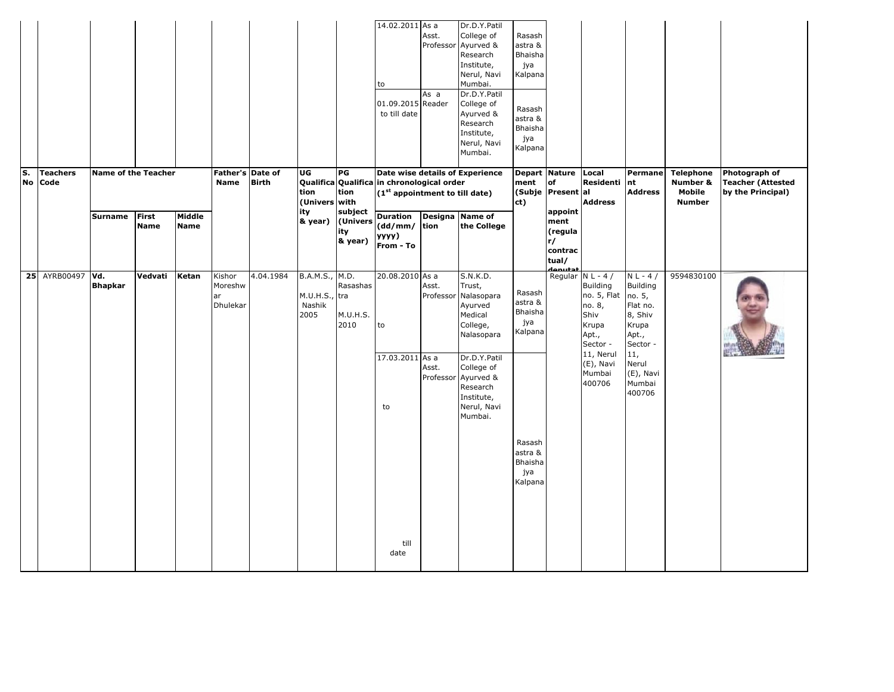|    |           |                         |                            |                             |                       |                                     |              |                                                   |                                       | 14.02.2011 As a<br>to<br>01.09.2015 Reader<br>to till date                                                                  | Asst.<br>Professor<br>As a | Dr.D.Y.Patil<br>College of<br>Ayurved &<br>Research<br>Institute,<br>Nerul, Navi<br>Mumbai.<br>Dr.D.Y.Patil<br>College of<br>Ayurved &<br>Research<br>Institute,<br>Nerul, Navi<br>Mumbai. | Rasash<br>astra &<br>Bhaisha<br>јуа<br>Kalpana<br>Rasash<br>astra &<br>Bhaisha<br>јуа<br>Kalpana |                                                                 |                                                                                |                                                                                               |                                                         |                                                                |
|----|-----------|-------------------------|----------------------------|-----------------------------|-----------------------|-------------------------------------|--------------|---------------------------------------------------|---------------------------------------|-----------------------------------------------------------------------------------------------------------------------------|----------------------------|--------------------------------------------------------------------------------------------------------------------------------------------------------------------------------------------|--------------------------------------------------------------------------------------------------|-----------------------------------------------------------------|--------------------------------------------------------------------------------|-----------------------------------------------------------------------------------------------|---------------------------------------------------------|----------------------------------------------------------------|
| S. | <b>No</b> | <b>Teachers</b><br>Code | <b>Name of the Teacher</b> |                             |                       | Father's Date of<br>Name            | <b>Birth</b> | UG<br>tion<br>(Univers with                       | PG<br>tion                            | Date wise details of Experience<br>Qualifica Qualifica in chronological order<br>(1 <sup>st</sup> appointment to till date) |                            |                                                                                                                                                                                            | ment<br>ct)                                                                                      | Depart Nature Local<br>of<br>(Subje Present al                  | Residenti<br><b>Address</b>                                                    | Permane<br>nt<br><b>Address</b>                                                               | <b>Telephone</b><br>Number &<br>Mobile<br><b>Number</b> | Photograph of<br><b>Teacher (Attested</b><br>by the Principal) |
|    |           |                         | <b>Surname</b>             | <b>First</b><br><b>Name</b> | Middle<br><b>Name</b> |                                     |              | ity<br>& year)                                    | subject<br>(Univers<br>ity<br>& year) | <b>Duration</b><br>(dd/mm/<br>yyyy)<br>From - To                                                                            | tion                       | Designa Name of<br>the College                                                                                                                                                             |                                                                                                  | appoint<br>ment<br>(regula<br>r/<br>contrac<br>tual/<br>نحفسهمه |                                                                                |                                                                                               |                                                         |                                                                |
|    |           | 25 AYRB00497            | Vd.<br><b>Bhapkar</b>      | Vedvati                     | Ketan                 | Kishor<br>Moreshw<br>ar<br>Dhulekar | 4.04.1984    | B.A.M.S., M.D.<br>M.U.H.S., tra<br>Nashik<br>2005 | Rasashas<br>M.U.H.S.<br>2010          | 20.08.2010 As a<br>to                                                                                                       | Asst.<br>Professor         | S.N.K.D.<br>Trust,<br>Nalasopara<br>Ayurved<br>Medical<br>College,<br>Nalasopara                                                                                                           | Rasash<br>astra &<br>Bhaisha<br>јуа<br>Kalpana                                                   | Regular N L - 4 /                                               | <b>Building</b><br>no. 5, Flat<br>no. 8,<br>Shiv<br>Krupa<br>Apt.,<br>Sector - | $N L - 4 /$<br><b>Building</b><br>no. 5,<br>Flat no.<br>8, Shiv<br>Krupa<br>Apt.,<br>Sector - | 9594830100                                              |                                                                |
|    |           |                         |                            |                             |                       |                                     |              |                                                   |                                       | 17.03.2011 As a<br>to                                                                                                       | Asst.<br>Professor         | Dr.D.Y.Patil<br>College of<br>Ayurved &<br>Research<br>Institute,<br>Nerul, Navi<br>Mumbai.                                                                                                | Rasash                                                                                           |                                                                 | 11, Nerul<br>(E), Navi<br>Mumbai<br>400706                                     | 11,<br>Nerul<br>(E), Navi<br>Mumbai<br>400706                                                 |                                                         |                                                                |
|    |           |                         |                            |                             |                       |                                     |              |                                                   |                                       | till<br>date                                                                                                                |                            |                                                                                                                                                                                            | astra &<br>Bhaisha<br>јуа<br>Kalpana                                                             |                                                                 |                                                                                |                                                                                               |                                                         |                                                                |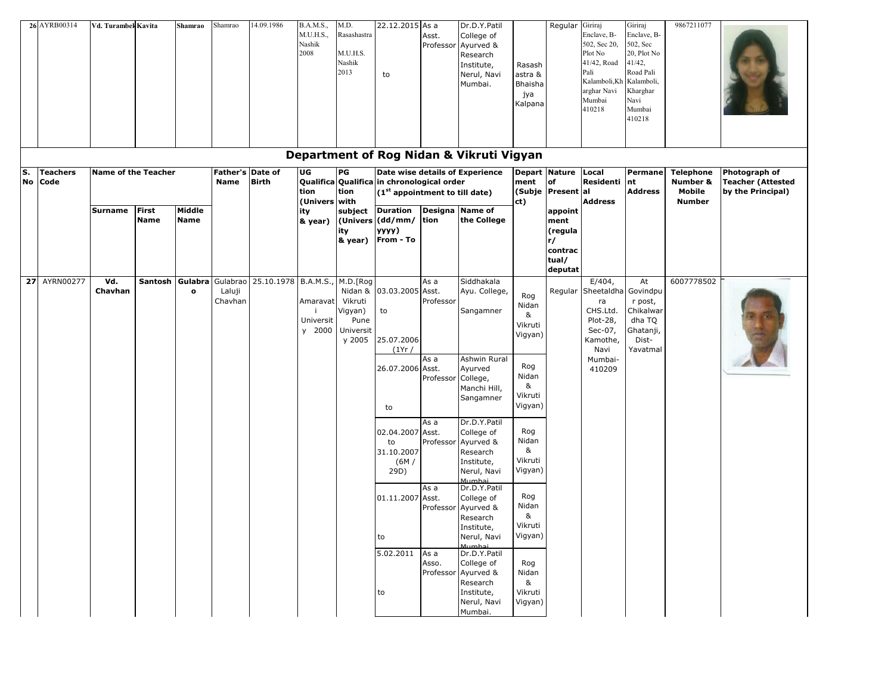|          | 26 AYRB00314            | Vd. Turambek Kavita        |                      | Shamrao                 | Shamrao                  | 14.09.1986          | <b>B.A.M.S.,</b><br>M.U.H.S.,<br>Nashik<br>2008    | M.D.<br>Rasashastra<br>M.U.H.S.<br>Nashik<br>2013                        | 22.12.2015 As a<br>to                                                                    | Asst.<br>Professor                     | Dr.D.Y.Patil<br>College of<br>Ayurved &<br>Research<br>Institute,<br>Nerul, Navi<br>Mumbai.     | Rasash<br>astra &<br>Bhaisha<br>јуа<br>Kalpana               | Regular                                                         | Giriraj<br>Enclave, B-<br>502, Sec 20,<br>Plot No<br>41/42, Road<br>Pali<br>Kalamboli, Kh<br>arghar Navi<br>Mumbai<br>410218 | Giriraj<br>Enclave, B-<br>502, Sec<br>20, Plot No<br>41/42,<br>Road Pali<br>Kalamboli,<br>Kharghar<br>Navi<br>Mumbai<br>410218 | 9867211077                             |                                                                |
|----------|-------------------------|----------------------------|----------------------|-------------------------|--------------------------|---------------------|----------------------------------------------------|--------------------------------------------------------------------------|------------------------------------------------------------------------------------------|----------------------------------------|-------------------------------------------------------------------------------------------------|--------------------------------------------------------------|-----------------------------------------------------------------|------------------------------------------------------------------------------------------------------------------------------|--------------------------------------------------------------------------------------------------------------------------------|----------------------------------------|----------------------------------------------------------------|
|          |                         |                            |                      |                         |                          |                     |                                                    |                                                                          |                                                                                          |                                        | Department of Rog Nidan & Vikruti Vigyan                                                        |                                                              |                                                                 |                                                                                                                              |                                                                                                                                |                                        |                                                                |
| s.<br>No | <b>Teachers</b><br>Code | <b>Name of the Teacher</b> |                      |                         | Father's Date of<br>Name | <b>Birth</b>        | UG<br>tion                                         | PG<br>tion                                                               | Qualifica Qualifica in chronological order<br>(1 <sup>st</sup> appointment to till date) |                                        | Date wise details of Experience                                                                 | Depart Nature<br>ment                                        | <b>of</b><br>(Subje Present al                                  | Local<br>Residenti                                                                                                           | Permane<br>nt<br><b>Address</b>                                                                                                | <b>Telephone</b><br>Number &<br>Mobile | Photograph of<br><b>Teacher (Attested</b><br>by the Principal) |
|          |                         | Surname                    | First<br><b>Name</b> | Middle<br><b>Name</b>   |                          |                     | (Univers with<br>ity<br>& year)                    | subject<br>ity<br>& year)                                                | <b>Duration</b><br>(Univers (dd/mm/ tion<br>уууу)<br>From - To                           |                                        | Designa Name of<br>the College                                                                  | ct)                                                          | appoint<br>ment<br>(regula<br>r/<br>contrac<br>tual/<br>deputat | <b>Address</b>                                                                                                               |                                                                                                                                | <b>Number</b>                          |                                                                |
|          | <b>27 AYRN00277</b>     | Vd.<br>Chavhan             | Santosh              | Gulabra<br>$\mathbf{o}$ | Laluji<br>Chavhan        | Gulabrao 25.10.1978 | <b>B.A.M.S.</b><br>Amaravat<br>Universit<br>y 2000 | M.D.[Rog<br>Nidan &<br>Vikruti<br>Vigyan)<br>Pune<br>Universit<br>y 2005 | 03.03.2005 Asst.<br>to<br>25.07.2006<br>(1Yr/<br>26.07.2006 Asst.                        | As a<br>Professor<br>As a<br>Professor | Siddhakala<br>Ayu. College,<br>Sangamner<br>Ashwin Rural<br>Ayurved<br>College,<br>Manchi Hill, | Rog<br>Nidan<br>&<br>Vikruti<br>Vigyan)<br>Rog<br>Nidan<br>& | Regular                                                         | $E/404$ ,<br>Sheetaldha Govindpu<br>ra<br>CHS.Ltd.<br>Plot-28,<br>Sec-07,<br>Kamothe,<br>Navi<br>Mumbai-<br>410209           | At<br>r post,<br>Chikalwar<br>dha TQ<br>Ghatanji,<br>Dist-<br>Yavatmal                                                         | 6007778502                             |                                                                |
|          |                         |                            |                      |                         |                          |                     |                                                    |                                                                          | to<br>02.04.2007                                                                         | As a<br>Asst.                          | Sangamner<br>Dr.D.Y.Patil<br>College of                                                         | Vikruti<br>Vigyan)<br>Rog                                    |                                                                 |                                                                                                                              |                                                                                                                                |                                        |                                                                |
|          |                         |                            |                      |                         |                          |                     |                                                    |                                                                          | to<br>31.10.2007<br>(6M)<br>29D)                                                         | Professor                              | Ayurved &<br>Research<br>Institute,<br>Nerul, Navi<br>Mumhai                                    | Nidan<br>&<br>Vikruti<br>Vigyan)                             |                                                                 |                                                                                                                              |                                                                                                                                |                                        |                                                                |
|          |                         |                            |                      |                         |                          |                     |                                                    |                                                                          | 01.11.2007 Asst.                                                                         | As a                                   | Dr.D.Y.Patil<br>College of<br>Professor Ayurved &<br>Research<br>Institute,                     | Rog<br>Nidan<br>&<br>Vikruti                                 |                                                                 |                                                                                                                              |                                                                                                                                |                                        |                                                                |
|          |                         |                            |                      |                         |                          |                     |                                                    |                                                                          | to                                                                                       |                                        | Nerul, Navi<br>Mumhai                                                                           | Vigyan)                                                      |                                                                 |                                                                                                                              |                                                                                                                                |                                        |                                                                |
|          |                         |                            |                      |                         |                          |                     |                                                    |                                                                          | 5.02.2011<br>to                                                                          | As a<br>Asso.<br>Professor             | Dr.D.Y.Patil<br>College of<br>Ayurved &<br>Research<br>Institute,<br>Nerul, Navi<br>Mumbai.     | Rog<br>Nidan<br>&<br>Vikruti<br>Vigyan)                      |                                                                 |                                                                                                                              |                                                                                                                                |                                        |                                                                |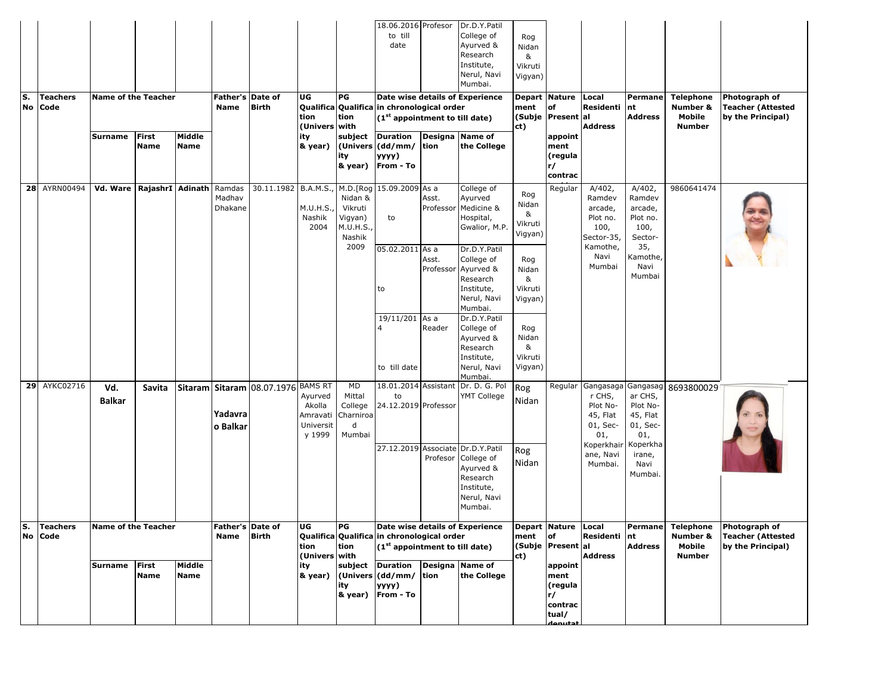| S. | <b>No</b> | Teachers<br>Code    | <b>Name of the Teacher</b>    |                             |                       | Father's Date of<br><b>Name</b> | <b>Birth</b>                                  | UG<br>tion<br>(Univers with                          | PG<br>tion                                                  | 18.06.2016 Profesor<br>to till<br>date<br>Qualifica Qualifica in chronological order<br>$(1st$ appointment to till date) |                    | Dr.D.Y.Patil<br>College of<br>Ayurved &<br>Research<br>Institute,<br>Nerul, Navi<br>Mumbai.<br>Date wise details of Experience | Rog<br>Nidan<br>&<br>Vikruti<br>Vigyan)<br>ment<br>ct) | <b>Depart Nature</b><br>of<br>(Subje   Present al               | Local<br>Residenti<br><b>Address</b>                                         | Permane<br>nt<br><b>Address</b>                                            | <b>Telephone</b><br>Number &<br>Mobile<br><b>Number</b> | Photograph of<br><b>Teacher (Attested</b><br>by the Principal)                   |
|----|-----------|---------------------|-------------------------------|-----------------------------|-----------------------|---------------------------------|-----------------------------------------------|------------------------------------------------------|-------------------------------------------------------------|--------------------------------------------------------------------------------------------------------------------------|--------------------|--------------------------------------------------------------------------------------------------------------------------------|--------------------------------------------------------|-----------------------------------------------------------------|------------------------------------------------------------------------------|----------------------------------------------------------------------------|---------------------------------------------------------|----------------------------------------------------------------------------------|
|    |           |                     | <b>Surname</b>                | <b>First</b><br><b>Name</b> | Middle<br><b>Name</b> |                                 |                                               | ity<br>& year)                                       | subject<br>ity                                              | <b>Duration</b><br>(Univers (dd/mm/<br>yyyy)<br>& year)   From - To                                                      | tion               | Designa Name of<br>the College                                                                                                 |                                                        | appoint<br>ment<br>(regula<br>r/<br>contrac                     |                                                                              |                                                                            |                                                         |                                                                                  |
|    |           | 28 AYRN00494        | Vd. Ware   RajashrI   Adinath |                             |                       | Ramdas<br>Madhav<br>Dhakane     | 30.11.1982 B.A.M.S., M.D.[Rog 15.09.2009 As a | M.U.H.S.<br>Nashik<br>2004                           | Nidan &<br>Vikruti<br>Vigyan)<br>M.U.H.S.<br>Nashik<br>2009 | to                                                                                                                       | Asst.              | College of<br>Ayurved<br>Professor Medicine &<br>Hospital,<br>Gwalior, M.P.                                                    | Rog<br>Nidan<br>&<br>Vikruti<br>Vigyan)                | Regular                                                         | A/402,<br>Ramdev<br>arcade,<br>Plot no.<br>100,<br>Sector-35,<br>Kamothe,    | A/402,<br>Ramdev<br>arcade,<br>Plot no.<br>100,<br>Sector-<br>35,          | 9860641474                                              |                                                                                  |
|    |           |                     |                               |                             |                       |                                 |                                               |                                                      |                                                             | 05.02.2011 As a<br>to                                                                                                    | Asst.<br>Professor | Dr.D.Y.Patil<br>College of<br>Ayurved &<br>Research<br>Institute,<br>Nerul, Navi<br>Mumbai.                                    | Rog<br>Nidan<br>&<br>Vikruti<br>Vigyan)                |                                                                 | Navi<br>Mumbai                                                               | Kamothe,<br>Navi<br>Mumbai                                                 |                                                         |                                                                                  |
|    |           |                     |                               |                             |                       |                                 |                                               |                                                      |                                                             | 19/11/201 As a<br>4<br>to till date                                                                                      | Reader             | Dr.D.Y.Patil<br>College of<br>Ayurved &<br>Research<br>Institute,<br>Nerul, Navi<br>Mumbai.                                    | Rog<br>Nidan<br>&<br>Vikruti<br>Vigyan)                |                                                                 |                                                                              |                                                                            |                                                         |                                                                                  |
|    |           | 29 AYKC02716        | Vd.<br><b>Balkar</b>          | Savita                      |                       | Yadavra<br>o Balkar             | Sitaram Sitaram 08.07.1976 BAMS RT            | Ayurved<br>Akolla<br>Amravati<br>Universit<br>y 1999 | MD<br>Mittal<br>College<br>Charniroa<br>d<br>Mumbai         | 18.01.2014 Assistant<br>to<br>24.12.2019 Professor                                                                       |                    | Dr. D. G. Pol<br>YMT College                                                                                                   | Rog<br>Nidan                                           | Regular                                                         | Gangasaga<br>r CHS,<br>Plot No-<br>45, Flat<br>01, Sec-<br>01,<br>Koperkhair | Gangasag<br>ar CHS,<br>Plot No-<br>45, Flat<br>01, Sec-<br>01,<br>Koperkha | 8693800029                                              |                                                                                  |
|    |           |                     |                               |                             |                       |                                 |                                               |                                                      |                                                             |                                                                                                                          | Profesor           | 27.12.2019 Associate Dr.D.Y.Patil<br>College of<br>Ayurved &<br>Research<br>Institute,<br>Nerul, Navi<br>Mumbai.               | Rog<br>Nidan                                           |                                                                 | ane, Navi<br>Mumbai.                                                         | irane,<br>Navi<br>Mumbai.                                                  |                                                         |                                                                                  |
|    | ls.       | Teachers<br>No Code | Name of the Teacher           |                             |                       | Father's Date of<br>Name        | <b>Birth</b>                                  | UG<br>tion<br>(Univers with                          | PG<br>tion                                                  | Qualifica Qualifica in chronological order<br>$(1st$ appointment to till date)                                           |                    | Date wise details of Experience   Depart   Nature   Local                                                                      | ment of<br>ct)                                         | (Subje Present al                                               | Residenti nt<br><b>Address</b>                                               | <b>Address</b>                                                             | Number &<br>Mobile<br><b>Number</b>                     | Permane Telephone Photograph of<br><b>Teacher (Attested</b><br>by the Principal) |
|    |           |                     | Surname First                 | Name                        | Middle<br>Name        |                                 |                                               | ity                                                  | ity                                                         | subject Duration Designa Name of<br>& year) (Univers (dd/mm/ tion<br>yyyy)<br>& year) From - To                          |                    | the College                                                                                                                    |                                                        | appoint<br>ment<br>(regula<br>r/<br>contrac<br>tual/<br>حفييمها |                                                                              |                                                                            |                                                         |                                                                                  |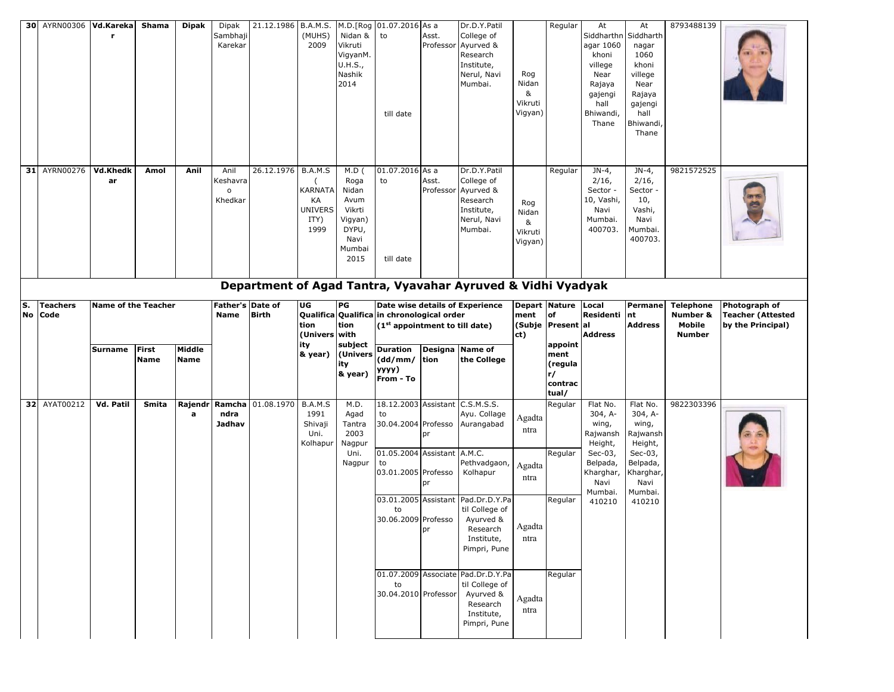|          | 30 AYRN00306 Vd.Kareka  |                            | Shama                       | <b>Dipak</b>          | Dipak<br>Sambhaji<br>Karekar                  | 21.12.1986        | <b>B.A.M.S.</b><br>(MUHS)<br>2009                                 | Nidan &<br>Vikruti<br>VigyanM.<br>U.H.S.,<br>Nashik<br>2014                              | M.D.[Rog 01.07.2016 As a<br>to<br>till date                  | Asst.              | Dr.D.Y.Patil<br>College of<br>Professor Ayurved &<br>Research<br>Institute,<br>Nerul, Navi<br>Mumbai. | Rog<br>Nidan<br>&<br>Vikruti<br>Vigyan) | Regular                                              | At<br>Siddharthn<br>agar 1060<br>khoni<br>villege<br>Near<br>Rajaya<br>gajengi<br>hall<br>Bhiwandi,<br>Thane | At<br>Siddharth<br>nagar<br>1060<br>khoni<br>villege<br>Near<br>Rajaya<br>gajengi<br>hall<br>Bhiwandi<br>Thane | 8793488139                   |                                           |
|----------|-------------------------|----------------------------|-----------------------------|-----------------------|-----------------------------------------------|-------------------|-------------------------------------------------------------------|------------------------------------------------------------------------------------------|--------------------------------------------------------------|--------------------|-------------------------------------------------------------------------------------------------------|-----------------------------------------|------------------------------------------------------|--------------------------------------------------------------------------------------------------------------|----------------------------------------------------------------------------------------------------------------|------------------------------|-------------------------------------------|
| 31       | AYRN00276               | Vd.Khedk<br>ar             | Amol                        | Anil                  | Anil<br>Keshavra<br>$\mathsf{o}\,$<br>Khedkar | 26.12.1976        | B.A.M.S<br><b>KARNATA</b><br>КA<br><b>UNIVERS</b><br>ITY)<br>1999 | $M.D$ (<br>Roga<br>Nidan<br>Avum<br>Vikrti<br>Vigyan)<br>DYPU,<br>Navi<br>Mumbai<br>2015 | 01.07.2016 As a<br>to<br>till date                           | Asst.<br>Professor | Dr.D.Y.Patil<br>College of<br>Ayurved &<br>Research<br>Institute,<br>Nerul, Navi<br>Mumbai.           | Rog<br>Nidan<br>&<br>Vikruti<br>Vigyan) | Regular                                              | $JN-4$ ,<br>$2/16$ ,<br>Sector -<br>10, Vashi,<br>Navi<br>Mumbai.<br>400703.                                 | $JN-4$ ,<br>2/16,<br>Sector -<br>10,<br>Vashi,<br>Navi<br>Mumbai.<br>400703.                                   | 9821572525                   |                                           |
| s.<br>No | <b>Teachers</b><br>Code | <b>Name of the Teacher</b> |                             |                       | Father's Date of<br><b>Name</b>               | <b>Birth</b>      | UG                                                                | PG                                                                                       | Qualifica Qualifica in chronological order                   |                    | Department of Agad Tantra, Vyavahar Ayruved & Vidhi Vyadyak<br>Date wise details of Experience        | ment                                    | Depart Nature Local<br>of                            | Residenti                                                                                                    | Permane<br>nt                                                                                                  | <b>Telephone</b><br>Number & | Photograph of<br><b>Teacher (Attested</b> |
|          |                         |                            |                             |                       |                                               |                   | tion                                                              | tion                                                                                     | (1 <sup>st</sup> appointment to till date)                   |                    |                                                                                                       |                                         | (Subje Present al                                    |                                                                                                              | <b>Address</b>                                                                                                 | Mobile                       | by the Principal)                         |
|          |                         |                            |                             |                       |                                               |                   | (Univers with                                                     |                                                                                          |                                                              |                    |                                                                                                       | ct)                                     |                                                      | <b>Address</b>                                                                                               |                                                                                                                | <b>Number</b>                |                                           |
|          |                         | <b>Surname</b>             | <b>First</b><br><b>Name</b> | Middle<br><b>Name</b> |                                               |                   | ity<br>& year)                                                    | subject<br>(Univers<br>ity<br>& year)                                                    | <b>Duration</b><br>$(dd/mm/$ tion<br>уууу)<br>From - To      | Designa            | Name of<br>the College                                                                                |                                         | appoint<br>ment<br>(regula<br>r/<br>contrac<br>tual/ |                                                                                                              |                                                                                                                |                              |                                           |
|          | 32 AYAT00212            | Vd. Patil                  | Smita                       | Rajendr<br>a          | ndra<br>Jadhav                                | Ramcha 01.08.1970 | B.A.M.S<br>1991<br>Shivaji<br>Uni.                                | M.D.<br>Agad<br>Tantra<br>2003                                                           | 18.12.2003 Assistant C.S.M.S.S.<br>to<br>30.04.2004 Professo | pr                 | Ayu. Collage<br>Aurangabad                                                                            | Agadta<br>ntra                          | Regular                                              | Flat No.<br>$304, A-$<br>wing,<br>Rajwansh                                                                   | Flat No.<br>$304, A-$<br>wing,<br>Rajwansh                                                                     | 9822303396                   |                                           |
|          |                         |                            |                             |                       |                                               |                   | Kolhapur                                                          | Nagpur<br>Uni.<br>Nagpur                                                                 | 01.05.2004 Assistant A.M.C.<br>to<br>03.01.2005 Professo     | pr                 | Pethvadgaon,<br>Kolhapur                                                                              | Agadta<br>ntra                          | Regular                                              | Height,<br>Sec-03,<br>Belpada,<br>Kharghar,<br>Navi                                                          | Height,<br>Sec-03,<br>Belpada,<br>Kharghar,<br>Navi                                                            |                              |                                           |
|          |                         |                            |                             |                       |                                               |                   |                                                                   |                                                                                          | 03.01.2005 Assistant<br>to<br>30.06.2009 Professo            | pr                 | Pad.Dr.D.Y.Pa<br>til College of<br>Ayurved &<br>Research<br>Institute,<br>Pimpri, Pune                | Agadta<br>ntra                          | Regular                                              | Mumbai.<br>410210                                                                                            | Mumbai.<br>410210                                                                                              |                              |                                           |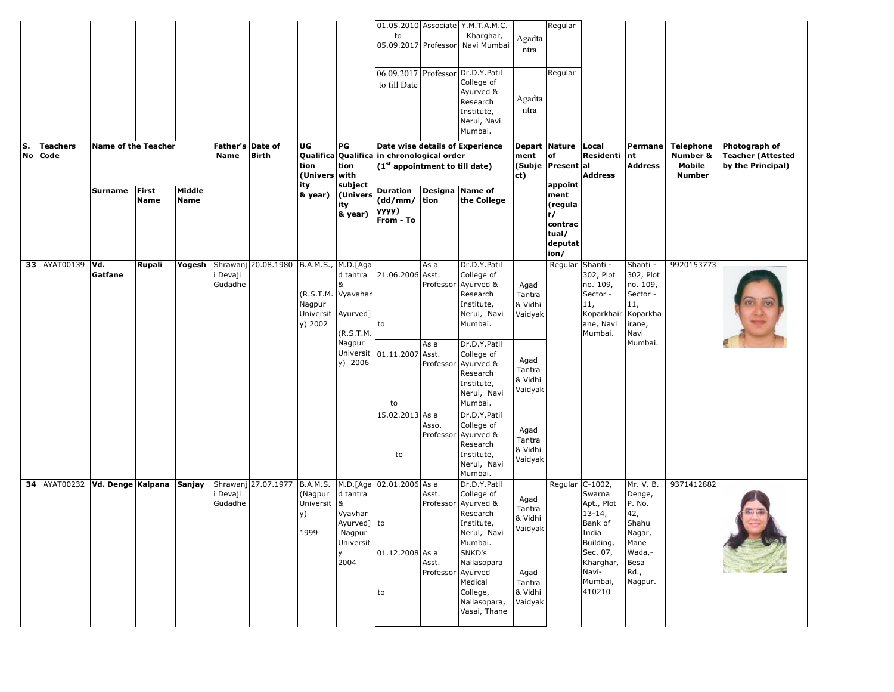| S. | <b>Teachers</b> | <b>Name of the Teacher</b>     |                             |                       | Father's Date of  |                     | UG                                                                          | PG                                                             | to<br>05.09.2017 Professor<br>to till Date                                                                                             |                            | 01.05.2010 Associate Y.M.T.A.M.C.<br>Kharghar,<br>Navi Mumbai<br>06.09.2017 Professor Dr.D.Y.Patil<br>College of<br>Ayurved &<br>Research<br>Institute,<br>Nerul, Navi<br>Mumbai.<br>Date wise details of Experience | Agadta<br>ntra<br>Agadta<br>ntra     | Regular<br>Regular<br>Depart Nature                   | Local                                                                                      | Permane                                                                            | <b>Telephone</b>                    | Photograph of                                 |
|----|-----------------|--------------------------------|-----------------------------|-----------------------|-------------------|---------------------|-----------------------------------------------------------------------------|----------------------------------------------------------------|----------------------------------------------------------------------------------------------------------------------------------------|----------------------------|----------------------------------------------------------------------------------------------------------------------------------------------------------------------------------------------------------------------|--------------------------------------|-------------------------------------------------------|--------------------------------------------------------------------------------------------|------------------------------------------------------------------------------------|-------------------------------------|-----------------------------------------------|
|    | No Code         | Surname                        | <b>First</b><br><b>Name</b> | Middle<br><b>Name</b> | Name              | <b>Birth</b>        | tion<br>(Univers with<br>ity<br>& year)                                     | tion<br>subject<br>(Univers<br>ity                             | Qualifica Qualifica in chronological order<br>(1 <sup>st</sup> appointment to till date)<br><b>Duration</b><br>$(dd/mm/$ tion<br>yyyy) | Designa Name of            | the College                                                                                                                                                                                                          | ment<br>ct)                          | of<br>(Subje Present al<br>appoint<br>ment<br>(regula | Residenti<br><b>Address</b>                                                                | nt<br><b>Address</b>                                                               | Number &<br>Mobile<br><b>Number</b> | <b>Teacher (Attested</b><br>by the Principal) |
|    |                 |                                |                             |                       |                   |                     |                                                                             | & year)                                                        | From - To                                                                                                                              |                            |                                                                                                                                                                                                                      |                                      | r/<br>contrac<br>tual/<br>deputat<br>ion/             |                                                                                            |                                                                                    |                                     |                                               |
|    | 33 AYAT00139    | Vd.<br>Gatfane                 | Rupali                      | Yogesh                | Devaji<br>Gudadhe | Shrawanj 20.08.1980 | B.A.M.S., M.D. [Aga<br>(R.S.T.M. Vyavahar<br>Nagpur<br>Universit<br>y) 2002 | d tantra<br>Ayurved]<br>(R.S.T.M.                              | 21.06.2006 Asst.<br>to                                                                                                                 | As a                       | Dr.D.Y.Patil<br>College of<br>Professor Ayurved &<br>Research<br>Institute,<br>Nerul, Navi<br>Mumbai.                                                                                                                | Agad<br>Tantra<br>& Vidhi<br>Vaidyak | Regular                                               | Shanti -<br>302, Plot<br>no. 109,<br>Sector -<br>11,<br>Koparkhair<br>ane, Navi<br>Mumbai. | Shanti -<br>302, Plot<br>no. 109,<br>Sector -<br>11,<br>Koparkha<br>irane,<br>Navi | 9920153773                          |                                               |
|    |                 |                                |                             |                       |                   |                     |                                                                             | Nagpur<br>Universit<br>y) 2006                                 | 01.11.2007 Asst.<br>to                                                                                                                 | As a                       | Dr.D.Y.Patil<br>College of<br>Professor Ayurved &<br>Research<br>Institute,<br>Nerul, Navi<br>Mumbai.                                                                                                                | Agad<br>Tantra<br>& Vidhi<br>Vaidyak |                                                       |                                                                                            | Mumbai.                                                                            |                                     |                                               |
|    |                 |                                |                             |                       |                   |                     |                                                                             |                                                                | 15.02.2013 As a<br>to                                                                                                                  | Asso.                      | Dr.D.Y.Patil<br>College of<br>Professor Ayurved &<br>Research<br>Institute,<br>Nerul, Navi<br>Mumbai.                                                                                                                | Agad<br>Tantra<br>& Vidhi<br>Vaidyak |                                                       |                                                                                            |                                                                                    |                                     |                                               |
|    |                 | 34 AYAT00232 Vd. Denge Kalpana |                             | Sanjay                | Devaji<br>Gudadhe | Shrawanj 27.07.1977 | B.A.M.S.<br>(Nagpur<br>Universit<br>y)<br>1999                              | d tantra<br>&<br>Vyavhar<br>Ayurved] to<br>Nagpur<br>Universit | M.D.[Aga 02.01.2006 As a                                                                                                               | Asst.                      | Dr.D.Y.Patil<br>College of<br>Professor Ayurved &<br>Research<br>Institute,<br>Nerul, Navi<br>Mumbai.                                                                                                                | Agad<br>Tantra<br>& Vidhi<br>Vaidyak | Regular                                               | $C-1002,$<br>Swarna<br>Apt., Plot<br>$13-14,$<br>Bank of<br>India<br>Building,             | Mr. V. B.<br>Denge,<br>P. No.<br>42,<br>Shahu<br>Nagar,<br>Mane                    | 9371412882                          |                                               |
|    |                 |                                |                             |                       |                   |                     |                                                                             | 2004                                                           | 01.12.2008 As a<br>to                                                                                                                  | Asst.<br>Professor Ayurved | SNKD's<br>Nallasopara<br>Medical<br>College,<br>Nallasopara,<br>Vasai, Thane                                                                                                                                         | Agad<br>Tantra<br>& Vidhi<br>Vaidyak |                                                       | Sec. 07,<br>Kharghar,<br>Navi-<br>Mumbai,<br>410210                                        | Wada,-<br>Besa<br>Rd.,<br>Nagpur.                                                  |                                     |                                               |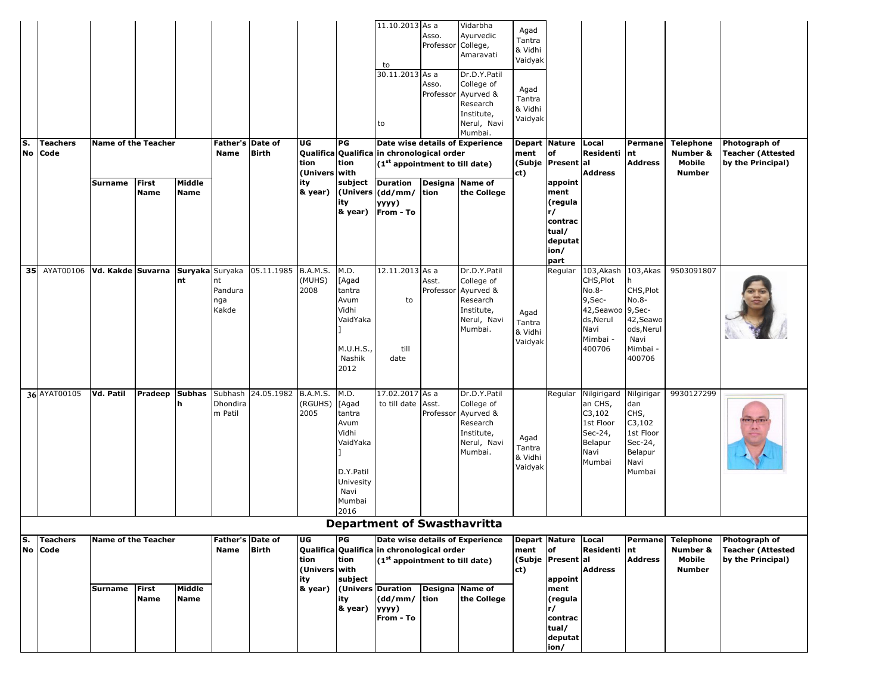|     |                             |                            |                             |                       |                                |                                  |                                    |                                                                                                          | 11.10.2013 As a                                                                          | Asso.              | Vidarbha<br>Ayurvedic                                                                                 | Agad                                 |                                                                         |                                                                                                            |                                                                                          |                                                         |                                                                |
|-----|-----------------------------|----------------------------|-----------------------------|-----------------------|--------------------------------|----------------------------------|------------------------------------|----------------------------------------------------------------------------------------------------------|------------------------------------------------------------------------------------------|--------------------|-------------------------------------------------------------------------------------------------------|--------------------------------------|-------------------------------------------------------------------------|------------------------------------------------------------------------------------------------------------|------------------------------------------------------------------------------------------|---------------------------------------------------------|----------------------------------------------------------------|
|     |                             |                            |                             |                       |                                |                                  |                                    |                                                                                                          | to                                                                                       | Professor College, | Amaravati                                                                                             | Tantra<br>& Vidhi<br>Vaidyak         |                                                                         |                                                                                                            |                                                                                          |                                                         |                                                                |
|     |                             |                            |                             |                       |                                |                                  |                                    |                                                                                                          | 30.11.2013 As a<br>to                                                                    | Asso.<br>Professor | Dr.D.Y.Patil<br>College of<br>Ayurved &<br>Research<br>Institute,<br>Nerul, Navi<br>Mumbai.           | Agad<br>Tantra<br>& Vidhi<br>Vaidyak |                                                                         |                                                                                                            |                                                                                          |                                                         |                                                                |
| ls. | <b>Teachers</b><br>No Code  | <b>Name of the Teacher</b> |                             |                       | <b>Name</b>                    | Father's Date of<br><b>Birth</b> | UG<br>tion                         | PG<br>tion                                                                                               | Qualifica Qualifica in chronological order<br>(1 <sup>st</sup> appointment to till date) |                    | Date wise details of Experience                                                                       | ment                                 | <b>Depart Nature</b><br>of<br>(Subje Present al                         | Local<br>Residenti nt                                                                                      | Permane<br><b>Address</b>                                                                | <b>Telephone</b><br>Number &<br>Mobile                  | Photograph of<br><b>Teacher (Attested</b><br>by the Principal) |
|     |                             | <b>Surname</b>             | First<br><b>Name</b>        | Middle<br><b>Name</b> |                                |                                  | (Univers with<br>ity<br>& year)    | subject<br>ity<br>& year)                                                                                | <b>Duration</b><br>(Univers (dd/mm/<br>yyyy)<br>From - To                                | tion               | Designa Name of<br>the College                                                                        | ct)                                  | appoint<br>ment<br>(regula<br>r/<br>contrac<br>tual/<br>deputat<br>ion/ | <b>Address</b>                                                                                             |                                                                                          | <b>Number</b>                                           |                                                                |
| 35  | AYAT00106 Vd. Kakde Suvarna |                            |                             | Suryaka Suryaka<br>nt | nt<br>Pandura<br>nga<br>Kakde  | 05.11.1985                       | B.A.M.S.<br>(MUHS)<br>2008         | M.D.<br>[Agad<br>tantra<br>Avum<br>Vidhi<br>VaidYaka<br>M.U.H.S.,<br>Nashik<br>2012                      | 12.11.2013 As a<br>to<br>till<br>date                                                    | Asst.              | Dr.D.Y.Patil<br>College of<br>Professor Ayurved &<br>Research<br>Institute,<br>Nerul, Navi<br>Mumbai. | Agad<br>Tantra<br>& Vidhi<br>Vaidyak | part<br>Regular                                                         | 103,Akash<br>CHS, Plot<br>No.8-<br>9,Sec-<br>42, Seawoo 9, Sec-<br>ds, Nerul<br>Navi<br>Mimbai -<br>400706 | 103, Akas<br>CHS, Plot<br>No.8-<br>42, Seawo<br>ods, Nerul<br>Navi<br>Mimbai -<br>400706 | 9503091807                                              |                                                                |
|     | 36 AYAT00105                | <b>Vd. Patil</b>           | Pradeep                     | <b>Subhas</b><br>n    | Subhash<br>Dhondira<br>m Patil | 24.05.1982                       | B.A.M.S.<br>(RGUHS)<br>2005        | M.D.<br>[Agad<br>tantra<br>Avum<br>Vidhi<br>VaidYaka<br>D.Y.Patil<br>Univesity<br>Navi<br>Mumbai<br>2016 | 17.02.2017 As a<br>to till date Asst.                                                    | Professor          | Dr.D.Y.Patil<br>College of<br>Ayurved &<br>Research<br>Institute,<br>Nerul, Navi<br>Mumbai.           | Agad<br>Tantra<br>& Vidhi<br>Vaidyak | Regular                                                                 | Nilgirigard<br>an CHS,<br>C3,102<br>1st Floor<br>Sec-24,<br>Belapur<br>Navi<br>Mumbai                      | Nilgirigar<br>dan<br>CHS,<br>C3,102<br>1st Floor<br>Sec-24,<br>Belapur<br>Navi<br>Mumbai | 9930127299                                              |                                                                |
|     |                             |                            |                             |                       |                                |                                  |                                    |                                                                                                          | <b>Department of Swasthavritta</b>                                                       |                    |                                                                                                       |                                      |                                                                         |                                                                                                            |                                                                                          |                                                         |                                                                |
| lS. | <b>Teachers</b><br>No Code  | <b>Name of the Teacher</b> |                             |                       | Name                           | Father's Date of<br><b>Birth</b> | UG<br>tion<br>(Univers with<br>ity | PG<br>tion<br>subject                                                                                    | Qualifica Qualifica in chronological order<br>$(1st$ appointment to till date)           |                    | Date wise details of Experience                                                                       | ment<br>ct)                          | Depart Nature Local<br>of<br>(Subje Present al<br>appoint               | Residenti nt<br><b>Address</b>                                                                             | Permane<br><b>Address</b>                                                                | <b>Telephone</b><br>Number &<br>Mobile<br><b>Number</b> | Photograph of<br>Teacher (Attested<br>by the Principal)        |
|     |                             | Surname                    | <b>First</b><br><b>Name</b> | Middle<br><b>Name</b> |                                |                                  | & year)                            | ity<br>& year)                                                                                           | (Univers Duration<br>(dd/mm/ tion<br>yyyy)<br>From - To                                  |                    | Designa Name of<br>the College                                                                        |                                      | ment<br>(regula<br>r/<br>contrac<br>tual/<br>deputat<br>ion/            |                                                                                                            |                                                                                          |                                                         |                                                                |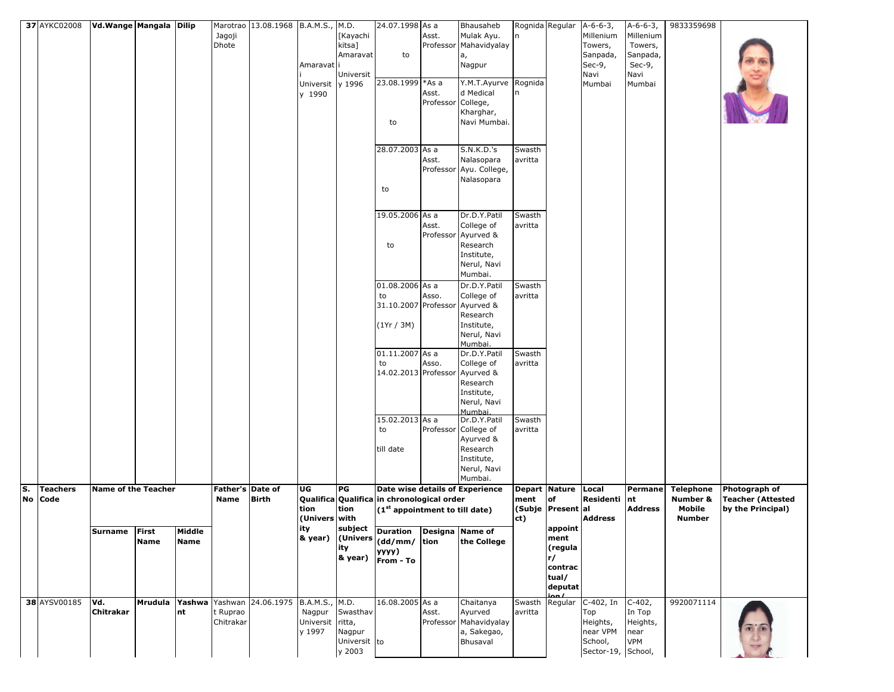|           | 37 AYKC02008    | Vd.Wange Mangala Dilip     |             |             |                  | Marotrao 13.08.1968 B.A.M.S., M.D. |                  |              | 24.07.1998 As a                                                                                             |           | Bhausaheb                       |                   | Rognida Regular   A-6-6-3, |                    | A-6-6-3,       | 9833359698       |                          |
|-----------|-----------------|----------------------------|-------------|-------------|------------------|------------------------------------|------------------|--------------|-------------------------------------------------------------------------------------------------------------|-----------|---------------------------------|-------------------|----------------------------|--------------------|----------------|------------------|--------------------------|
|           |                 |                            |             |             | Jagoji           |                                    |                  | [Kayachi     |                                                                                                             | Asst.     | Mulak Ayu.                      | n                 |                            | Millenium          | Millenium      |                  |                          |
|           |                 |                            |             |             | Dhote            |                                    |                  | kitsa]       |                                                                                                             |           | Professor Mahavidyalay          |                   |                            | Towers,            | Towers,        |                  |                          |
|           |                 |                            |             |             |                  |                                    |                  | Amaravat     | to                                                                                                          |           | a,                              |                   |                            | Sanpada,           | Sanpada,       |                  |                          |
|           |                 |                            |             |             |                  |                                    | Amaravati        |              |                                                                                                             |           | Nagpur                          |                   |                            | Sec-9,             | Sec-9,         |                  |                          |
|           |                 |                            |             |             |                  |                                    | Universit y 1996 | Universit    | 23.08.1999 * As a                                                                                           |           | Y.M.T.Ayurve                    | Rognida           |                            | Navi<br>Mumbai     | Navi<br>Mumbai |                  |                          |
|           |                 |                            |             |             |                  |                                    | y 1990           |              |                                                                                                             | Asst.     | d Medical                       | n                 |                            |                    |                |                  |                          |
|           |                 |                            |             |             |                  |                                    |                  |              |                                                                                                             | Professor | College,                        |                   |                            |                    |                |                  |                          |
|           |                 |                            |             |             |                  |                                    |                  |              |                                                                                                             |           | Kharghar,                       |                   |                            |                    |                |                  |                          |
|           |                 |                            |             |             |                  |                                    |                  |              | to                                                                                                          |           | Navi Mumbai.                    |                   |                            |                    |                |                  |                          |
|           |                 |                            |             |             |                  |                                    |                  |              |                                                                                                             |           |                                 |                   |                            |                    |                |                  |                          |
|           |                 |                            |             |             |                  |                                    |                  |              | 28.07.2003 As a                                                                                             |           | S.N.K.D.'s                      |                   |                            |                    |                |                  |                          |
|           |                 |                            |             |             |                  |                                    |                  |              |                                                                                                             | Asst.     | Nalasopara                      | Swasth<br>avritta |                            |                    |                |                  |                          |
|           |                 |                            |             |             |                  |                                    |                  |              |                                                                                                             |           | Professor Ayu. College,         |                   |                            |                    |                |                  |                          |
|           |                 |                            |             |             |                  |                                    |                  |              |                                                                                                             |           | Nalasopara                      |                   |                            |                    |                |                  |                          |
|           |                 |                            |             |             |                  |                                    |                  |              | to                                                                                                          |           |                                 |                   |                            |                    |                |                  |                          |
|           |                 |                            |             |             |                  |                                    |                  |              |                                                                                                             |           |                                 |                   |                            |                    |                |                  |                          |
|           |                 |                            |             |             |                  |                                    |                  |              | 19.05.2006 As a                                                                                             |           | Dr.D.Y.Patil                    | Swasth            |                            |                    |                |                  |                          |
|           |                 |                            |             |             |                  |                                    |                  |              |                                                                                                             | Asst.     | College of                      | avritta           |                            |                    |                |                  |                          |
|           |                 |                            |             |             |                  |                                    |                  |              |                                                                                                             |           | Professor Ayurved &             |                   |                            |                    |                |                  |                          |
|           |                 |                            |             |             |                  |                                    |                  |              | to                                                                                                          |           | Research                        |                   |                            |                    |                |                  |                          |
|           |                 |                            |             |             |                  |                                    |                  |              |                                                                                                             |           | Institute,                      |                   |                            |                    |                |                  |                          |
|           |                 |                            |             |             |                  |                                    |                  |              |                                                                                                             |           | Nerul, Navi                     |                   |                            |                    |                |                  |                          |
|           |                 |                            |             |             |                  |                                    |                  |              |                                                                                                             |           | Mumbai.                         |                   |                            |                    |                |                  |                          |
|           |                 |                            |             |             |                  |                                    |                  |              | 01.08.2006 As a                                                                                             |           | Dr.D.Y.Patil                    | Swasth            |                            |                    |                |                  |                          |
|           |                 |                            |             |             |                  |                                    |                  |              | to                                                                                                          | Asso.     | College of                      | avritta           |                            |                    |                |                  |                          |
|           |                 |                            |             |             |                  |                                    |                  |              | 31.10.2007 Professor                                                                                        |           | Ayurved &                       |                   |                            |                    |                |                  |                          |
|           |                 |                            |             |             |                  |                                    |                  |              |                                                                                                             |           | Research                        |                   |                            |                    |                |                  |                          |
|           |                 |                            |             |             |                  |                                    |                  |              | (1Yr / 3M)                                                                                                  |           | Institute,<br>Nerul, Navi       |                   |                            |                    |                |                  |                          |
|           |                 |                            |             |             |                  |                                    |                  |              |                                                                                                             |           | Mumbai.                         |                   |                            |                    |                |                  |                          |
|           |                 |                            |             |             |                  |                                    |                  |              | 01.11.2007 As a                                                                                             |           | Dr.D.Y.Patil                    | Swasth            |                            |                    |                |                  |                          |
|           |                 |                            |             |             |                  |                                    |                  |              | to                                                                                                          | Asso.     | College of                      | avritta           |                            |                    |                |                  |                          |
|           |                 |                            |             |             |                  |                                    |                  |              | 14.02.2013 Professor                                                                                        |           | Ayurved &                       |                   |                            |                    |                |                  |                          |
|           |                 |                            |             |             |                  |                                    |                  |              |                                                                                                             |           | Research                        |                   |                            |                    |                |                  |                          |
|           |                 |                            |             |             |                  |                                    |                  |              |                                                                                                             |           | Institute,                      |                   |                            |                    |                |                  |                          |
|           |                 |                            |             |             |                  |                                    |                  |              |                                                                                                             |           | Nerul, Navi<br>Mumbai.          |                   |                            |                    |                |                  |                          |
|           |                 |                            |             |             |                  |                                    |                  |              | 15.02.2013 As a                                                                                             |           | Dr.D.Y.Patil                    | Swasth            |                            |                    |                |                  |                          |
|           |                 |                            |             |             |                  |                                    |                  |              | to                                                                                                          |           | Professor College of            | avritta           |                            |                    |                |                  |                          |
|           |                 |                            |             |             |                  |                                    |                  |              |                                                                                                             |           | Ayurved &                       |                   |                            |                    |                |                  |                          |
|           |                 |                            |             |             |                  |                                    |                  |              | till date                                                                                                   |           | Research                        |                   |                            |                    |                |                  |                          |
|           |                 |                            |             |             |                  |                                    |                  |              |                                                                                                             |           | Institute,<br>Nerul, Navi       |                   |                            |                    |                |                  |                          |
|           |                 |                            |             |             |                  |                                    |                  |              |                                                                                                             |           | Mumbai.                         |                   |                            |                    |                |                  |                          |
| S.        | <b>Teachers</b> | <b>Name of the Teacher</b> |             |             | Father's Date of |                                    | UG               | PG           |                                                                                                             |           | Date wise details of Experience |                   | Depart Nature              | Local              | Permane        | <b>Telephone</b> | <b>Photograph of</b>     |
| <b>No</b> | Code            |                            |             |             | Name             | <b>Birth</b>                       |                  |              | Qualifica Qualifica in chronological order                                                                  |           |                                 | ment              | of                         | Residenti          | nt             | Number &         | <b>Teacher (Attested</b> |
|           |                 |                            |             |             |                  |                                    | tion             | tion         | $(1st$ appointment to till date)                                                                            |           |                                 |                   | (Subje Present al          |                    | Address        | Mobile           | by the Principal)        |
|           |                 |                            |             |             |                  |                                    | (Univers with    |              |                                                                                                             |           |                                 | ct)               |                            | <b>Address</b>     |                | <b>Number</b>    |                          |
|           |                 | Surname First              |             | Middle      |                  |                                    | ιτγ              |              | subject Duration Designa Name of                                                                            |           |                                 |                   | appoint<br>ment            |                    |                |                  |                          |
|           |                 |                            | <b>Name</b> | <b>Name</b> |                  |                                    |                  | ity          | $\begin{vmatrix} 1 & 0 \\ 0 & 0 \end{vmatrix}$ (Univers $\begin{vmatrix} 1 & 0 \\ 0 & 0 \end{vmatrix}$ tion |           | the College                     |                   | (regula                    |                    |                |                  |                          |
|           |                 |                            |             |             |                  |                                    |                  | & year)      | уууу)                                                                                                       |           |                                 |                   | r/                         |                    |                |                  |                          |
|           |                 |                            |             |             |                  |                                    |                  |              | From - To                                                                                                   |           |                                 |                   | contrac                    |                    |                |                  |                          |
|           |                 |                            |             |             |                  |                                    |                  |              |                                                                                                             |           |                                 |                   | tual/                      |                    |                |                  |                          |
|           |                 |                            |             |             |                  |                                    |                  |              |                                                                                                             |           |                                 |                   | deputat                    |                    |                |                  |                          |
|           | 38 AYSV00185    | Vd.                        | Mrudula     | Yashwa      |                  | Yashwan 24.06.1975 B.A.M.S., M.D.  |                  |              | 16.08.2005 As a                                                                                             |           | Chaitanya                       | Swasth            | Regular                    | C-402, In          | $C-402,$       | 9920071114       |                          |
|           |                 | Chitrakar                  |             | nt          | t Ruprao         |                                    | Nagpur           | Swasthav     |                                                                                                             | Asst.     | Ayurved                         | avritta           |                            | Top                | In Top         |                  |                          |
|           |                 |                            |             |             | Chitrakar        |                                    | Universit ritta, |              |                                                                                                             |           | Professor Mahavidyalay          |                   |                            | Heights,           | Heights,       |                  |                          |
|           |                 |                            |             |             |                  |                                    | y 1997           | Nagpur       |                                                                                                             |           | a, Sakegao,                     |                   |                            | near VPM           | near           |                  |                          |
|           |                 |                            |             |             |                  |                                    |                  | Universit to |                                                                                                             |           | Bhusaval                        |                   |                            | School,            | VPM            |                  |                          |
|           |                 |                            |             |             |                  |                                    |                  | y 2003       |                                                                                                             |           |                                 |                   |                            | Sector-19, School, |                |                  |                          |

Airoli,

Sector-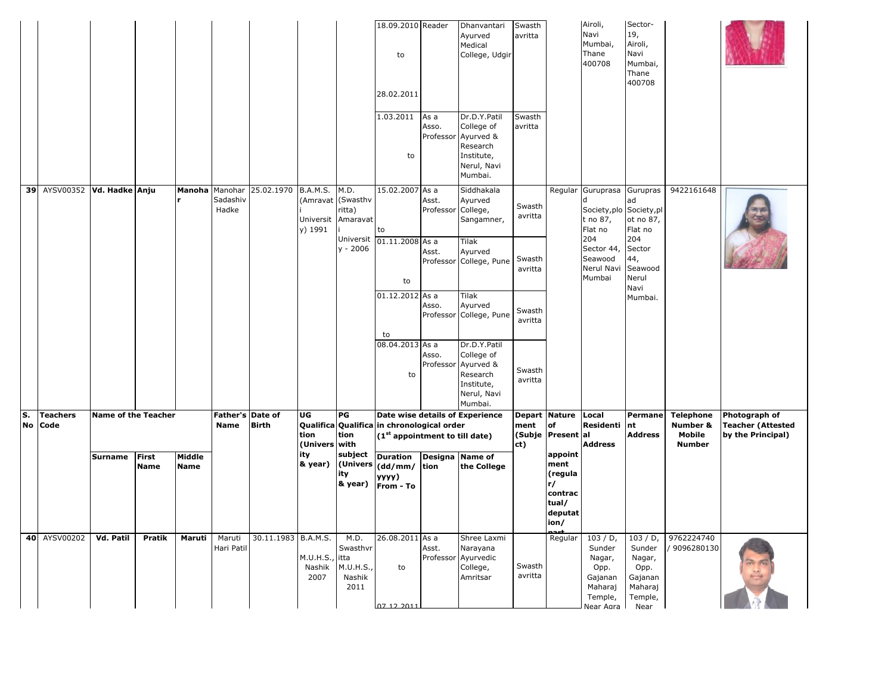|          |                          |                            |                             |                       |                                 |              |                                                     |                                                                   | 18.09.2010 Reader<br>to<br>28.02.2011<br>1.03.2011<br>to            | As a<br>Asso.<br>Professor                    | Dhanvantari<br>Ayurved<br>Medical<br>College, Udgir<br>Dr.D.Y.Patil<br>College of<br>Ayurved &<br>Research<br>Institute,<br>Nerul, Navi<br>Mumbai. | Swasth<br>avritta<br>Swasth<br>avritta                      |                                                                                 | Airoli,<br>Navi<br>Mumbai,<br>Thane<br>400708                                                            | Sector-<br>19,<br>Airoli,<br>Navi<br>Mumbai,<br>Thane<br>400708                                                     |                                                         |                                                                |
|----------|--------------------------|----------------------------|-----------------------------|-----------------------|---------------------------------|--------------|-----------------------------------------------------|-------------------------------------------------------------------|---------------------------------------------------------------------|-----------------------------------------------|----------------------------------------------------------------------------------------------------------------------------------------------------|-------------------------------------------------------------|---------------------------------------------------------------------------------|----------------------------------------------------------------------------------------------------------|---------------------------------------------------------------------------------------------------------------------|---------------------------------------------------------|----------------------------------------------------------------|
| 39       | AYSV00352 Vd. Hadke Anju |                            |                             | Manoha                | Manohar<br>Sadashiv<br>Hadke    | 25.02.1970   | <b>B.A.M.S.</b><br>(Amravat<br>Universit<br>v) 1991 | M.D.<br>(Swasthv<br>ritta)<br>Amaravat<br>Universit<br>$y - 2006$ | 15.02.2007 As a<br>to<br>$01.11.2008$ As a<br>to<br>01.12.2012 As a | Asst.<br>Professor College,<br>Asst.<br>Asso. | Siddhakala<br>Ayurved<br>Sangamner,<br>Tilak<br>Ayurved<br>Professor College, Pune<br>Tilak<br>Ayurved<br>Professor College, Pune                  | Swasth<br>avritta<br>Swasth<br>avritta<br>Swasth<br>avritta | Regular                                                                         | Guruprasa<br>Society, plo<br>t no 87,<br>Flat no<br>204<br>Sector 44,<br>Seawood<br>Nerul Navi<br>Mumbai | Gurupras<br>ad<br>Society,pl<br>ot no 87,<br>Flat no<br>204<br>Sector<br>44,<br>Seawood<br>Nerul<br>Navi<br>Mumbai. | 9422161648                                              |                                                                |
|          |                          |                            |                             |                       |                                 |              |                                                     |                                                                   | to<br>08.04.2013 As a<br>to                                         | Asso.<br>Professor                            | Dr.D.Y.Patil<br>College of<br>Ayurved &<br>Research<br>Institute,<br>Nerul, Navi<br>Mumbai.                                                        | Swasth<br>avritta                                           |                                                                                 |                                                                                                          |                                                                                                                     |                                                         |                                                                |
| s.<br>No | <b>Teachers</b><br>Code  | <b>Name of the Teacher</b> |                             |                       | Father's Date of<br><b>Name</b> | <b>Birth</b> | UG<br>Qualifica<br>tion<br>(Univers                 | PG<br>tion<br>with                                                | Qualifica in chronological order<br>(1st appointment to till date)  |                                               | Date wise details of Experience                                                                                                                    | Depart Nature<br>ment<br>ct)                                | of<br>(Subje Present al                                                         | Local<br>Residenti<br><b>Address</b>                                                                     | Permane<br>nt<br><b>Address</b>                                                                                     | <b>Telephone</b><br>Number &<br>Mobile<br><b>Number</b> | Photograph of<br><b>Teacher (Attested</b><br>by the Principal) |
|          |                          | Surname                    | <b>First</b><br><b>Name</b> | Middle<br><b>Name</b> |                                 |              | ity<br>& year)                                      | subject<br>(Univers<br>ity<br>& year)                             | <b>Duration</b><br>(dd/mm/ tion<br>yyyy)<br>From - To               |                                               | Designa Name of<br>the College                                                                                                                     |                                                             | appoint<br>ment<br>(regula<br>r/<br>contrac<br>tual/<br>deputat<br>ion/<br>nart |                                                                                                          |                                                                                                                     |                                                         |                                                                |
|          | 40 AYSV00202             | Vd. Patil                  | Pratik                      | Maruti                | Maruti<br>Hari Patil            | 30.11.1983   | <b>B.A.M.S.</b><br>M.U.H.S.,<br>Nashik<br>2007      | M.D.<br>Swasthvr<br>itta<br>M.U.H.S.<br>Nashik<br>2011            | 26.08.2011 As a<br>to<br>07 12 2011                                 | Asst.                                         | Shree Laxmi<br>Narayana<br>Professor Ayurvedic<br>College,<br>Amritsar                                                                             | Swasth<br>avritta                                           | Regular                                                                         | $103/D$ ,<br>Sunder<br>Nagar,<br>Opp.<br>Gajanan<br>Maharaj<br>Temple,<br>Near Agra                      | 103/D<br>Sunder<br>Nagar,<br>Opp.<br>Gajanan<br>Maharaj<br>Temple,<br>Near                                          | 9762224740<br>9096280130                                |                                                                |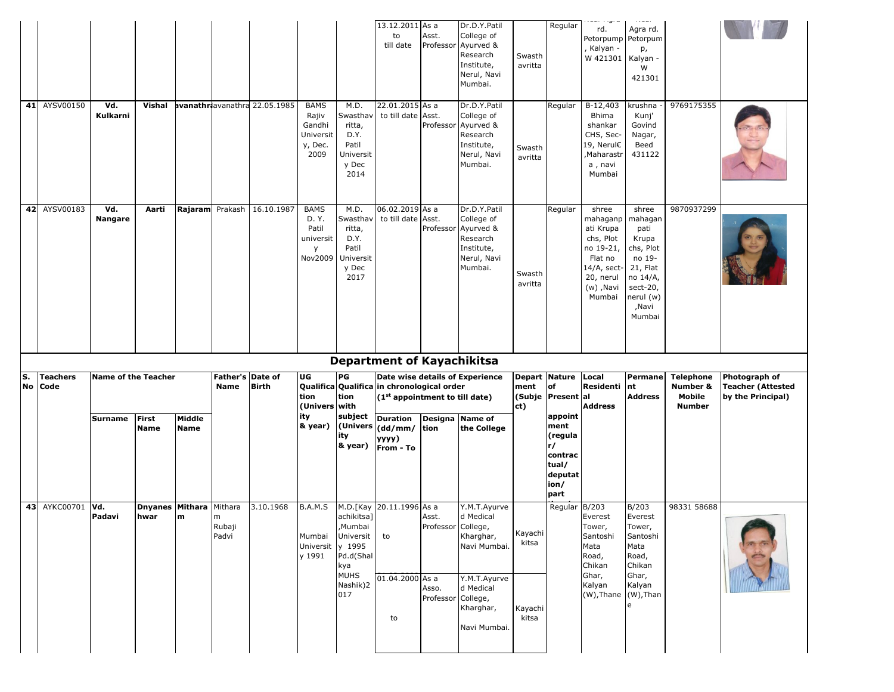|    | 41 AYSV00150    | Vd.                        | Vishal                      |                       |                                 | avanathriavanathra 22.05.1985 | <b>BAMS</b>                                                | M.D.                                                                              | 13.12.2011 As a<br>to<br>till date<br>22.01.2015 As a                                    | Asst.<br>Professor          | Dr.D.Y.Patil<br>College of<br>Ayurved &<br>Research<br>Institute,<br>Nerul, Navi<br>Mumbai.<br>Dr.D.Y.Patil | Swasth<br>avritta | Regular<br>Regular                                                              | ساويا است<br>rd.<br>Petorpump<br>Kalyan -<br>W 421301<br>B-12,403                                                      | 11241<br>Agra rd.<br>Petorpum<br>p,<br>Kalyan -<br>W<br>421301<br>krushna                                                    | 9769175355                          |                                               |
|----|-----------------|----------------------------|-----------------------------|-----------------------|---------------------------------|-------------------------------|------------------------------------------------------------|-----------------------------------------------------------------------------------|------------------------------------------------------------------------------------------|-----------------------------|-------------------------------------------------------------------------------------------------------------|-------------------|---------------------------------------------------------------------------------|------------------------------------------------------------------------------------------------------------------------|------------------------------------------------------------------------------------------------------------------------------|-------------------------------------|-----------------------------------------------|
|    |                 | Kulkarni                   |                             |                       |                                 |                               | Rajiv<br>Gandhi<br>Universit<br>y, Dec.<br>2009            | Swasthav<br>ritta,<br>D.Y.<br>Patil<br>Universit<br>y Dec<br>2014                 | to till date                                                                             | Asst.<br>Professor          | College of<br>Ayurved &<br>Research<br>Institute,<br>Nerul, Navi<br>Mumbai.                                 | Swasth<br>avritta |                                                                                 | Bhima<br>shankar<br>CHS, Sec-<br>19, Nerul€<br>Maharastr,<br>a, navi<br>Mumbai                                         | Kunj'<br>Govind<br>Nagar,<br>Beed<br>431122                                                                                  |                                     |                                               |
|    | 42 AYSV00183    | Vd.<br>Nangare             | Aarti                       | Rajaram               | Prakash                         | 16.10.1987                    | <b>BAMS</b><br>D. Y.<br>Patil<br>universit<br>y<br>Nov2009 | M.D.<br>Swasthay<br>ritta,<br>D.Y.<br>Patil<br>Universit<br>y Dec<br>2017         | 06.02.2019 As a<br>to till date                                                          | Asst.<br>Professor          | Dr.D.Y.Patil<br>College of<br>Ayurved &<br>Research<br>Institute,<br>Nerul, Navi<br>Mumbai.                 | Swasth<br>avritta | Regular                                                                         | shree<br>mahaganp<br>ati Krupa<br>chs, Plot<br>no 19-21,<br>Flat no<br>14/A, sect-<br>20, nerul<br>(w), Navi<br>Mumbai | shree<br>mahagan<br>pati<br>Krupa<br>chs, Plot<br>no 19-<br>21, Flat<br>no 14/A,<br>sect-20,<br>nerul (w)<br>,Navi<br>Mumbai | 9870937299                          |                                               |
|    |                 |                            |                             |                       |                                 |                               |                                                            |                                                                                   |                                                                                          |                             |                                                                                                             |                   |                                                                                 |                                                                                                                        |                                                                                                                              |                                     |                                               |
| S. | <b>Teachers</b> | <b>Name of the Teacher</b> |                             |                       | Father's Date of                |                               | UG                                                         | PG                                                                                | <b>Department of Kayachikitsa</b>                                                        |                             | Date wise details of Experience                                                                             | Depart Nature     |                                                                                 | Local                                                                                                                  | Permane                                                                                                                      | <b>Telephone</b>                    | Photograph of                                 |
| No | Code            |                            |                             |                       | Name                            | <b>Birth</b>                  | tion<br>Univers with)                                      | tion                                                                              | Qualifica Qualifica in chronological order<br>(1 <sup>st</sup> appointment to till date) |                             |                                                                                                             | ment<br>ct)       | of<br>(Subje Present al                                                         | Residenti<br><b>Address</b>                                                                                            | nt<br><b>Address</b>                                                                                                         | Number &<br>Mobile<br><b>Number</b> | <b>Teacher (Attested</b><br>by the Principal) |
|    |                 | <b>Surname</b>             | <b>First</b><br><b>Name</b> | Middle<br><b>Name</b> |                                 |                               | ity<br>& year)                                             | subject<br>(Univers<br>ity<br>& year)                                             | <b>Duration</b><br>$(dd/mm/$ tion<br>yyyy)<br>From - To                                  | Designa                     | <b>Name of</b><br>the College                                                                               |                   | appoint<br>ment<br>(regula<br>r/<br>contrac<br>tual/<br>deputat<br>ion/<br>part |                                                                                                                        |                                                                                                                              |                                     |                                               |
|    | 43 AYKC00701    | Vd.<br>Padavi              | Dnyanes Mithara<br>hwar     | m                     | Mithara<br>m<br>Rubaji<br>Padvi | 3.10.1968                     | B.A.M.S<br>Mumbai<br>Universit y 1995<br>y 1991            | M.D.[Kay<br>achikitsa]<br>,Mumbai<br>Universit<br>Pd.d(Shal<br>kya<br><b>MUHS</b> | 20.11.1996 As a<br>to<br>01.04.2000 As a                                                 | Asst.<br>Professor College, | Y.M.T.Ayurve<br>d Medical<br>Kharghar,<br>Navi Mumbai.<br>Y.M.T.Ayurve                                      | Kayachi<br>kitsa  | Regular                                                                         | B/203<br>Everest<br>Tower,<br>Santoshi<br>Mata<br>Road,<br>Chikan<br>Ghar,                                             | B/203<br>Everest<br>Tower,<br>Santoshi<br>Mata<br>Road,<br>Chikan<br>Ghar,                                                   | 98331 58688                         |                                               |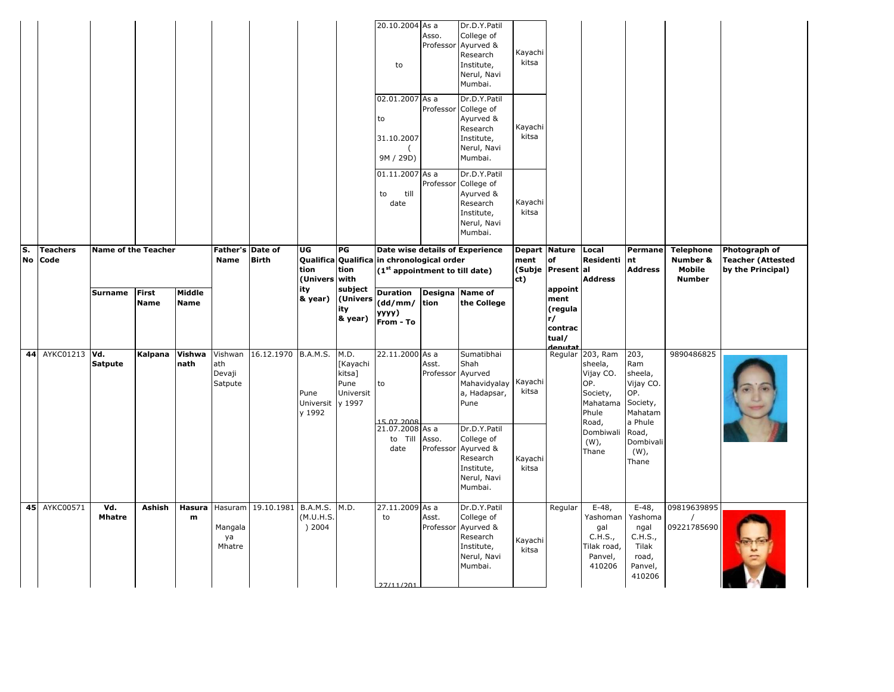|    |                  |                            |                |                       |                                    |                             |                             |                                                           | 20.10.2004 As a<br>to<br>02.01.2007 As a                                     | Asso.<br>Professor | Dr.D.Y.Patil<br>College of<br>Ayurved &<br>Research<br>Institute,<br>Nerul, Navi<br>Mumbai.<br>Dr.D.Y.Patil              | Kayachi<br>kitsa |                                                                 |                                                                                           |                                                                               |                                     |                                               |
|----|------------------|----------------------------|----------------|-----------------------|------------------------------------|-----------------------------|-----------------------------|-----------------------------------------------------------|------------------------------------------------------------------------------|--------------------|--------------------------------------------------------------------------------------------------------------------------|------------------|-----------------------------------------------------------------|-------------------------------------------------------------------------------------------|-------------------------------------------------------------------------------|-------------------------------------|-----------------------------------------------|
|    |                  |                            |                |                       |                                    |                             |                             |                                                           | to<br>31.10.2007<br>9M / 29D)<br>$01.11.2007$ As a                           | Professor          | College of<br>Ayurved &<br>Research<br>Institute,<br>Nerul, Navi<br>Mumbai.<br>Dr.D.Y.Patil                              | Kayachi<br>kitsa |                                                                 |                                                                                           |                                                                               |                                     |                                               |
| S. | <b>Teachers</b>  | <b>Name of the Teacher</b> |                |                       | Father's Date of                   |                             | UG                          | PG                                                        | till<br>to<br>date                                                           |                    | Professor College of<br>Ayurved &<br>Research<br>Institute,<br>Nerul, Navi<br>Mumbai.<br>Date wise details of Experience | Kayachi<br>kitsa | Depart Nature                                                   | Local                                                                                     | Permane                                                                       | <b>Telephone</b>                    | Photograph of                                 |
|    | No Code          |                            |                |                       | Name                               | <b>Birth</b>                | tion<br>(Univers with       | tion                                                      | Qualifica Qualifica in chronological order<br>(1st appointment to till date) |                    |                                                                                                                          | ment<br>ct)      | <b>of</b><br>(Subje Present                                     | Residenti Int<br>lal<br><b>Address</b>                                                    | <b>Address</b>                                                                | Number &<br>Mobile<br><b>Number</b> | <b>Teacher (Attested</b><br>by the Principal) |
|    |                  | Surname First              | <b>Name</b>    | Middle<br><b>Name</b> |                                    |                             | ity<br>& year)              | subject<br>(Univers<br>ity<br>& year)                     | Duration Designa Name of<br>(dd/mm/ tion<br>yyyy)<br>From - To               |                    | the College                                                                                                              |                  | appoint<br>ment<br>(regula<br>r/<br>contrac<br>tual/<br>denutat |                                                                                           |                                                                               |                                     |                                               |
|    | 44 AYKC01213 Vd. | <b>Satpute</b>             | Kalpana Vishwa | nath                  | ath<br>Devaji<br>Satpute           | Vishwan 16.12.1970 B.A.M.S. | Pune<br>Universit<br>v 1992 | M.D.<br>[Kayachi<br>kitsa]<br>Pune<br>Universit<br>y 1997 | 22.11.2000 As a<br>to<br>15.07.2008                                          | Asst.<br>Professor | Sumatibhai<br>Shah<br>Ayurved<br>Mahavidyalay<br>a, Hadapsar,<br>Pune                                                    | Kayachi<br>kitsa |                                                                 | Regular 203, Ram<br>sheela,<br>Vijay CO.<br>OP.<br>Society,<br>Mahatama<br>Phule<br>Road, | 203,<br>Ram<br>sheela,<br>Vijay CO.<br>OP.<br>Society,<br>Mahatam<br>a Phule  | 9890486825                          |                                               |
|    |                  |                            |                |                       |                                    |                             |                             |                                                           | 21.07.2008 As a<br>to Till<br>date                                           | Asso.<br>Professor | Dr.D.Y.Patil<br>College of<br>Ayurved &<br>Research<br>Institute,<br>Nerul, Navi<br>Mumbai.                              | Kayachi<br>kitsa |                                                                 | Dombiwali Road,<br>$(W)$ ,<br>Thane                                                       | Dombivali<br>$(W)$ ,<br>Thane                                                 |                                     |                                               |
|    | 45 AYKC00571     | Vd.<br><b>Mhatre</b>       | Ashish         | Hasura<br>m           | Hasuram<br>Mangala<br>ya<br>Mhatre | 19.10.1981 B.A.M.S.         | (M.U.H.S.<br>) 2004         | M.D.                                                      | 27.11.2009 As a<br>to                                                        | Asst.<br>Professor | Dr.D.Y.Patil<br>College of<br>Ayurved &<br>Research<br>Institute,<br>Nerul, Navi<br>Mumbai.                              | Kayachi<br>kitsa | Regular                                                         | $E-48,$<br>Yashoman<br>gal<br>C.H.S.,<br>Tilak road,<br>Panvel,<br>410206                 | $E-48$ ,<br>Yashoma<br>ngal<br>C.H.S.,<br>Tilak<br>road,<br>Panvel,<br>410206 | 09819639895<br>09221785690          |                                               |
|    |                  |                            |                |                       |                                    |                             |                             |                                                           | 27/11/201                                                                    |                    |                                                                                                                          |                  |                                                                 |                                                                                           |                                                                               |                                     |                                               |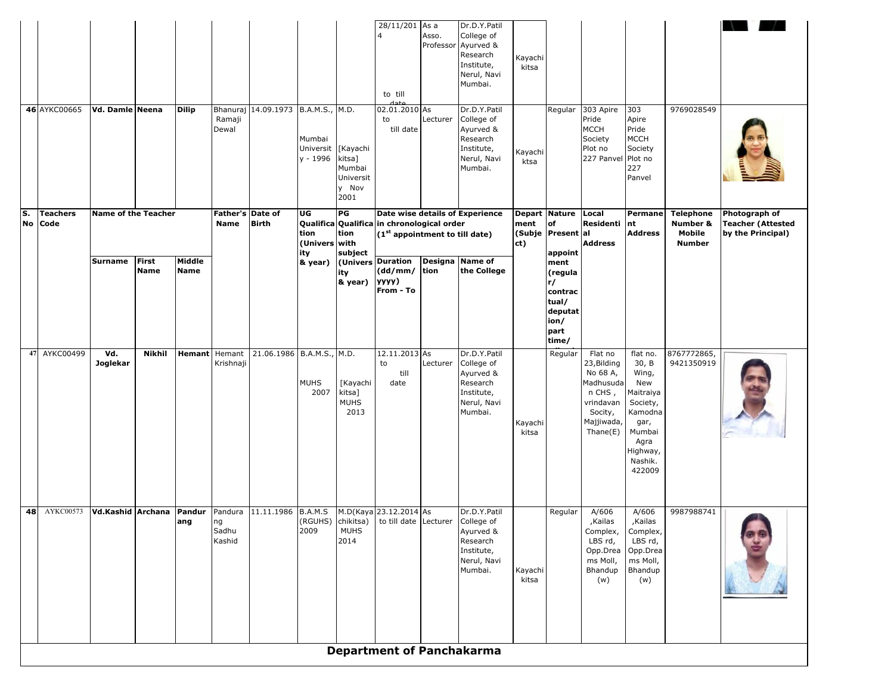|          |                         |                            |                             |                       |                                 |                                                                            |                                 |                                                            | to till                                                                        |          | Nerul, Navi<br>Mumbai.                                                                      |                                                         |                                                                                          |                                                                                                             |                                                                                                                                  |                                                         |                                                                |
|----------|-------------------------|----------------------------|-----------------------------|-----------------------|---------------------------------|----------------------------------------------------------------------------|---------------------------------|------------------------------------------------------------|--------------------------------------------------------------------------------|----------|---------------------------------------------------------------------------------------------|---------------------------------------------------------|------------------------------------------------------------------------------------------|-------------------------------------------------------------------------------------------------------------|----------------------------------------------------------------------------------------------------------------------------------|---------------------------------------------------------|----------------------------------------------------------------|
|          | 46 AYKC00665            | Vd. Damle Neena            |                             | <b>Dilip</b>          | Ramaji<br>Dewal                 | Bhanuraj 14.09.1973 B.A.M.S., M.D.                                         | Mumbai<br>Universit<br>y - 1996 | [Kayachi<br>kitsa]<br>Mumbai<br>Universit<br>y Nov<br>2001 | 02.01.2010 As<br>to<br>till date                                               | Lecturer | Dr.D.Y.Patil<br>College of<br>Ayurved &<br>Research<br>Institute,<br>Nerul, Navi<br>Mumbai. | Kayachi<br>ktsa                                         | Regular                                                                                  | 303 Apire<br>Pride<br><b>MCCH</b><br>Society<br>Plot no<br>227 Panvel                                       | 303<br>Apire<br>Pride<br><b>MCCH</b><br>Society<br>Plot no<br>227<br>Panvel                                                      | 9769028549                                              |                                                                |
| S.<br>No | <b>Teachers</b><br>Code | <b>Name of the Teacher</b> |                             |                       | Father's Date of<br><b>Name</b> | <b>Birth</b>                                                               | UG<br>tion<br>(Univers with     | PG<br>tion                                                 | Qualifica Qualifica in chronological order<br>$(1st$ appointment to till date) |          | Date wise details of Experience                                                             | Depart Nature Local<br>ment<br>(Subje Present al<br>ct) | of                                                                                       | Residenti<br><b>Address</b>                                                                                 | Permane<br>Int<br><b>Address</b>                                                                                                 | <b>Telephone</b><br>Number &<br>Mobile<br><b>Number</b> | Photograph of<br><b>Teacher (Attested</b><br>by the Principal) |
|          |                         | <b>Surname</b>             | <b>First</b><br><b>Name</b> | Middle<br><b>Name</b> |                                 |                                                                            | ity<br>& year)                  | subject<br>ity<br>& year)                                  | (Univers Duration<br>(dd/mm/<br>yyyy)<br>From - To                             | tion     | Designa Name of<br>the College                                                              |                                                         | appoint<br>ment<br>(regula<br>r/<br>contrac<br>tual/<br>deputat<br>ion/<br>part<br>time/ |                                                                                                             |                                                                                                                                  |                                                         |                                                                |
|          | 47 AYKC00499            | Vd.<br>Joglekar            | Nikhil                      | <b>Hemant</b> Hemant  | Krishnaji                       | 21.06.1986   B.A.M.S., M.D.                                                | <b>MUHS</b><br>2007             | [Kayachi<br>kitsa]<br><b>MUHS</b><br>2013                  | 12.11.2013 As<br>to<br>till<br>date                                            | Lecturer | Dr.D.Y.Patil<br>College of<br>Ayurved &<br>Research<br>Institute,<br>Nerul, Navi<br>Mumbai. | Kayachi<br>kitsa                                        | Regular                                                                                  | Flat no<br>23, Bilding<br>No 68 A,<br>Madhusuda<br>n CHS,<br>vrindavan<br>Socity,<br>Majjiwada,<br>Thene(E) | flat no.<br>30, B<br>Wing,<br>New<br>Maitraiya<br>Society,<br>Kamodna<br>gar,<br>Mumbai<br>Agra<br>Highway,<br>Nashik.<br>422009 | 8767772865,<br>9421350919                               |                                                                |
|          | <b>48</b> AYKC00573     |                            |                             | ang                   | ng<br>Sadhu<br>Kashid           | Vd.Kashid Archana Pandur Pandura 11.11.1986 B.A.M.S M.D(Kaya 23.12.2014 As | 2009                            | <b>MUHS</b><br>2014                                        | (RGUHS) chikitsa) to till date Lecturer College of                             |          | Dr.D.Y.Patil<br>Ayurved &<br>Research<br>Institute,<br>Nerul, Navi<br>Mumbai.               | Kayachi<br>kitsa                                        | Regular                                                                                  | A/606<br>,Kailas<br>Complex,<br>LBS rd,<br>Opp.Drea<br>ms Moll,<br>Bhandup<br>(w)                           | A/606<br>,Kailas<br>Complex,<br>LBS rd,<br>Opp.Drea<br>ms Moll,<br>Bhandup<br>(w)                                                | 9987988741                                              |                                                                |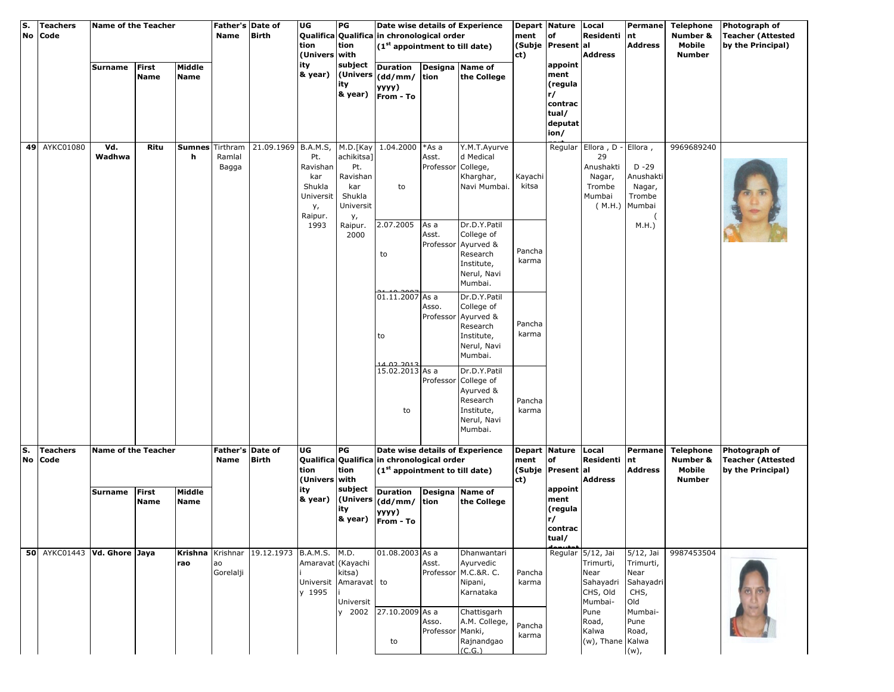| S. | No | <b>Teachers</b><br>Code     | <b>Name of the Teacher</b> |                             |                       | Father's Date of<br>Name    | <b>Birth</b>                              | UG<br>tion<br>(Univers with                                    | PG<br>tion                                                                    | Qualifica Qualifica in chronological order<br>$(1st$ appointment to till date)           |                                      | Date wise details of Experience                                                                                       | ment<br>ct)      | Depart Nature Local<br>of<br>(Subje Present al                          | Residenti nt<br><b>Address</b>                                                         | <b>Permane</b><br><b>Address</b>                           | <b>Telephone</b><br>Number &<br>Mobile<br><b>Number</b> | Photograph of<br><b>Teacher (Attested</b><br>by the Principal) |
|----|----|-----------------------------|----------------------------|-----------------------------|-----------------------|-----------------------------|-------------------------------------------|----------------------------------------------------------------|-------------------------------------------------------------------------------|------------------------------------------------------------------------------------------|--------------------------------------|-----------------------------------------------------------------------------------------------------------------------|------------------|-------------------------------------------------------------------------|----------------------------------------------------------------------------------------|------------------------------------------------------------|---------------------------------------------------------|----------------------------------------------------------------|
|    |    |                             | Surname                    | <b>First</b><br><b>Name</b> | Middle<br><b>Name</b> |                             |                                           | ity<br>& year)                                                 | subject<br>(Univers<br>ity<br>& year)                                         | <b>Duration</b><br>(dd/mm/<br>yyyy)<br>From - To                                         | tion                                 | Designa Name of<br>the College                                                                                        |                  | appoint<br>ment<br>(regula<br>r/<br>contrac<br>tual/<br>deputat<br>ion/ |                                                                                        |                                                            |                                                         |                                                                |
|    |    | 49 AYKC01080                | Vd.<br>Wadhwa              | Ritu                        | <b>Sumnes</b><br>h    | Tirthram<br>Ramlal<br>Bagga | 21.09.1969 B.A.M.S,                       | Pt.<br>Ravishan<br>kar<br>Shukla<br>Universit<br>у,<br>Raipur. | M.D.[Kay<br>achikitsa]<br>Pt.<br>Ravishan<br>kar<br>Shukla<br>Universit<br>у, | 1.04.2000<br>to                                                                          | *As a<br>Asst.<br>Professor College, | Y.M.T.Ayurve<br>d Medical<br>Kharghar,<br>Navi Mumbai.                                                                | Kayachi<br>kitsa |                                                                         | Regular Ellora, D - Ellora,<br>29<br>Anushakti<br>Nagar,<br>Trombe<br>Mumbai<br>(M.H.) | $D - 29$<br>Anushakti<br>Nagar,<br>Trombe<br>Mumbai        | 9969689240                                              |                                                                |
|    |    |                             |                            |                             |                       |                             |                                           | 1993                                                           | Raipur.<br>2000                                                               | 2.07.2005<br>to<br>01.11.2007 As a                                                       | As a<br>Asst.                        | Dr.D.Y.Patil<br>College of<br>Professor Ayurved &<br>Research<br>Institute,<br>Nerul, Navi<br>Mumbai.<br>Dr.D.Y.Patil | Pancha<br>karma  |                                                                         |                                                                                        | M.H.                                                       |                                                         |                                                                |
|    |    |                             |                            |                             |                       |                             |                                           |                                                                |                                                                               | to<br>14.02.2013<br>15.02.2013 As a                                                      | Asso.<br>Professor                   | College of<br>Ayurved &<br>Research<br>Institute,<br>Nerul, Navi<br>Mumbai.<br>Dr.D.Y.Patil                           | Pancha<br>karma  |                                                                         |                                                                                        |                                                            |                                                         |                                                                |
|    |    |                             |                            |                             |                       |                             |                                           |                                                                |                                                                               | to                                                                                       |                                      | Professor College of<br>Ayurved &<br>Research<br>Institute,<br>Nerul, Navi<br>Mumbai.                                 | Pancha<br>karma  |                                                                         |                                                                                        |                                                            |                                                         |                                                                |
| S. | No | <b>Teachers</b><br>Code     | <b>Name of the Teacher</b> |                             |                       | Father's Date of<br>Name    | <b>Birth</b>                              | UG<br>tion<br>(Univers with                                    | PG<br>tion                                                                    | Qualifica Qualifica in chronological order<br>(1 <sup>st</sup> appointment to till date) |                                      | Date wise details of Experience                                                                                       | ment<br>ct)      | Depart Nature Local<br>of<br>(Subje Present al                          | Residenti nt<br><b>Address</b>                                                         | Permane<br><b>Address</b>                                  | <b>Telephone</b><br>Number &<br>Mobile<br><b>Number</b> | Photograph of<br><b>Teacher (Attested</b><br>by the Principal) |
|    |    |                             | <b>Surname</b>             | <b>First</b><br><b>Name</b> | Middle<br><b>Name</b> |                             |                                           | ity<br>& year)                                                 | subject<br>(Univers<br>ity<br>& year)                                         | <b>Duration</b><br>(dd/mm/<br>уууу)<br>From - To                                         | tion                                 | Designa Name of<br>the College                                                                                        |                  | appoint<br>ment<br>(regula<br>r/<br>contrac<br>tual/                    |                                                                                        |                                                            |                                                         |                                                                |
|    |    | 50 AYKC01443 Vd. Ghore Jaya |                            |                             | rao                   | ao<br>Gorelalji             | Krishna Krishnar 19.12.1973 B.A.M.S. M.D. | Amaravat (Kayachi<br>y 1995                                    | kitsa)<br>Universit Amaravat to<br>Universit                                  | 01.08.2003 As a                                                                          | Asst.                                | Dhanwantari<br>Ayurvedic<br>Professor M.C.&R. C.<br>Nipani,<br>Karnataka                                              | Pancha<br>karma  |                                                                         | Regular 5/12, Jai<br>Trimurti,<br>Near<br>Sahayadri<br>CHS, Old<br>Mumbai-             | 5/12, Jai<br>Trimurti,<br>Near<br>Sahayadri<br>CHS,<br>Old | 9987453504                                              |                                                                |
|    |    |                             |                            |                             |                       |                             |                                           |                                                                | y 2002                                                                        | 27.10.2009 As a<br>to                                                                    | Asso.<br>Professor Manki,            | Chattisgarh<br>A.M. College,<br>Rajnandgao<br>(C.G.)                                                                  | Pancha<br>karma  |                                                                         | Pune<br>Road,<br>Kalwa<br>(w), Thane Kalwa                                             | Mumbai-<br>Pune<br>Road,<br>$(w)$ ,                        |                                                         |                                                                |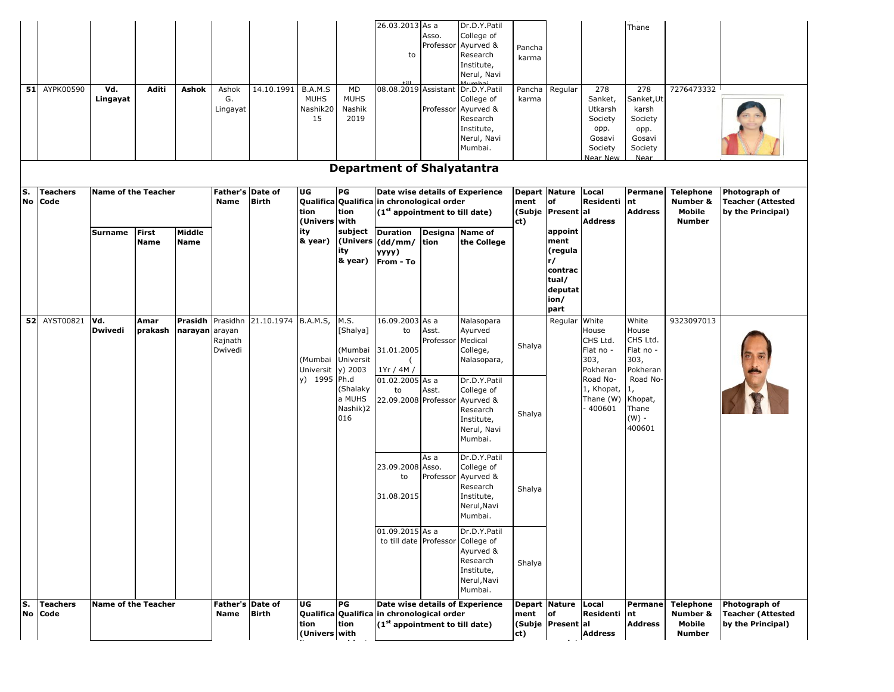|          | 51 AYPK00590            | Vd.<br>Lingayat                       | Aditi                       | Ashok                     | Ashok<br>G.<br>Lingayat         | 14.10.1991   | B.A.M.S<br><b>MUHS</b><br>Nashik20<br>15      | MD<br><b>MUHS</b><br>Nashik<br>2019              | 26.03.2013 As a<br>to<br>08.08.2019 Assistant                                                                                                  | Asso.<br>Professor<br>Professor | Dr.D.Y.Patil<br>College of<br>Ayurved &<br>Research<br>Institute,<br>Nerul, Navi<br>Dr.D.Y.Patil<br>College of<br>Ayurved &<br>Research<br>Institute,<br>Nerul, Navi<br>Mumbai. | Pancha<br>karma<br>Pancha<br>karma                  | Regular                                                      | 278<br>Sanket,<br>Utkarsh<br>Society<br>opp.<br>Gosavi<br>Society<br>Near New | Thane<br>278<br>Sanket, Ut<br>karsh<br>Society<br>opp.<br>Gosavi<br>Society<br>Near | 7276473332                                              |                                                                |
|----------|-------------------------|---------------------------------------|-----------------------------|---------------------------|---------------------------------|--------------|-----------------------------------------------|--------------------------------------------------|------------------------------------------------------------------------------------------------------------------------------------------------|---------------------------------|---------------------------------------------------------------------------------------------------------------------------------------------------------------------------------|-----------------------------------------------------|--------------------------------------------------------------|-------------------------------------------------------------------------------|-------------------------------------------------------------------------------------|---------------------------------------------------------|----------------------------------------------------------------|
|          |                         |                                       |                             |                           |                                 |              |                                               |                                                  | <b>Department of Shalyatantra</b>                                                                                                              |                                 |                                                                                                                                                                                 |                                                     |                                                              |                                                                               |                                                                                     |                                                         |                                                                |
| S.<br>No | <b>Teachers</b><br>Code | <b>Name of the Teacher</b><br>Surname | <b>First</b><br><b>Name</b> | Middle<br><b>Name</b>     | Father's Date of<br><b>Name</b> | <b>Birth</b> | UG<br>tion<br>(Univers with<br>ity<br>& year) | PG<br>tion<br>subject<br>ity<br>& year)          | Qualifica Qualifica in chronological order<br>(1st appointment to till date)<br><b>Duration</b><br>(Univers (dd/mm/ tion<br>yyyy)<br>From - To | Designa Name of                 | Date wise details of Experience<br>the College                                                                                                                                  | Depart Nature<br>ment<br>ct)                        | lof<br>(Subje Present al<br>appoint<br>ment<br>(regula<br>r/ | Local<br>Residenti<br><b>Address</b>                                          | Permane<br>nt<br><b>Address</b>                                                     | <b>Telephone</b><br>Number &<br>Mobile<br><b>Number</b> | Photograph of<br><b>Teacher (Attested</b><br>by the Principal) |
|          |                         |                                       |                             |                           |                                 |              |                                               |                                                  |                                                                                                                                                |                                 |                                                                                                                                                                                 |                                                     | contrac<br>tual/<br>deputat<br>ion/<br>part                  |                                                                               |                                                                                     |                                                         |                                                                |
|          | <b>52 AYST00821</b>     | Vd.<br><b>Dwivedi</b>                 | Amar<br>prakash             | Prasidh<br>narayan arayan | Prasidhn<br>Rajnath<br>Dwivedi  | 21.10.1974   | <b>B.A.M.S,</b><br>Universit y) 2003          | M.S.<br>[Shalya]<br>(Mumbai<br>(Mumbai Universit | 16.09.2003 As a<br>to<br>31.01.2005<br>1Yr / 4M /                                                                                              | Asst.<br>Professor              | Nalasopara<br>Ayurved<br>Medical<br>College,<br>Nalasopara,                                                                                                                     | Shalya                                              | Regular                                                      | White<br>House<br>CHS Ltd.<br>Flat no -<br>303,<br>Pokheran                   | White<br>House<br>CHS Ltd.<br>Flat no -<br>303,<br>Pokheran                         | 9323097013                                              |                                                                |
|          |                         |                                       |                             |                           |                                 |              | y) 1995 Ph.d                                  | (Shalaky<br>a MUHS<br>Nashik)2<br>016            | 01.02.2005 As a<br>to<br>22.09.2008 Professor                                                                                                  | Asst.                           | Dr.D.Y.Patil<br>College of<br>Ayurved &<br>Research<br>Institute,<br>Nerul, Navi<br>Mumbai.                                                                                     | Shalya                                              |                                                              | Road No-<br>1, Khopat,<br>Thane (W)<br>400601                                 | Road No-<br>1,<br>Khopat,<br>Thane<br>$(W)$ -<br>400601                             |                                                         |                                                                |
|          |                         |                                       |                             |                           |                                 |              |                                               |                                                  | 23.09.2008 Asso.<br>to<br>31.08.2015                                                                                                           | As a<br>Professor               | Dr.D.Y.Patil<br>College of<br>Ayurved &<br>Research<br>Institute,<br>Nerul, Navi<br>Mumbai.                                                                                     | Shalya                                              |                                                              |                                                                               |                                                                                     |                                                         |                                                                |
|          |                         |                                       |                             |                           |                                 |              |                                               |                                                  | 01.09.2015 As a<br>to till date Professor                                                                                                      |                                 | Dr.D.Y.Patil<br>College of<br>Ayurved &<br>Research<br>Institute,<br>Nerul, Navi<br>Mumbai.                                                                                     | Shalya                                              |                                                              |                                                                               |                                                                                     |                                                         |                                                                |
| S.<br>No | <b>Teachers</b><br>Code | <b>Name of the Teacher</b>            |                             |                           | Father's Date of<br><b>Name</b> | <b>Birth</b> | UG<br>tion<br>(Univers with                   | PG<br>tion                                       | Qualifica Qualifica in chronological order<br>(1 <sup>st</sup> appointment to till date)                                                       |                                 | Date wise details of Experience                                                                                                                                                 | Depart Nature<br>ment<br>(Subje   Present al<br>ct) | o <sub>f</sub>                                               | Local<br>Residenti<br><b>Address</b>                                          | Permane<br>nt<br><b>Address</b>                                                     | <b>Telephone</b><br>Number &<br>Mobile<br><b>Number</b> | Photograph of<br><b>Teacher (Attested</b><br>by the Principal) |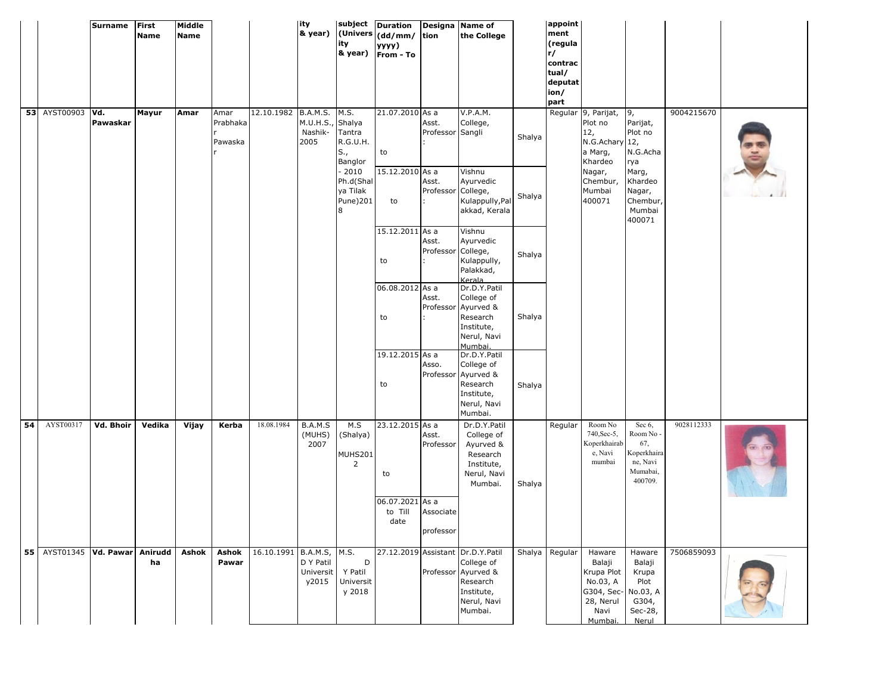|    |                            | <b>Surname</b> | <b>First</b><br><b>Name</b> | Middle<br>Name |                             |                          | lity<br>& year)                     | ity                                                          | subject Duration<br>(Univers (dd/mm/<br>уууу)<br>& year) From - To | tion                               | Designa Name of<br>the College                                                                                             |        | appoint<br>ment<br>(regula<br>r/<br>contrac<br>tual/<br>deputat<br>ion/<br>part |                                                                                                     |                                                                              |            |  |
|----|----------------------------|----------------|-----------------------------|----------------|-----------------------------|--------------------------|-------------------------------------|--------------------------------------------------------------|--------------------------------------------------------------------|------------------------------------|----------------------------------------------------------------------------------------------------------------------------|--------|---------------------------------------------------------------------------------|-----------------------------------------------------------------------------------------------------|------------------------------------------------------------------------------|------------|--|
|    | 53 AYST00903 Vd.           | Pawaskar       | Mayur                       | Amar           | Amar<br>Prabhaka<br>Pawaska | 12.10.1982 B.A.M.S. M.S. | M.U.H.S., Shalya<br>Nashik-<br>2005 | Tantra<br>R.G.U.H.<br>S.,<br>Banglor<br>$-2010$<br>Ph.d(Shal | 21.07.2010 As a<br>to<br>15.12.2010 As a                           | Asst.<br>Professor Sangli<br>Asst. | V.P.A.M.<br>College,<br>Vishnu<br>Ayurvedic                                                                                | Shalya |                                                                                 | Regular 9, Parijat,<br>Plot no<br>12,<br>N.G.Achary 12,<br>a Marg,<br>Khardeo<br>Nagar,<br>Chembur, | 9,<br>Parijat,<br>Plot no<br>N.G.Acha<br>rya<br>Marg,<br>Khardeo             | 9004215670 |  |
|    |                            |                |                             |                |                             |                          |                                     | ya Tilak<br>Pune)201<br>8                                    | to                                                                 | Professor College,                 | Kulappully, Pal<br>akkad, Kerala                                                                                           | Shalya |                                                                                 | Mumbai<br>400071                                                                                    | Nagar,<br>Chembur,<br>Mumbai<br>400071                                       |            |  |
|    |                            |                |                             |                |                             |                          |                                     |                                                              | 15.12.2011 As a<br>to                                              | Asst.<br>Professor College,        | Vishnu<br>Ayurvedic<br>Kulappully,<br>Palakkad,<br>Kerala                                                                  | Shalya |                                                                                 |                                                                                                     |                                                                              |            |  |
|    |                            |                |                             |                |                             |                          |                                     |                                                              | 06.08.2012 As a<br>to                                              | Asst.<br>Professor                 | Dr.D.Y.Patil<br>College of<br>Ayurved &<br>Research<br>Institute,<br>Nerul, Navi<br>Mumbai.                                | Shalya |                                                                                 |                                                                                                     |                                                                              |            |  |
|    |                            |                |                             |                |                             |                          |                                     |                                                              | 19.12.2015 As a<br>to                                              | Asso.<br>Professor                 | Dr.D.Y.Patil<br>College of<br>Ayurved &<br>Research<br>Institute,<br>Nerul, Navi<br>Mumbai.                                | Shalya |                                                                                 |                                                                                                     |                                                                              |            |  |
| 54 | AYST00317                  | Vd. Bhoir      | Vedika                      | Vijay          | Kerba                       | 18.08.1984               | B.A.M.S<br>(MUHS)<br>2007           | M.S<br>(Shalya)<br>MUHS201<br>$\overline{2}$                 | 23.12.2015 As a<br>to                                              | Asst.<br>Professor                 | Dr.D.Y.Patil<br>College of<br>Ayurved &<br>Research<br>Institute,<br>Nerul, Navi<br>Mumbai.                                | Shalya | Regular                                                                         | Room No<br>740, Sec-5,<br>Koperkhairab<br>e, Navi<br>mumbai                                         | Sec 6,<br>Room No -<br>67,<br>Koperkhaira<br>ne, Navi<br>Mumabai,<br>400709. | 9028112333 |  |
|    |                            |                |                             |                |                             |                          |                                     |                                                              | 06.07.2021 As a<br>to Till<br>date                                 | Associate<br>professor             |                                                                                                                            |        |                                                                                 |                                                                                                     |                                                                              |            |  |
|    | 55   AYST01345   Vd. Pawar |                | Anirudd<br>ha               | Ashok          | Ashok<br>Pawar              | 16.10.1991 B.A.M.S, M.S. | D Y Patil<br>Universit<br>y2015     | D<br>Y Patil<br>Universit<br>y 2018                          |                                                                    |                                    | 27.12.2019 Assistant Dr.D.Y.Patil<br>College of<br>Professor Ayurved &<br>Research<br>Institute,<br>Nerul, Navi<br>Mumbai. |        | Shalya Regular                                                                  | Haware<br>Balaji<br>Krupa Plot<br>No.03, A<br>G304, Sec- No.03, A<br>28, Nerul<br>Navi<br>Mumbai.   | Haware<br>Balaji<br>Krupa<br>Plot<br>G304,<br>Sec-28,<br>Nerul               | 7506859093 |  |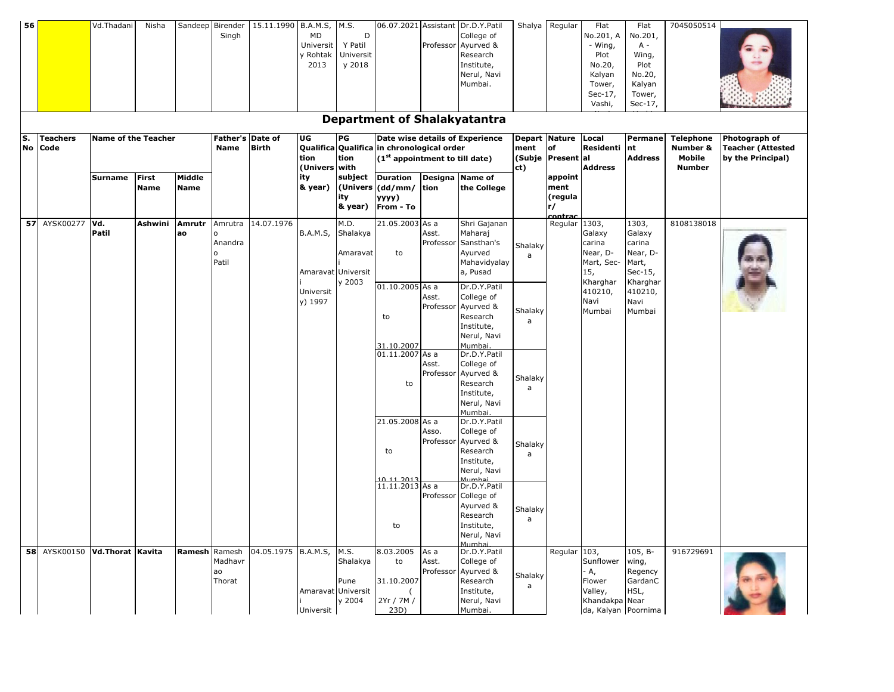| Shalya Regular<br>Vd.Thadani<br>15.11.1990 B.A.M.S,<br>M.S.<br>06.07.2021 Assistant<br>Dr.D.Y.Patil<br>Flat<br>7045050514<br>56<br>Nisha<br>Sandeep Birender<br>Flat<br>Singh<br>D<br>College of<br>No.201, A<br>No.201,<br>MD<br>Y Patil<br>- Wing,<br>Professor<br>Ayurved &<br>$A -$<br>Universit<br>y Rohtak<br>Universit<br>Research<br>Plot<br>Wing,<br>y 2018<br>Institute,<br>No.20,<br>Plot<br>2013<br>Nerul, Navi<br>Kalyan<br>No.20,<br>Mumbai.<br>Kalyan<br>Tower,<br>Sec-17,<br>Tower,<br>Vashi,<br>Sec-17,<br><b>Department of Shalakyatantra</b><br>S.<br><b>Name of the Teacher</b><br>Father's Date of<br>UG<br>PG<br>Date wise details of Experience<br>Depart Nature<br>Permane<br><b>Teachers</b><br>Local<br><b>Telephone</b><br>Qualifica Qualifica in chronological order<br>Residenti nt<br>No<br>Code<br><b>Birth</b><br>ment<br>lof<br>Number &<br>Name<br><b>Address</b><br>tion<br>(1 <sup>st</sup> appointment to till date)<br>(Subje Present al<br>Mobile<br>tion<br>(Univers with<br><b>Address</b><br>ct)<br><b>Number</b><br><b>First</b><br>Middle<br>subject<br><b>Duration</b><br>Designa<br><b>Name of</b><br><b>Surname</b><br>ity<br>appoint<br>& year)<br>$ $ (Univers $ $ (dd/mm/ $ $ tion<br><b>Name</b><br><b>Name</b><br>the College<br>ment<br>(regula<br>ity<br>yyyy)<br>& year)<br>From - To<br>lr/ | Photograph of<br><b>Teacher (Attested</b> |
|-----------------------------------------------------------------------------------------------------------------------------------------------------------------------------------------------------------------------------------------------------------------------------------------------------------------------------------------------------------------------------------------------------------------------------------------------------------------------------------------------------------------------------------------------------------------------------------------------------------------------------------------------------------------------------------------------------------------------------------------------------------------------------------------------------------------------------------------------------------------------------------------------------------------------------------------------------------------------------------------------------------------------------------------------------------------------------------------------------------------------------------------------------------------------------------------------------------------------------------------------------------------------------------------------------------------------------------------------------|-------------------------------------------|
|                                                                                                                                                                                                                                                                                                                                                                                                                                                                                                                                                                                                                                                                                                                                                                                                                                                                                                                                                                                                                                                                                                                                                                                                                                                                                                                                                     |                                           |
|                                                                                                                                                                                                                                                                                                                                                                                                                                                                                                                                                                                                                                                                                                                                                                                                                                                                                                                                                                                                                                                                                                                                                                                                                                                                                                                                                     |                                           |
|                                                                                                                                                                                                                                                                                                                                                                                                                                                                                                                                                                                                                                                                                                                                                                                                                                                                                                                                                                                                                                                                                                                                                                                                                                                                                                                                                     |                                           |
|                                                                                                                                                                                                                                                                                                                                                                                                                                                                                                                                                                                                                                                                                                                                                                                                                                                                                                                                                                                                                                                                                                                                                                                                                                                                                                                                                     |                                           |
|                                                                                                                                                                                                                                                                                                                                                                                                                                                                                                                                                                                                                                                                                                                                                                                                                                                                                                                                                                                                                                                                                                                                                                                                                                                                                                                                                     |                                           |
|                                                                                                                                                                                                                                                                                                                                                                                                                                                                                                                                                                                                                                                                                                                                                                                                                                                                                                                                                                                                                                                                                                                                                                                                                                                                                                                                                     |                                           |
|                                                                                                                                                                                                                                                                                                                                                                                                                                                                                                                                                                                                                                                                                                                                                                                                                                                                                                                                                                                                                                                                                                                                                                                                                                                                                                                                                     |                                           |
|                                                                                                                                                                                                                                                                                                                                                                                                                                                                                                                                                                                                                                                                                                                                                                                                                                                                                                                                                                                                                                                                                                                                                                                                                                                                                                                                                     |                                           |
|                                                                                                                                                                                                                                                                                                                                                                                                                                                                                                                                                                                                                                                                                                                                                                                                                                                                                                                                                                                                                                                                                                                                                                                                                                                                                                                                                     |                                           |
|                                                                                                                                                                                                                                                                                                                                                                                                                                                                                                                                                                                                                                                                                                                                                                                                                                                                                                                                                                                                                                                                                                                                                                                                                                                                                                                                                     |                                           |
|                                                                                                                                                                                                                                                                                                                                                                                                                                                                                                                                                                                                                                                                                                                                                                                                                                                                                                                                                                                                                                                                                                                                                                                                                                                                                                                                                     |                                           |
|                                                                                                                                                                                                                                                                                                                                                                                                                                                                                                                                                                                                                                                                                                                                                                                                                                                                                                                                                                                                                                                                                                                                                                                                                                                                                                                                                     | by the Principal)                         |
|                                                                                                                                                                                                                                                                                                                                                                                                                                                                                                                                                                                                                                                                                                                                                                                                                                                                                                                                                                                                                                                                                                                                                                                                                                                                                                                                                     |                                           |
|                                                                                                                                                                                                                                                                                                                                                                                                                                                                                                                                                                                                                                                                                                                                                                                                                                                                                                                                                                                                                                                                                                                                                                                                                                                                                                                                                     |                                           |
|                                                                                                                                                                                                                                                                                                                                                                                                                                                                                                                                                                                                                                                                                                                                                                                                                                                                                                                                                                                                                                                                                                                                                                                                                                                                                                                                                     |                                           |
|                                                                                                                                                                                                                                                                                                                                                                                                                                                                                                                                                                                                                                                                                                                                                                                                                                                                                                                                                                                                                                                                                                                                                                                                                                                                                                                                                     |                                           |
| contrac<br>57 AYSK00277<br>14.07.1976<br>21.05.2003 As a<br>Vd.<br>Ashwini<br>Amrutr<br>M.D.<br>Shri Gajanan<br>Regular 1303,<br>1303,<br>8108138018<br>Amrutra                                                                                                                                                                                                                                                                                                                                                                                                                                                                                                                                                                                                                                                                                                                                                                                                                                                                                                                                                                                                                                                                                                                                                                                     |                                           |
| Patil<br><b>B.A.M.S,</b><br>Asst.<br>Shalakya<br>Maharaj<br>Galaxy<br>Galaxy<br>ao                                                                                                                                                                                                                                                                                                                                                                                                                                                                                                                                                                                                                                                                                                                                                                                                                                                                                                                                                                                                                                                                                                                                                                                                                                                                  |                                           |
| Sansthan's<br>Anandra<br>Professor<br>carina<br>carina<br>Shalaky                                                                                                                                                                                                                                                                                                                                                                                                                                                                                                                                                                                                                                                                                                                                                                                                                                                                                                                                                                                                                                                                                                                                                                                                                                                                                   |                                           |
| Near, D-<br>Amaravat<br>Ayurved<br>Near, D-<br>to<br>a                                                                                                                                                                                                                                                                                                                                                                                                                                                                                                                                                                                                                                                                                                                                                                                                                                                                                                                                                                                                                                                                                                                                                                                                                                                                                              |                                           |
| Patil<br>Mart,<br>Mahavidyalay<br>Mart, Sec-                                                                                                                                                                                                                                                                                                                                                                                                                                                                                                                                                                                                                                                                                                                                                                                                                                                                                                                                                                                                                                                                                                                                                                                                                                                                                                        |                                           |
| Amaravat Universit<br>15,<br>a, Pusad<br>Sec-15,<br>Kharghar                                                                                                                                                                                                                                                                                                                                                                                                                                                                                                                                                                                                                                                                                                                                                                                                                                                                                                                                                                                                                                                                                                                                                                                                                                                                                        |                                           |
| y 2003<br>Kharghar<br>01.10.2005 As a<br>Dr.D.Y.Patil<br>410210,<br>410210,<br>Universit                                                                                                                                                                                                                                                                                                                                                                                                                                                                                                                                                                                                                                                                                                                                                                                                                                                                                                                                                                                                                                                                                                                                                                                                                                                            |                                           |
| College of<br>Asst.<br>y) 1997<br>Navi<br>Navi                                                                                                                                                                                                                                                                                                                                                                                                                                                                                                                                                                                                                                                                                                                                                                                                                                                                                                                                                                                                                                                                                                                                                                                                                                                                                                      |                                           |
| Ayurved &<br>Professor<br>Shalaky<br>Mumbai<br>Mumbai                                                                                                                                                                                                                                                                                                                                                                                                                                                                                                                                                                                                                                                                                                                                                                                                                                                                                                                                                                                                                                                                                                                                                                                                                                                                                               |                                           |
| Research<br>to<br>a<br>Institute,                                                                                                                                                                                                                                                                                                                                                                                                                                                                                                                                                                                                                                                                                                                                                                                                                                                                                                                                                                                                                                                                                                                                                                                                                                                                                                                   |                                           |
| Nerul, Navi                                                                                                                                                                                                                                                                                                                                                                                                                                                                                                                                                                                                                                                                                                                                                                                                                                                                                                                                                                                                                                                                                                                                                                                                                                                                                                                                         |                                           |
| Mumbai.<br>31.10.2007                                                                                                                                                                                                                                                                                                                                                                                                                                                                                                                                                                                                                                                                                                                                                                                                                                                                                                                                                                                                                                                                                                                                                                                                                                                                                                                               |                                           |
| 01.11.2007 As a<br>Dr.D.Y.Patil                                                                                                                                                                                                                                                                                                                                                                                                                                                                                                                                                                                                                                                                                                                                                                                                                                                                                                                                                                                                                                                                                                                                                                                                                                                                                                                     |                                           |
| College of<br>Asst.                                                                                                                                                                                                                                                                                                                                                                                                                                                                                                                                                                                                                                                                                                                                                                                                                                                                                                                                                                                                                                                                                                                                                                                                                                                                                                                                 |                                           |
| Professor<br>Ayurved &<br>Shalaky                                                                                                                                                                                                                                                                                                                                                                                                                                                                                                                                                                                                                                                                                                                                                                                                                                                                                                                                                                                                                                                                                                                                                                                                                                                                                                                   |                                           |
| Research<br>to<br>a                                                                                                                                                                                                                                                                                                                                                                                                                                                                                                                                                                                                                                                                                                                                                                                                                                                                                                                                                                                                                                                                                                                                                                                                                                                                                                                                 |                                           |
| Institute,<br>Nerul, Navi                                                                                                                                                                                                                                                                                                                                                                                                                                                                                                                                                                                                                                                                                                                                                                                                                                                                                                                                                                                                                                                                                                                                                                                                                                                                                                                           |                                           |
| Mumbai.                                                                                                                                                                                                                                                                                                                                                                                                                                                                                                                                                                                                                                                                                                                                                                                                                                                                                                                                                                                                                                                                                                                                                                                                                                                                                                                                             |                                           |
| 21.05.2008 As a<br>Dr.D.Y.Patil                                                                                                                                                                                                                                                                                                                                                                                                                                                                                                                                                                                                                                                                                                                                                                                                                                                                                                                                                                                                                                                                                                                                                                                                                                                                                                                     |                                           |
| Asso.<br>College of                                                                                                                                                                                                                                                                                                                                                                                                                                                                                                                                                                                                                                                                                                                                                                                                                                                                                                                                                                                                                                                                                                                                                                                                                                                                                                                                 |                                           |
| Professor<br>Ayurved &<br>Shalaky                                                                                                                                                                                                                                                                                                                                                                                                                                                                                                                                                                                                                                                                                                                                                                                                                                                                                                                                                                                                                                                                                                                                                                                                                                                                                                                   |                                           |
| Research<br>to<br>a                                                                                                                                                                                                                                                                                                                                                                                                                                                                                                                                                                                                                                                                                                                                                                                                                                                                                                                                                                                                                                                                                                                                                                                                                                                                                                                                 |                                           |
| Institute,<br>Nerul, Navi                                                                                                                                                                                                                                                                                                                                                                                                                                                                                                                                                                                                                                                                                                                                                                                                                                                                                                                                                                                                                                                                                                                                                                                                                                                                                                                           |                                           |
| 10 11 2013<br>Mumha                                                                                                                                                                                                                                                                                                                                                                                                                                                                                                                                                                                                                                                                                                                                                                                                                                                                                                                                                                                                                                                                                                                                                                                                                                                                                                                                 |                                           |
| 11.11.2013 As a<br>Dr.D.Y.Patil                                                                                                                                                                                                                                                                                                                                                                                                                                                                                                                                                                                                                                                                                                                                                                                                                                                                                                                                                                                                                                                                                                                                                                                                                                                                                                                     |                                           |
| Professor College of                                                                                                                                                                                                                                                                                                                                                                                                                                                                                                                                                                                                                                                                                                                                                                                                                                                                                                                                                                                                                                                                                                                                                                                                                                                                                                                                |                                           |
| Ayurved &<br>Shalaky<br>Research                                                                                                                                                                                                                                                                                                                                                                                                                                                                                                                                                                                                                                                                                                                                                                                                                                                                                                                                                                                                                                                                                                                                                                                                                                                                                                                    |                                           |
| a<br>Institute,<br>to                                                                                                                                                                                                                                                                                                                                                                                                                                                                                                                                                                                                                                                                                                                                                                                                                                                                                                                                                                                                                                                                                                                                                                                                                                                                                                                               |                                           |
| Nerul, Navi                                                                                                                                                                                                                                                                                                                                                                                                                                                                                                                                                                                                                                                                                                                                                                                                                                                                                                                                                                                                                                                                                                                                                                                                                                                                                                                                         |                                           |
| Mumbai.                                                                                                                                                                                                                                                                                                                                                                                                                                                                                                                                                                                                                                                                                                                                                                                                                                                                                                                                                                                                                                                                                                                                                                                                                                                                                                                                             |                                           |
| 8.03.2005<br>58 AYSK00150 Vd.Thorat Kavita<br>Ramesh Ramesh<br>04.05.1975 B.A.M.S,<br>M.S.<br>Dr.D.Y.Patil<br>Regular 103,<br>$105, B-$<br>916729691<br>As a                                                                                                                                                                                                                                                                                                                                                                                                                                                                                                                                                                                                                                                                                                                                                                                                                                                                                                                                                                                                                                                                                                                                                                                        |                                           |
| Madhavr<br>Shalakya<br>Sunflower wing,<br>to<br>Asst.<br>College of                                                                                                                                                                                                                                                                                                                                                                                                                                                                                                                                                                                                                                                                                                                                                                                                                                                                                                                                                                                                                                                                                                                                                                                                                                                                                 |                                           |
|                                                                                                                                                                                                                                                                                                                                                                                                                                                                                                                                                                                                                                                                                                                                                                                                                                                                                                                                                                                                                                                                                                                                                                                                                                                                                                                                                     |                                           |
| Ayurved &<br>Regency<br>Professor<br>- A,<br>ao<br>Shalaky                                                                                                                                                                                                                                                                                                                                                                                                                                                                                                                                                                                                                                                                                                                                                                                                                                                                                                                                                                                                                                                                                                                                                                                                                                                                                          |                                           |
| Pune<br>31.10.2007<br>Research<br>GardanC<br>Thorat<br>Flower<br>a                                                                                                                                                                                                                                                                                                                                                                                                                                                                                                                                                                                                                                                                                                                                                                                                                                                                                                                                                                                                                                                                                                                                                                                                                                                                                  |                                           |
| Amaravat Universit<br>HSL,<br>Institute,<br>Valley,<br>y 2004<br>2Yr / 7M /<br>Khandakpa Near<br>Nerul, Navi                                                                                                                                                                                                                                                                                                                                                                                                                                                                                                                                                                                                                                                                                                                                                                                                                                                                                                                                                                                                                                                                                                                                                                                                                                        |                                           |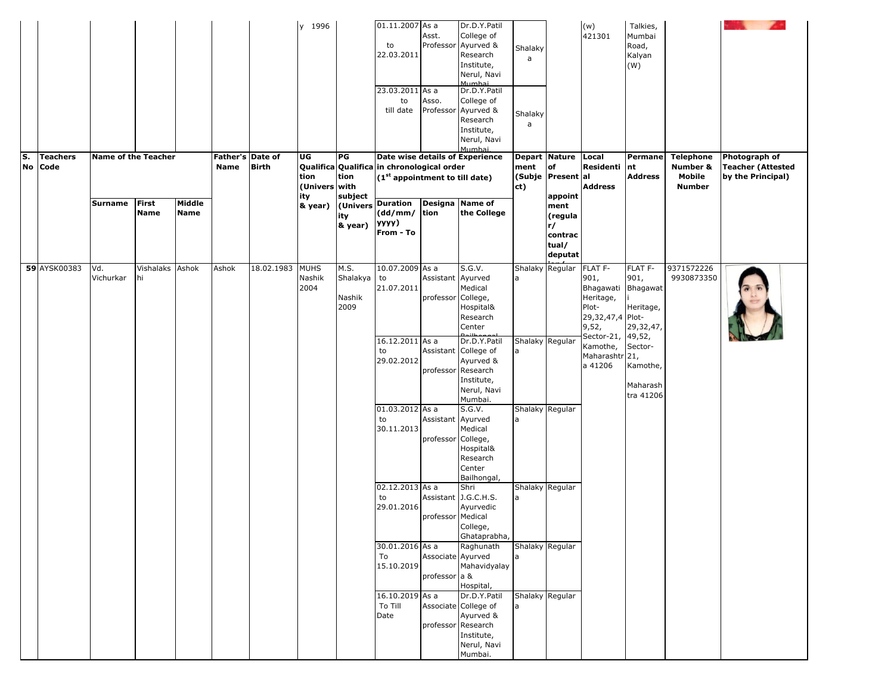| ls. |    | <b>Teachers</b> | <b>Name of the Teacher</b> |                       |                       | Father's Date of |              | y 1996<br>UG                            | PG                                    | $01.11.2007$ As a<br>to<br>22.03.2011<br>23.03.2011 As a<br>to<br>till date<br>Date wise details of Experience                                        | Asst.<br>Asso.                          | Dr.D.Y.Patil<br>College of<br>Professor Ayurved &<br>Research<br>Institute,<br>Nerul, Navi<br>Mumhai<br>Dr.D.Y.Patil<br>College of<br>Professor Ayurved &<br>Research<br>Institute,<br>Nerul, Navi<br>Mumbai | Shalaky<br>a<br>Shalaky<br>a<br>Depart  | Nature Local                                                          | (w)<br>421301                                                                                 | Talkies,<br>Mumbai<br>Road,<br>Kalyan<br>(W)<br><b>Permane</b> | <b>Telephone</b>                    | Photograph of                                 |
|-----|----|-----------------|----------------------------|-----------------------|-----------------------|------------------|--------------|-----------------------------------------|---------------------------------------|-------------------------------------------------------------------------------------------------------------------------------------------------------|-----------------------------------------|--------------------------------------------------------------------------------------------------------------------------------------------------------------------------------------------------------------|-----------------------------------------|-----------------------------------------------------------------------|-----------------------------------------------------------------------------------------------|----------------------------------------------------------------|-------------------------------------|-----------------------------------------------|
|     | No | Code            | Surname                    | First<br><b>Name</b>  | Middle<br><b>Name</b> | Name             | <b>Birth</b> | tion<br>(Univers with<br>ity<br>& year) | tion<br>subject<br>ity<br>& year)     | Qualifica Qualifica in chronological order<br>(1 <sup>st</sup> appointment to till date)<br>(Univers Duration<br>$(dd/mm/$ tion<br>yyyy)<br>From - To |                                         | Designa Name of<br>the College                                                                                                                                                                               | ment<br>(Subje Present al<br>ct)        | of<br>appoint<br>ment<br>(regula<br>r/<br>contrac<br>tual/<br>deputat | Residenti<br><b>Address</b>                                                                   | nt<br><b>Address</b>                                           | Number &<br>Mobile<br><b>Number</b> | <b>Teacher (Attested</b><br>by the Principal) |
|     |    | 59 AYSK00383    | Vd.<br>Vichurkar           | Vishalaks Ashok<br>hi |                       | Ashok            | 18.02.1983   | <b>MUHS</b><br>Nashik<br>2004           | M.S.<br>Shalakya to<br>Nashik<br>2009 | 10.07.2009 As a<br>21.07.2011                                                                                                                         | Assistant Ayurved<br>professor College, | S.G.V.<br>Medical<br>Hospital&<br>Research<br>Center                                                                                                                                                         | Shalaky Regular<br>a                    |                                                                       | FLAT F-<br>901,<br>Bhagawati<br>Heritage,<br>Plot-<br>29,32,47,4 Plot-<br>9,52,<br>Sector-21, | FLAT F-<br>901,<br>Bhagawat<br>Heritage,<br>29,32,47           | 9371572226<br>9930873350            |                                               |
|     |    |                 |                            |                       |                       |                  |              |                                         |                                       | 16.12.2011 As a<br>to<br>29.02.2012                                                                                                                   |                                         | Dr.D.Y.Patil<br>Assistant College of<br>Ayurved &<br>professor Research<br>Institute,<br>Nerul, Navi<br>Mumbai.                                                                                              | Shalaky Regular<br>l a                  |                                                                       | Kamothe,<br>Maharashtr 21,<br>a 41206                                                         | 49,52,<br>Sector-<br>Kamothe,<br>Maharash<br>tra 41206         |                                     |                                               |
|     |    |                 |                            |                       |                       |                  |              |                                         |                                       | 01.03.2012 As a<br>to<br>30.11.2013                                                                                                                   | Assistant Ayurved<br>professor College, | S.G.V.<br>Medical<br>Hospital&<br>Research<br>Center<br>Bailhongal,                                                                                                                                          | Shalaky Regular<br>a                    |                                                                       |                                                                                               |                                                                |                                     |                                               |
|     |    |                 |                            |                       |                       |                  |              |                                         |                                       | 02.12.2013 As a<br>to<br>29.01.2016                                                                                                                   | professor Medical                       | Shri<br>Assistant J.G.C.H.S.<br>Ayurvedic<br>College,<br>Ghataprabha,                                                                                                                                        | Shalaky Regular<br>a                    |                                                                       |                                                                                               |                                                                |                                     |                                               |
|     |    |                 |                            |                       |                       |                  |              |                                         |                                       | 30.01.2016 As a<br>To<br>15.10.2019<br>16.10.2019 As a                                                                                                | Associate Ayurved<br>professor a &      | Raghunath<br>Mahavidyalay<br>Hospital,<br>Dr.D.Y.Patil                                                                                                                                                       | Shalaky Regular<br>a<br>Shalaky Regular |                                                                       |                                                                                               |                                                                |                                     |                                               |
|     |    |                 |                            |                       |                       |                  |              |                                         |                                       | To Till<br>Date                                                                                                                                       |                                         | Associate College of<br>Ayurved &<br>professor Research<br>Institute,<br>Nerul, Navi<br>Mumbai.                                                                                                              | a                                       |                                                                       |                                                                                               |                                                                |                                     |                                               |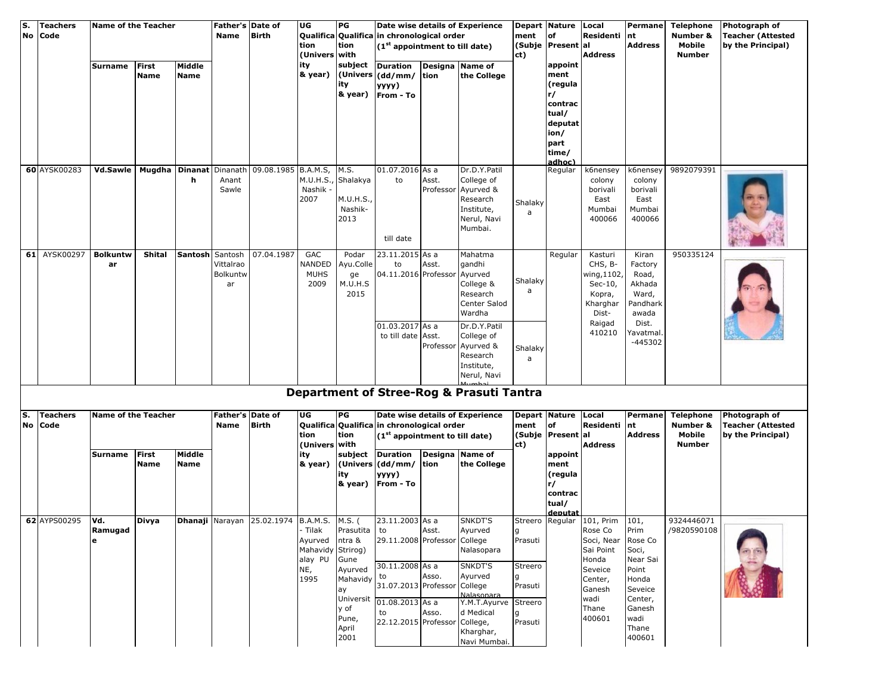| S.<br><b>No</b> | <b>Teachers</b><br>Code | <b>Name of the Teacher</b>             |                      |                       | Father's Date of<br><b>Name</b> | <b>Birth</b>                                              | UG<br>tion<br>(Univers with                                 | PG<br>tion                                       | Qualifica Qualifica in chronological order<br>$(1st$ appointment to till date)                                                                                                                              |                    | Date wise details of Experience                                                              | <b>Depart Nature</b><br>ment<br>of<br>(Subje Present al<br>ct) |                                                                 | Local<br>Residenti nt<br>Address                                                                                                       | Permane<br><b>Address</b>                                                   | <b>Telephone</b><br>Number &<br>Mobile<br><b>Number</b>        | Photograph of<br><b>Teacher (Attested</b><br>by the Principal) |
|-----------------|-------------------------|----------------------------------------|----------------------|-----------------------|---------------------------------|-----------------------------------------------------------|-------------------------------------------------------------|--------------------------------------------------|-------------------------------------------------------------------------------------------------------------------------------------------------------------------------------------------------------------|--------------------|----------------------------------------------------------------------------------------------|----------------------------------------------------------------|-----------------------------------------------------------------|----------------------------------------------------------------------------------------------------------------------------------------|-----------------------------------------------------------------------------|----------------------------------------------------------------|----------------------------------------------------------------|
|                 |                         | Surname                                | <b>First</b><br>Name | Middle<br><b>Name</b> |                                 |                                                           | ity<br>& year)                                              | subject<br>ity<br>& year)                        | <b>Duration</b><br>(Univers (dd/mm/ tion<br>yyyy)<br>From - To                                                                                                                                              | Designa            | <b>Name of</b><br>the College                                                                |                                                                | appoint<br>ment<br>(regula<br>r/<br>contrac                     |                                                                                                                                        |                                                                             |                                                                |                                                                |
|                 |                         |                                        |                      |                       |                                 |                                                           |                                                             |                                                  |                                                                                                                                                                                                             |                    |                                                                                              |                                                                | tual/<br>deputat<br>ion/<br>part<br>time/                       |                                                                                                                                        |                                                                             |                                                                |                                                                |
|                 | 60 AYSK00283            | Vd.Sawle   Mugdha   Dinanat   Dinanath |                      | h.                    | Anant<br>Sawle                  | 09.08.1985 B.A.M.S,                                       | M.U.H.S.<br>Nashik -<br>2007                                | M.S.<br>Shalakya<br>M.U.H.S.,<br>Nashik-<br>2013 | 01.07.2016 As a<br>to<br>till date                                                                                                                                                                          | Asst.<br>Professor | Dr.D.Y.Patil<br>College of<br>Ayurved &<br>Research<br>Institute,<br>Nerul, Navi<br>Mumbai.  | Shalaky<br>a                                                   | adhoc)<br>Regular                                               | k6nensey<br>colony<br>borivali<br>East<br>Mumbai<br>400066                                                                             | k6nensey<br>colony<br>borivali<br>East<br>Mumbai<br>400066                  | 9892079391                                                     |                                                                |
|                 | 61 AYSK00297            | <b>Bolkuntw</b><br>ar                  | Shital               | Santosh Santosh       | Vittalrao<br>Bolkuntw<br>ar     | 07.04.1987                                                | GAC<br>NANDED<br><b>MUHS</b><br>2009                        | Podar<br>Ayu.Colle<br>ge<br>M.U.H.S<br>2015      | 23.11.2015 As a<br>to<br>04.11.2016 Professor                                                                                                                                                               | Asst.              | Mahatma<br>gandhi<br>Ayurved<br>College &<br>Research<br>Center Salod<br>Wardha              | Shalaky<br>a                                                   | Regular                                                         | Kasturi<br>CHS, B-<br>wing,1102,<br>Sec-10,<br>Kopra,<br>Kharghar<br>Dist-                                                             | Kiran<br>Factory<br>Road,<br>Akhada<br>Ward,<br>Pandhark<br>awada           | 950335124                                                      |                                                                |
|                 |                         |                                        |                      |                       |                                 |                                                           |                                                             |                                                  | 01.03.2017 As a<br>to till date Asst.                                                                                                                                                                       | Professor          | Dr.D.Y.Patil<br>College of<br>Ayurved &<br>Research<br>Institute,<br>Nerul, Navi             | Shalaky<br>a                                                   |                                                                 | Raigad<br>410210                                                                                                                       | Dist.<br>'avatmal<br>-445302                                                |                                                                |                                                                |
|                 |                         |                                        |                      |                       |                                 |                                                           |                                                             |                                                  |                                                                                                                                                                                                             |                    | <b>Department of Stree-Rog &amp; Prasuti Tantra</b>                                          |                                                                |                                                                 |                                                                                                                                        |                                                                             |                                                                |                                                                |
| S.<br><b>No</b> | <b>Teachers</b><br>Code | Name of the Teacher                    |                      |                       | Father's Date of<br>Name        | <b>Birth</b>                                              | UG<br>tion<br>(Univers with                                 | PG<br>tion                                       | Date wise details of Experience<br>Qualifica Qualifica in chronological order<br>(1 <sup>st</sup> appointment to till date)                                                                                 |                    | ment<br>ct)                                                                                  | Depart Nature Local<br>of<br>(Subje Present al                 | Residenti nt<br><b>Address</b>                                  | Permane<br><b>Address</b>                                                                                                              | <b>Telephone</b><br>Number &<br>Mobile<br><b>Number</b>                     | Photograph of<br><b>Teacher (Attested</b><br>by the Principal) |                                                                |
|                 |                         | Surname                                | First<br><b>Name</b> | Middle<br><b>Name</b> |                                 |                                                           | ity<br>& year)                                              | ity                                              | subject Duration<br>(Univers (dd/mm/   tion<br>уууу)<br>& year) From - To                                                                                                                                   |                    | Designa Name of<br>the College                                                               |                                                                | appoint<br>ment<br>(regula<br>r/<br>contrac<br>tual/<br>deputat |                                                                                                                                        |                                                                             |                                                                |                                                                |
|                 | 62 AYPS00295 Vd.        | Ramugad                                | <b>Divya</b>         |                       |                                 | Dhanaji Narayan 25.02.1974 B.A.M.S. M.S. (23.11.2003 As a | - Tilak<br>Mahavidy Strirog)<br>alay PU Gune<br>NE,<br>1995 | Prasutita to<br>ay<br>y of                       | Ayurved ntra & 29.11.2008 Professor College<br>Ayurved 30.11.2008 As a<br>Mahavidy to Asso. Ayurved $\begin{vmatrix} 1 & 0 \\ 3 & 1 & 0 \end{vmatrix}$ Asso. Ayurved<br>Universit $\boxed{01.08.2013}$ As a | Asst.              | SNKDT'S<br>Ayurved<br>Nalasopara<br>SNKDT'S<br>Ayurved<br>Nalasonara<br>Y.M.T.Ayurve Streero | g<br>Prasuti<br>Streero<br>$\mathbf{g}$<br>Prasuti             |                                                                 | Streero Regular 101, Prim 101,<br>Rose Co<br>Soci, Near Rose Co<br>Sai Point<br>Honda<br>Seveice<br>Center,<br>Ganesh<br>wadi<br>Thane | Prim<br>Soci,<br>Near Sai<br>Point<br>Honda<br>Seveice<br>Center,<br>Ganesh | 9324446071<br>/9820590108                                      |                                                                |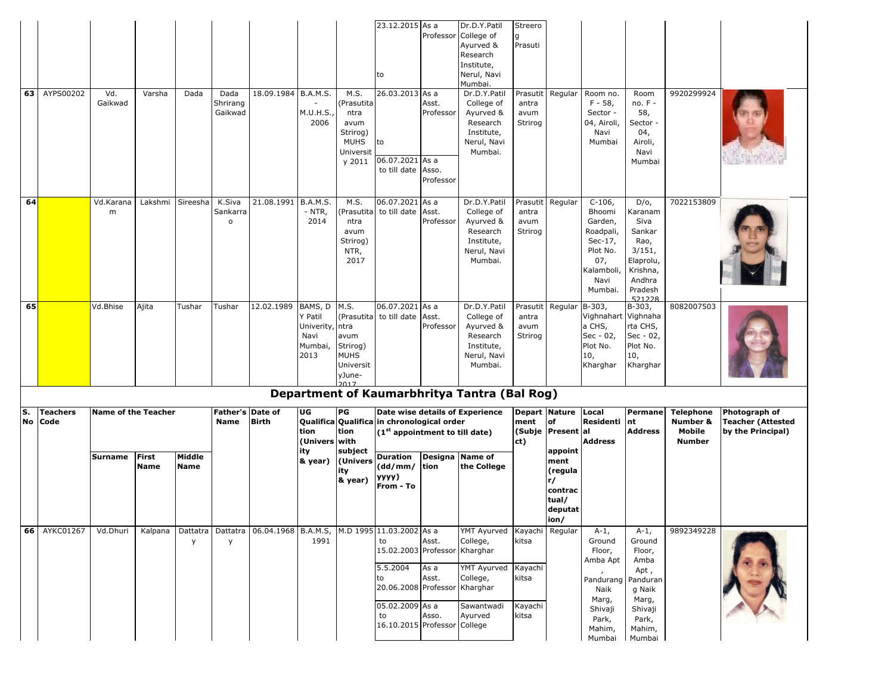| 63                               | AYPS00202    | Vd.<br>Gaikwad             | Varsha                      | Dada                  | Dada<br>Shrirang<br>Gaikwad        | 18.09.1984 B.A.M.S.                                                        | M.U.H.S.,<br>2006                                                | M.S.<br>Prasutita<br>ntra<br>avum<br>Strirog)<br><b>MUHS</b><br>Universit<br>y 2011 | 23.12.2015 As a<br>to<br>26.03.2013 As a<br>to<br>06.07.2021 As a<br>to till date Asso.  | Asst.<br>Professor<br>Professor | Dr.D.Y.Patil<br>Professor College of<br>Ayurved &<br>Research<br>Institute,<br>Nerul, Navi<br>Mumbai.<br>Dr.D.Y.Patil<br>College of<br>Ayurved &<br>Research<br>Institute,<br>Nerul, Navi<br>Mumbai. | Streero<br>g<br>Prasuti<br>Prasutit<br>antra<br>avum<br>Strirog | Regular                                                                                    | Room no.<br>$F - 58$<br>Sector -<br>04, Airoli,<br>Navi<br>Mumbai                                          | Room<br>no. F -<br>58,<br>Sector<br>04,<br>Airoli,<br>Navi<br>Mumbai                                           | 9920299924                                              |                                                                |
|----------------------------------|--------------|----------------------------|-----------------------------|-----------------------|------------------------------------|----------------------------------------------------------------------------|------------------------------------------------------------------|-------------------------------------------------------------------------------------|------------------------------------------------------------------------------------------|---------------------------------|------------------------------------------------------------------------------------------------------------------------------------------------------------------------------------------------------|-----------------------------------------------------------------|--------------------------------------------------------------------------------------------|------------------------------------------------------------------------------------------------------------|----------------------------------------------------------------------------------------------------------------|---------------------------------------------------------|----------------------------------------------------------------|
| 64                               |              | Vd.Karana<br>m             | Lakshmi                     | Sireesha              | K.Siva<br>Sankarra<br>$\mathsf{o}$ | 21.08.1991 B.A.M.S.                                                        | - NTR,<br>2014                                                   | M.S.<br>Prasutita<br>ntra<br>avum<br>Strirog)<br>NTR,<br>2017                       | 06.07.2021<br>to till date                                                               | As a<br>Asst.<br>Professor      | Dr.D.Y.Patil<br>College of<br>Ayurved &<br>Research<br>Institute,<br>Nerul, Navi<br>Mumbai.                                                                                                          | Prasutit<br>antra<br>avum<br>Strirog                            | Regular                                                                                    | $C-106$ ,<br>Bhoomi<br>Garden,<br>Roadpali,<br>Sec-17,<br>Plot No.<br>07,<br>Kalamboli,<br>Navi<br>Mumbai. | $D/O$ ,<br>Karanam<br>Siva<br>Sankar<br>Rao,<br>3/151,<br>Elaprolu,<br>Krishna,<br>Andhra<br>Pradesh<br>521228 | 7022153809                                              |                                                                |
| 65                               |              | Vd.Bhise                   | Ajita                       | Tushar                | Tushar                             | 12.02.1989                                                                 | BAMS, D<br>Y Patil<br>Univerity, ntra<br>Navi<br>Mumbai,<br>2013 | M.S.<br>avum<br>Strirog)<br><b>MUHS</b><br>Universit<br>yJune-                      | 06.07.2021 As a<br>(Prasutita to till date                                               | Asst.<br>Professor              | Dr.D.Y.Patil<br>College of<br>Ayurved &<br>Research<br>Institute,<br>Nerul, Navi<br>Mumbai.                                                                                                          | Prasutit<br>antra<br>avum<br>Strirog                            | Regular                                                                                    | $B-303,$<br>Vighnahart Vighnaha<br>a CHS,<br>Sec - 02,<br>Plot No.<br>10,<br>Kharghar                      | B-303,<br>rta CHS,<br>Sec - 02,<br>Plot No.<br>10,<br>Kharghar                                                 | 8082007503                                              |                                                                |
| S.<br><b>Teachers</b><br>No Code |              | <b>Name of the Teacher</b> |                             |                       |                                    | Father's Date of<br><b>Birth</b>                                           | UG<br>tion<br>(Univers with                                      | PG<br>tion                                                                          | Qualifica Qualifica in chronological order<br>(1 <sup>st</sup> appointment to till date) |                                 | Department of Kaumarbhritya Tantra (Bal Rog)<br>Date wise details of Experience                                                                                                                      | ment<br>ct)                                                     | Depart Nature<br>Local<br><b>of</b><br>Residenti nt<br>(Subje Present al<br><b>Address</b> |                                                                                                            | <b>Permane</b><br><b>Address</b>                                                                               | <b>Telephone</b><br>Number &<br>Mobile<br><b>Number</b> | Photograph of<br><b>Teacher (Attested</b><br>by the Principal) |
|                                  |              | <b>Surname</b>             | <b>First</b><br><b>Name</b> | Middle<br><b>Name</b> |                                    |                                                                            | ity<br>& year)                                                   | subject<br>(Univers<br>ity<br>& year)                                               | <b>Duration</b><br>(dd/mm/<br>уууу)<br>From - To                                         | Designa<br>tion                 | Name of<br>the College                                                                                                                                                                               |                                                                 | appoint<br>ment<br>(regula<br>r/<br>contrac<br>tual/<br>deputat<br>ion/                    |                                                                                                            |                                                                                                                |                                                         |                                                                |
|                                  | 66 AYKC01267 | Vd.Dhuri                   | Kalpana                     | y                     | y                                  | Dattatra   Dattatra   06.04.1968   B.A.M.S,   M.D 1995   11.03.2002   As a | 1991                                                             |                                                                                     | to<br>15.02.2003 Professor Kharghar                                                      | Asst.                           | YMT Ayurved Kayachi Regular<br>College,<br><b>YMT Ayurved</b>                                                                                                                                        | kitsa<br>Kayachi                                                |                                                                                            | $A-1$ ,<br>Ground<br>Floor,<br>Amba Apt                                                                    | $A-1$ ,<br>Ground<br>Floor,<br>Amba                                                                            | 9892349228                                              |                                                                |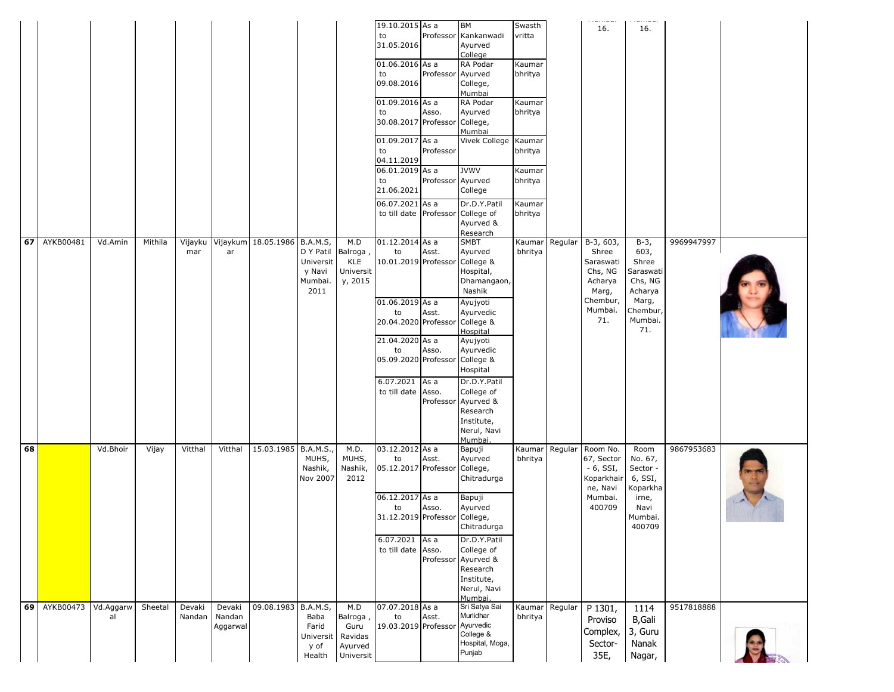|    |              |                 |         |                  |                              |                      |                                                      |                                                            | 19.10.2015 As a<br>to<br>31.05.2016<br>01.06.2016 As a<br>to<br>09.08.2016                              | Professor<br>Professor | BM<br>Kankanwadi<br>Ayurved<br>College<br>RA Podar<br>Ayurved<br>College,                                  | Swasth<br>vritta<br>Kaumar<br>bhritya  |                | .<br>16.                                                                            | .<br>16.                                                                       |            |  |
|----|--------------|-----------------|---------|------------------|------------------------------|----------------------|------------------------------------------------------|------------------------------------------------------------|---------------------------------------------------------------------------------------------------------|------------------------|------------------------------------------------------------------------------------------------------------|----------------------------------------|----------------|-------------------------------------------------------------------------------------|--------------------------------------------------------------------------------|------------|--|
|    |              |                 |         |                  |                              |                      |                                                      |                                                            | 01.09.2016 As a<br>to<br>30.08.2017 Professor<br>01.09.2017 As a<br>to                                  | Asso.<br>Professor     | Mumbai<br>RA Podar<br>Ayurved<br>College,<br>Mumbai<br>Vivek College Kaumar                                | Kaumar<br>bhritya<br>bhritya           |                |                                                                                     |                                                                                |            |  |
|    |              |                 |         |                  |                              |                      |                                                      |                                                            | 04.11.2019<br>06.01.2019 As a<br>to<br>21.06.2021<br>06.07.2021 As a<br>to till date Professor          | Professor Ayurved      | <b>JVWV</b><br>College<br>Dr.D.Y.Patil<br>College of                                                       | Kaumar<br>bhritya<br>Kaumar<br>bhritya |                |                                                                                     |                                                                                |            |  |
|    | 67 AYKB00481 | Vd.Amin         | Mithila | Vijayku<br>mar   | Vijaykum<br>ar               | 18.05.1986 B.A.M.S,  | D Y Patil Balroga,<br>Universit<br>y Navi<br>Mumbai. | M.D<br>KLE<br>Universit<br>y, 2015                         | 01.12.2014 As a<br>to<br>10.01.2019 Professor                                                           | Asst.                  | Ayurved &<br>Research<br><b>SMBT</b><br>Ayurved<br>College &<br>Hospital,<br>Dhamangaon,                   | bhritya                                | Kaumar Regular | $B-3, 603,$<br>Shree<br>Saraswati<br>Chs, NG<br>Acharya                             | $B-3$ ,<br>603,<br>Shree<br>Saraswati<br>Chs, NG                               | 9969947997 |  |
|    |              |                 |         |                  |                              |                      | 2011                                                 |                                                            | 01.06.2019 As a<br>to<br>20.04.2020 Professor<br>21.04.2020 As a<br>to<br>05.09.2020 Professor          | Asst.<br>Asso.         | Nashik<br>Ayujyoti<br>Ayurvedic<br>College &<br>Hospital<br>Ayujyoti<br>Ayurvedic<br>College &             |                                        |                | Marg,<br>Chembur,<br>Mumbai.<br>71.                                                 | Acharya<br>Marg,<br>Chembur,<br>Mumbai.<br>71.                                 |            |  |
|    |              |                 |         |                  |                              |                      |                                                      |                                                            | 6.07.2021<br>to till date Asso.                                                                         | As a<br>Professor      | Hospital<br>Dr.D.Y.Patil<br>College of<br>Ayurved &<br>Research<br>Institute,<br>Nerul, Navi<br>Mumbai.    |                                        |                |                                                                                     |                                                                                |            |  |
| 68 |              | Vd.Bhoir        | Vijay   | Vitthal          | Vitthal                      | 15.03.1985 B.A.M.S., | MUHS,<br>Nashik,<br>Nov 2007                         | M.D.<br>MUHS,<br>Nashik,<br>2012                           | 03.12.2012 As a<br>to<br>05.12.2017 Professor<br>06.12.2017 As a<br>to<br>31.12.2019 Professor College, | Asst.<br>Asso.         | Bapuji<br>Ayurved<br>College,<br>Chitradurga<br>Bapuji<br>Ayurved                                          | bhritya                                | Kaumar Regular | Room No.<br>67, Sector<br>$-6$ , SSI,<br>Koparkhai<br>ne, Navi<br>Mumbai.<br>400709 | Room<br>No. 67,<br>Sector -<br>6, SSI,<br>Koparkha<br>irne,<br>Navi<br>Mumbai. | 9867953683 |  |
|    |              |                 |         |                  |                              |                      |                                                      |                                                            | 6.07.2021 As a<br>to till date Asso.                                                                    | Professor              | Chitradurga<br>Dr.D.Y.Patil<br>College of<br>Ayurved &<br>Research<br>Institute,<br>Nerul, Navi<br>Mumbai. |                                        |                |                                                                                     | 400709                                                                         |            |  |
|    | 69 AYKB00473 | Vd.Aggarw<br>al | Sheetal | Devaki<br>Nandan | Devaki<br>Nandan<br>Aggarwal | 09.08.1983 B.A.M.S,  | Baba<br>Farid<br>Universit<br>y of<br>Health         | M.D<br>Balroga,<br>Guru<br>Ravidas<br>Ayurved<br>Universit | 07.07.2018 As a<br>to<br>19.03.2019 Professor                                                           | Asst.                  | Sri Satya Sai<br>Murlidhar<br>Ayurvedic<br>College &<br>Hospital, Moga,<br>Punjab                          | Kaumar <sup> </sup><br>bhritya         | Regular        | P 1301,<br>Proviso<br>Complex,<br>Sector-<br>35E,                                   | 1114<br>B, Gali<br>3, Guru<br>Nanak<br>Nagar,                                  | 9517818888 |  |